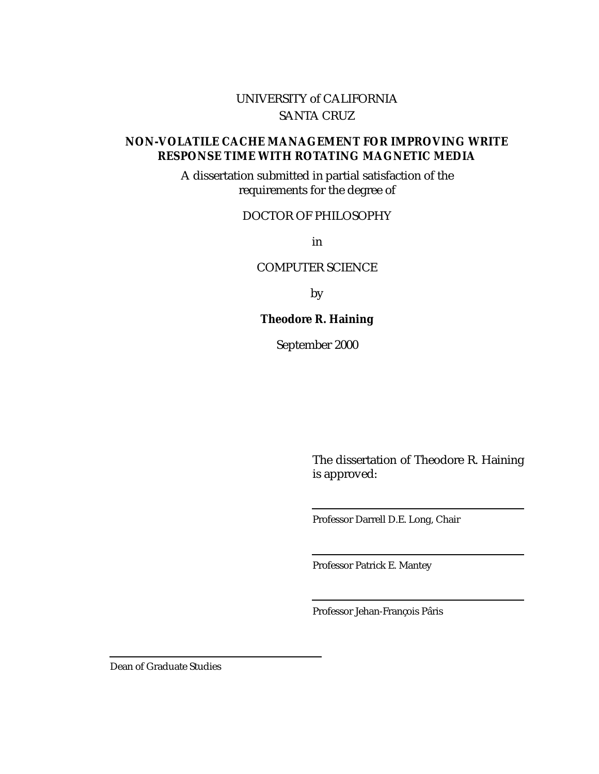### UNIVERSITY of CALIFORNIA SANTA CRUZ

### **NON-VOLATILE CACHE MANAGEMENT FOR IMPROVING WRITE RESPONSE TIME WITH ROTATING MAGNETIC MEDIA**

A dissertation submitted in partial satisfaction of the requirements for the degree of

### DOCTOR OF PHILOSOPHY

in

#### COMPUTER SCIENCE

by

### **Theodore R. Haining**

September 2000

The dissertation of Theodore R. Haining is approved:

Professor Darrell D.E. Long, Chair

Professor Patrick E. Mantey

Professor Jehan-François Pâris

Dean of Graduate Studies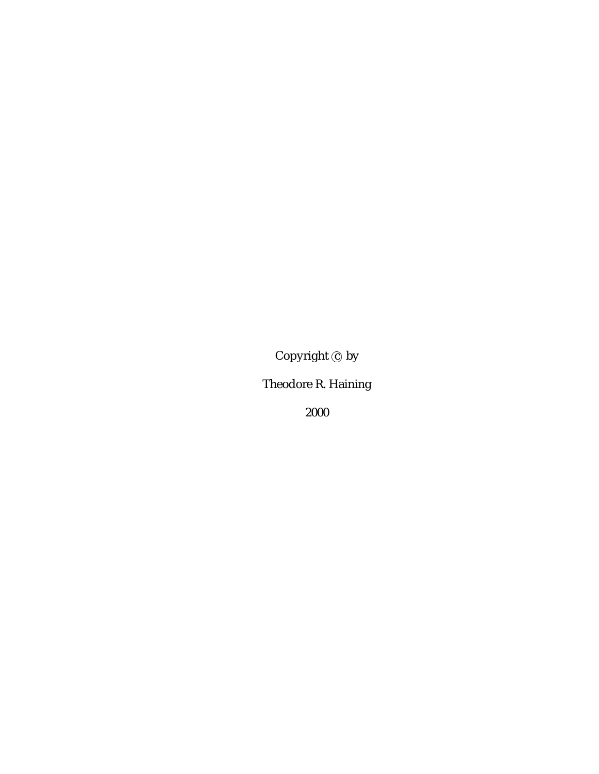Copyright  $\odot$  by

Theodore R. Haining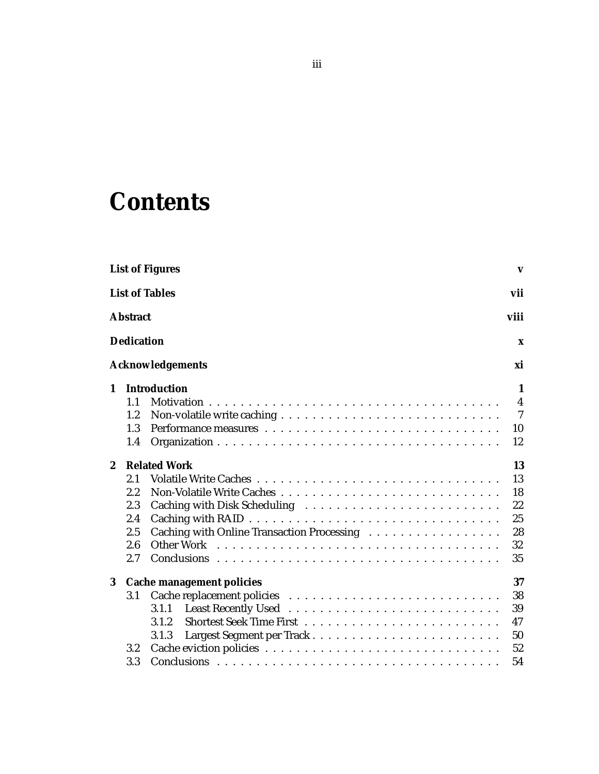# **Contents**

|                  |                   | <b>List of Figures</b>                     | $\mathbf{v}$   |
|------------------|-------------------|--------------------------------------------|----------------|
|                  |                   | <b>List of Tables</b>                      | vii            |
|                  | <b>Abstract</b>   |                                            | viii           |
|                  | <b>Dedication</b> |                                            | X              |
|                  |                   | <b>Acknowledgements</b>                    | xi             |
| $\mathbf{1}$     |                   | <b>Introduction</b>                        | 1              |
|                  | 1.1               |                                            | $\overline{4}$ |
|                  | 1.2               |                                            | $\overline{7}$ |
|                  | 1.3               |                                            | 10             |
|                  | 1.4               |                                            | 12             |
| $\boldsymbol{2}$ |                   | <b>Related Work</b>                        | 13             |
|                  | 2.1               |                                            | 13             |
|                  | 2.2               |                                            | 18             |
|                  | 2.3               |                                            | 22             |
|                  | 2.4               |                                            | 25             |
|                  | 2.5               | Caching with Online Transaction Processing | 28             |
|                  | 2.6               |                                            | 32             |
|                  | 2.7               |                                            | 35             |
| 3                |                   | <b>Cache management policies</b>           | 37             |
|                  | 3.1               |                                            | 38             |
|                  |                   | 3.1.1                                      | 39             |
|                  |                   | 3.1.2                                      | 47             |
|                  |                   | 3.1.3                                      | 50             |
|                  | $3.2\,$           |                                            | 52             |
|                  | 3.3               |                                            | 54             |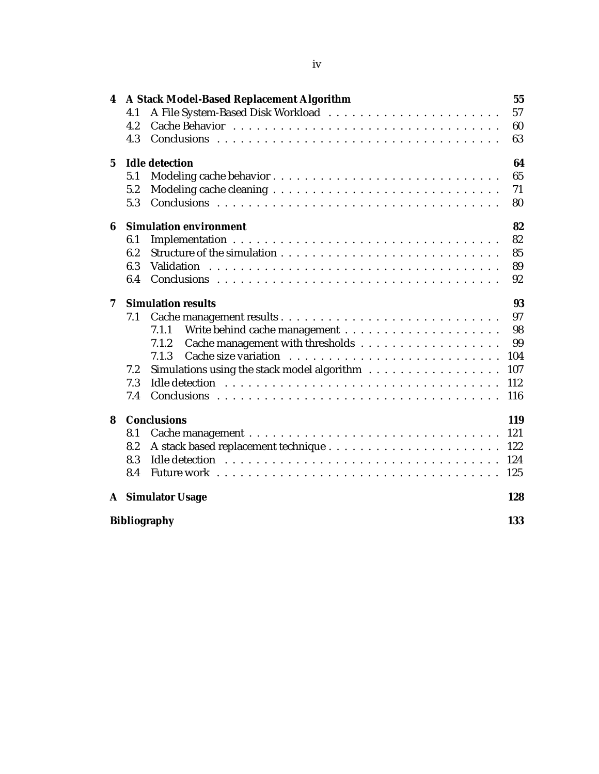| 4               | A Stack Model-Based Replacement Algorithm<br>4.1<br>4.2<br>4.3                                                                  | 55<br>57<br>60<br>63                             |
|-----------------|---------------------------------------------------------------------------------------------------------------------------------|--------------------------------------------------|
| $5\overline{ }$ | <b>Idle detection</b><br>5.1<br>5.2<br>5.3                                                                                      | 64<br>65<br>71<br>80                             |
| 6               | <b>Simulation environment</b><br>6.1<br>6.2<br>6.3<br>Validation<br>6.4                                                         | 82<br>82<br>85<br>89<br>92                       |
| 7               | <b>Simulation results</b><br>7.1<br>7.1.1<br>7.1.2<br>7.1.3<br>Simulations using the stack model algorithm<br>7.2<br>7.3<br>7.4 | 93<br>97<br>98<br>99<br>104<br>107<br>112<br>116 |
| 8               | <b>Conclusions</b><br>8.1<br>8.2<br>8.3<br>8.4                                                                                  | 119<br>121<br>122<br>124<br>125                  |
|                 | <b>A</b> Simulator Usage<br><b>Bibliography</b>                                                                                 | 128<br>133                                       |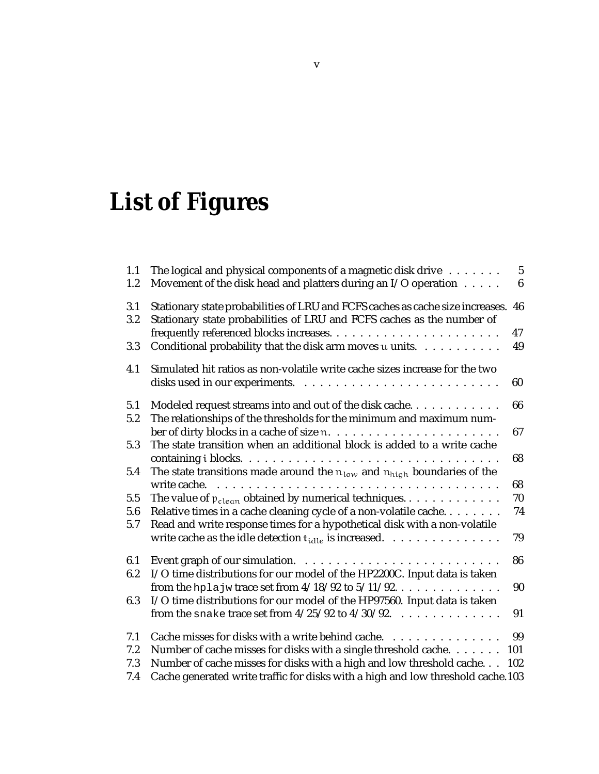# **List of Figures**

| 1.1<br>1.2 | The logical and physical components of a magnetic disk drive $\dots \dots$<br>Movement of the disk head and platters during an I/O operation             | 5<br>$6\phantom{1}$ |
|------------|----------------------------------------------------------------------------------------------------------------------------------------------------------|---------------------|
| 3.1<br>3.2 | Stationary state probabilities of LRU and FCFS caches as cache size increases.<br>Stationary state probabilities of LRU and FCFS caches as the number of | 46                  |
|            |                                                                                                                                                          | 47                  |
| 3.3        | Conditional probability that the disk arm moves u units.                                                                                                 | 49                  |
| 4.1        | Simulated hit ratios as non-volatile write cache sizes increase for the two                                                                              | 60                  |
| 5.1        | Modeled request streams into and out of the disk cache.                                                                                                  | 66                  |
| 5.2        | The relationships of the thresholds for the minimum and maximum num-                                                                                     |                     |
|            | ber of dirty blocks in a cache of size n                                                                                                                 | 67                  |
| 5.3        | The state transition when an additional block is added to a write cache                                                                                  |                     |
|            |                                                                                                                                                          | 68                  |
| 5.4        | The state transitions made around the $n_{low}$ and $n_{high}$ boundaries of the                                                                         | 68                  |
| 5.5        | The value of $p_{clean}$ obtained by numerical techniques                                                                                                | 70                  |
| 5.6<br>5.7 | Relative times in a cache cleaning cycle of a non-volatile cache<br>Read and write response times for a hypothetical disk with a non-volatile            | 74                  |
|            | write cache as the idle detection $t_{idle}$ is increased. $\ldots \ldots \ldots \ldots$                                                                 | 79                  |
| 6.1        |                                                                                                                                                          | 86                  |
| 6.2        | I/O time distributions for our model of the HP2200C. Input data is taken                                                                                 |                     |
|            | from the hplajw trace set from $4/18/92$ to $5/11/92$                                                                                                    | 90                  |
| 6.3        | I/O time distributions for our model of the HP97560. Input data is taken<br>from the snake trace set from $4/25/92$ to $4/30/92$ .                       | 91                  |
| 7.1        | Cache misses for disks with a write behind cache.                                                                                                        | 99                  |
| 7.2        | Number of cache misses for disks with a single threshold cache.                                                                                          | 101                 |
| 7.3        | Number of cache misses for disks with a high and low threshold cache                                                                                     | 102                 |
| 7.4        | Cache generated write traffic for disks with a high and low threshold cache.103                                                                          |                     |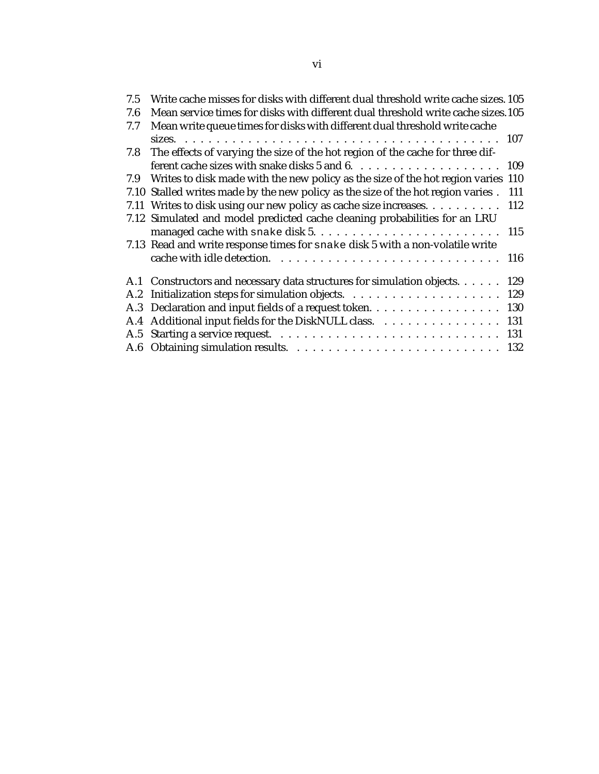| 7.5 | Write cache misses for disks with different dual threshold write cache sizes. 105       |
|-----|-----------------------------------------------------------------------------------------|
| 7.6 | Mean service times for disks with different dual threshold write cache sizes.105        |
| 7.7 | Mean write queue times for disks with different dual threshold write cache              |
|     |                                                                                         |
| 7.8 | The effects of varying the size of the hot region of the cache for three dif-           |
|     |                                                                                         |
| 7.9 | Writes to disk made with the new policy as the size of the hot region varies 110        |
|     | 7.10 Stalled writes made by the new policy as the size of the hot region varies.<br>111 |
|     | 7.11 Writes to disk using our new policy as cache size increases. 112                   |
|     | 7.12 Simulated and model predicted cache cleaning probabilities for an LRU              |
|     |                                                                                         |
|     | 7.13 Read and write response times for snake disk 5 with a non-volatile write           |
|     |                                                                                         |
|     | A.1 Constructors and necessary data structures for simulation objects.<br>129           |
|     |                                                                                         |
|     | A.3 Declaration and input fields of a request token. 130                                |
|     | A.4 Additional input fields for the DiskNULL class. 131                                 |
|     |                                                                                         |
|     |                                                                                         |
|     |                                                                                         |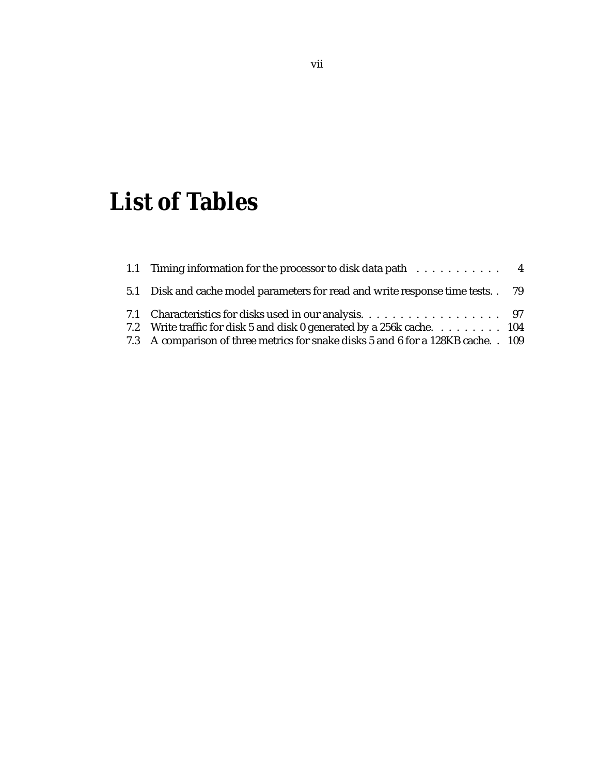# **List of Tables**

| 1.1 Timing information for the processor to disk data path 4                       |  |
|------------------------------------------------------------------------------------|--|
| 5.1 Disk and cache model parameters for read and write response time tests. . 79   |  |
|                                                                                    |  |
| 7.2 Write traffic for disk 5 and disk 0 generated by a 256k cache. 104             |  |
| 7.3 A comparison of three metrics for snake disks 5 and 6 for a 128KB cache. . 109 |  |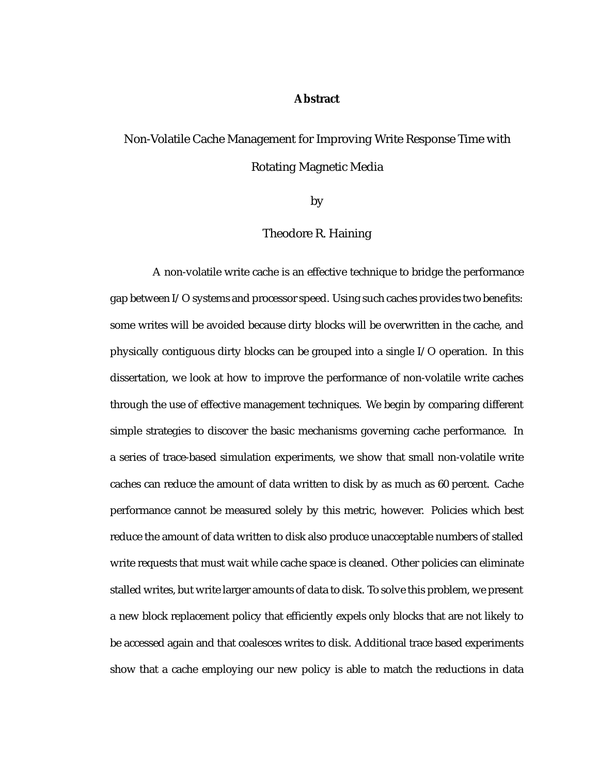#### **Abstract**

### Non-Volatile Cache Management for Improving Write Response Time with Rotating Magnetic Media

by

#### Theodore R. Haining

A non-volatile write cache is an effective technique to bridge the performance gap between I/O systems and processor speed. Using such caches provides two benefits: some writes will be avoided because dirty blocks will be overwritten in the cache, and physically contiguous dirty blocks can be grouped into a single I/O operation. In this dissertation, we look at how to improve the performance of non-volatile write caches through the use of effective management techniques. We begin by comparing different simple strategies to discover the basic mechanisms governing cache performance. In a series of trace-based simulation experiments, we show that small non-volatile write caches can reduce the amount of data written to disk by as much as 60 percent. Cache performance cannot be measured solely by this metric, however. Policies which best reduce the amount of data written to disk also produce unacceptable numbers of stalled write requests that must wait while cache space is cleaned. Other policies can eliminate stalled writes, but write larger amounts of data to disk. To solve this problem, we present a new block replacement policy that efficiently expels only blocks that are not likely to be accessed again and that coalesces writes to disk. Additional trace based experiments show that a cache employing our new policy is able to match the reductions in data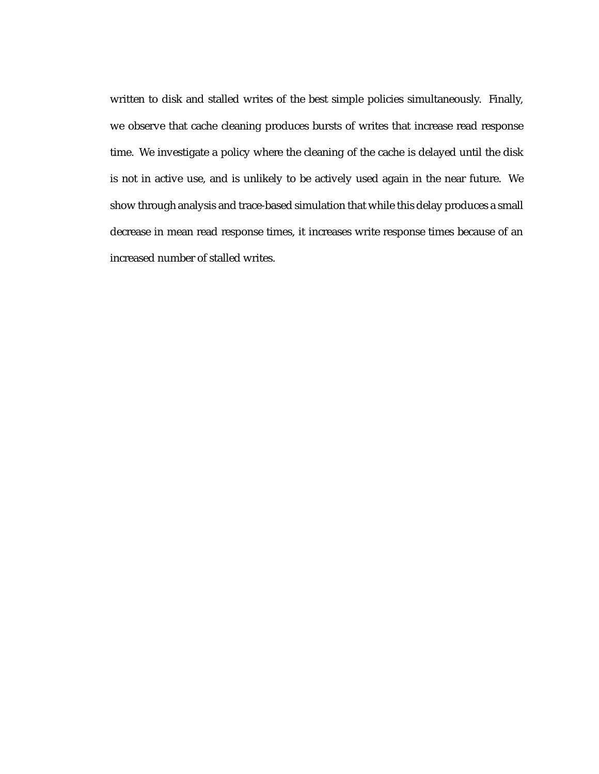written to disk and stalled writes of the best simple policies simultaneously. Finally, we observe that cache cleaning produces bursts of writes that increase read response time. We investigate a policy where the cleaning of the cache is delayed until the disk is not in active use, and is unlikely to be actively used again in the near future. We show through analysis and trace-based simulation that while this delay produces a small decrease in mean read response times, it increases write response times because of an increased number of stalled writes.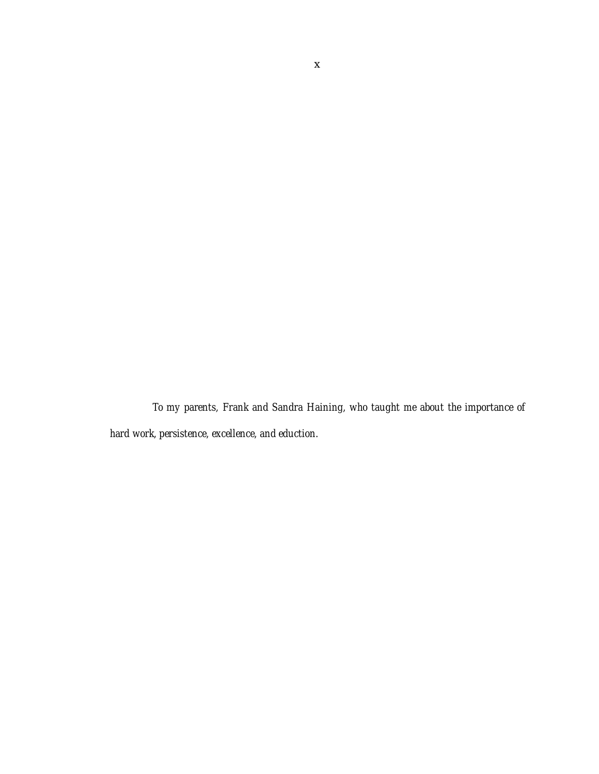*To my parents, Frank and Sandra Haining, who taught me about the importance of hard work, persistence, excellence, and eduction.*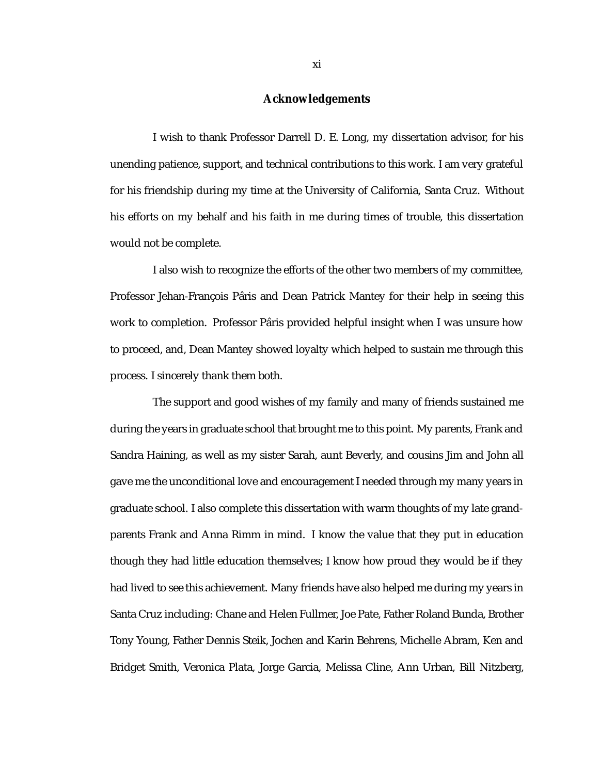#### **Acknowledgements**

I wish to thank Professor Darrell D. E. Long, my dissertation advisor, for his unending patience, support, and technical contributions to this work. I am very grateful for his friendship during my time at the University of California, Santa Cruz. Without his efforts on my behalf and his faith in me during times of trouble, this dissertation would not be complete.

I also wish to recognize the efforts of the other two members of my committee, Professor Jehan-François Pâris and Dean Patrick Mantey for their help in seeing this work to completion. Professor Pâris provided helpful insight when I was unsure how to proceed, and, Dean Mantey showed loyalty which helped to sustain me through this process. I sincerely thank them both.

The support and good wishes of my family and many of friends sustained me during the years in graduate school that brought me to this point. My parents, Frank and Sandra Haining, as well as my sister Sarah, aunt Beverly, and cousins Jim and John all gave me the unconditional love and encouragement I needed through my many years in graduate school. I also complete this dissertation with warm thoughts of my late grandparents Frank and Anna Rimm in mind. I know the value that they put in education though they had little education themselves; I know how proud they would be if they had lived to see this achievement. Many friends have also helped me during my years in Santa Cruz including: Chane and Helen Fullmer, Joe Pate, Father Roland Bunda, Brother Tony Young, Father Dennis Steik, Jochen and Karin Behrens, Michelle Abram, Ken and Bridget Smith, Veronica Plata, Jorge Garcia, Melissa Cline, Ann Urban, Bill Nitzberg,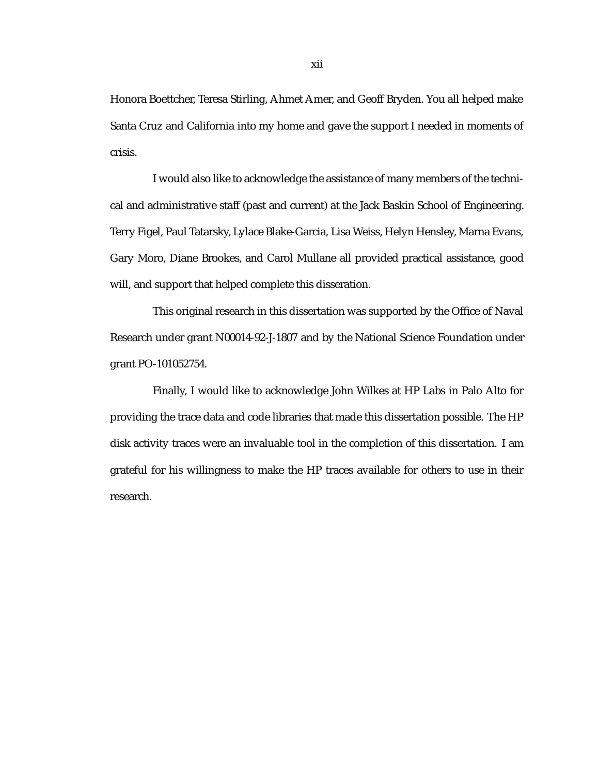Honora Boettcher, Teresa Stirling, Ahmet Amer, and Geoff Bryden. You all helped make Santa Cruz and California into my home and gave the support I needed in moments of crisis.

I would also like to acknowledge the assistance of many members of the technical and administrative staff (past and current) at the Jack Baskin School of Engineering. Terry Figel, Paul Tatarsky, Lylace Blake-Garcia, Lisa Weiss, Helyn Hensley, Marna Evans, Gary Moro, Diane Brookes, and Carol Mullane all provided practical assistance, good will, and support that helped complete this disseration.

This original research in this dissertation was supported by the Office of Naval Research under grant N00014-92-J-1807 and by the National Science Foundation under grant PO-101052754.

Finally, I would like to acknowledge John Wilkes at HP Labs in Palo Alto for providing the trace data and code libraries that made this dissertation possible. The HP disk activity traces were an invaluable tool in the completion of this dissertation. I am grateful for his willingness to make the HP traces available for others to use in their research.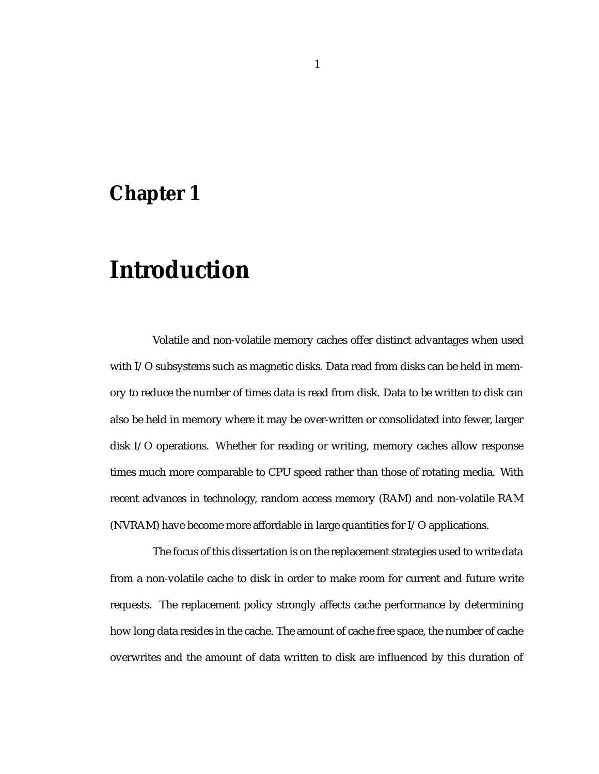### **Chapter 1**

## **Introduction**

Volatile and non-volatile memory caches offer distinct advantages when used with I/O subsystems such as magnetic disks. Data read from disks can be held in memory to reduce the number of times data is read from disk. Data to be written to disk can also be held in memory where it may be over-written or consolidated into fewer, larger disk I/O operations. Whether for reading or writing, memory caches allow response times much more comparable to CPU speed rather than those of rotating media. With recent advances in technology, random access memory (RAM) and non-volatile RAM (NVRAM) have become more affordable in large quantities for I/O applications.

The focus of this dissertation is on the replacement strategies used to write data from a non-volatile cache to disk in order to make room for current and future write requests. The replacement policy strongly affects cache performance by determining how long data resides in the cache. The amount of cache free space, the number of cache overwrites and the amount of data written to disk are influenced by this duration of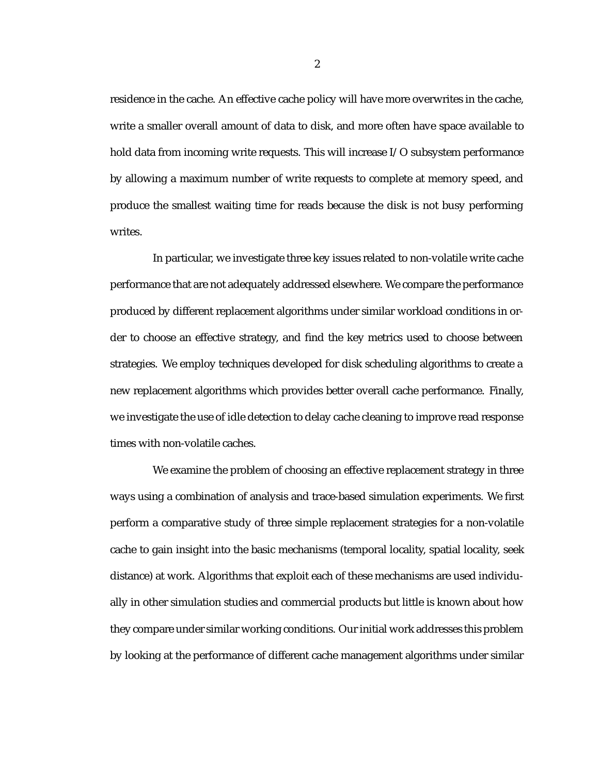residence in the cache. An effective cache policy will have more overwrites in the cache, write a smaller overall amount of data to disk, and more often have space available to hold data from incoming write requests. This will increase I/O subsystem performance by allowing a maximum number of write requests to complete at memory speed, and produce the smallest waiting time for reads because the disk is not busy performing writes.

In particular, we investigate three key issues related to non-volatile write cache performance that are not adequately addressed elsewhere. We compare the performance produced by different replacement algorithms under similar workload conditions in order to choose an effective strategy, and find the key metrics used to choose between strategies. We employ techniques developed for disk scheduling algorithms to create a new replacement algorithms which provides better overall cache performance. Finally, we investigate the use of idle detection to delay cache cleaning to improve read response times with non-volatile caches.

We examine the problem of choosing an effective replacement strategy in three ways using a combination of analysis and trace-based simulation experiments. We first perform a comparative study of three simple replacement strategies for a non-volatile cache to gain insight into the basic mechanisms (temporal locality, spatial locality, seek distance) at work. Algorithms that exploit each of these mechanisms are used individually in other simulation studies and commercial products but little is known about how they compare under similar working conditions. Our initial work addresses this problem by looking at the performance of different cache management algorithms under similar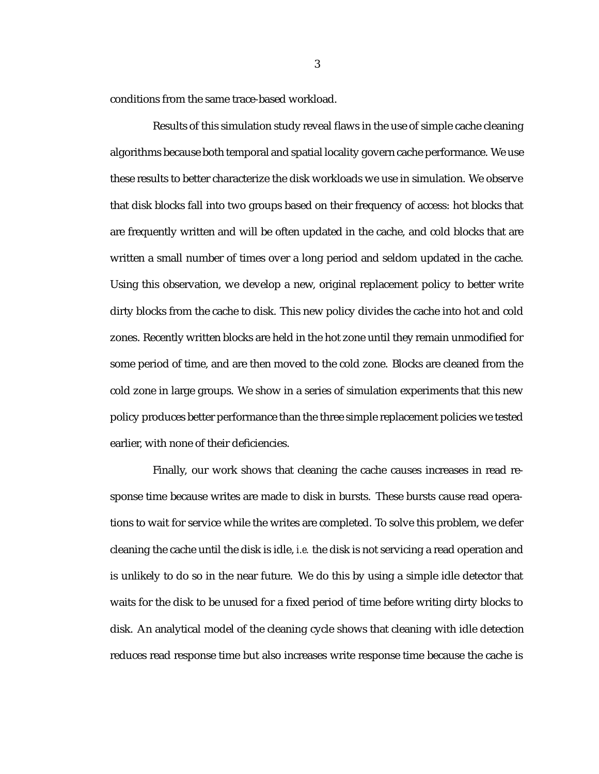conditions from the same trace-based workload.

Results of this simulation study reveal flaws in the use of simple cache cleaning algorithms because both temporal and spatial locality govern cache performance. We use these results to better characterize the disk workloads we use in simulation. We observe that disk blocks fall into two groups based on their frequency of access: hot blocks that are frequently written and will be often updated in the cache, and cold blocks that are written a small number of times over a long period and seldom updated in the cache. Using this observation, we develop a new, original replacement policy to better write dirty blocks from the cache to disk. This new policy divides the cache into hot and cold zones. Recently written blocks are held in the hot zone until they remain unmodified for some period of time, and are then moved to the cold zone. Blocks are cleaned from the cold zone in large groups. We show in a series of simulation experiments that this new policy produces better performance than the three simple replacement policies we tested earlier, with none of their deficiencies.

Finally, our work shows that cleaning the cache causes increases in read response time because writes are made to disk in bursts. These bursts cause read operations to wait for service while the writes are completed. To solve this problem, we defer cleaning the cache until the disk is idle, *i.e.* the disk is not servicing a read operation and is unlikely to do so in the near future. We do this by using a simple idle detector that waits for the disk to be unused for a fixed period of time before writing dirty blocks to disk. An analytical model of the cleaning cycle shows that cleaning with idle detection reduces read response time but also increases write response time because the cache is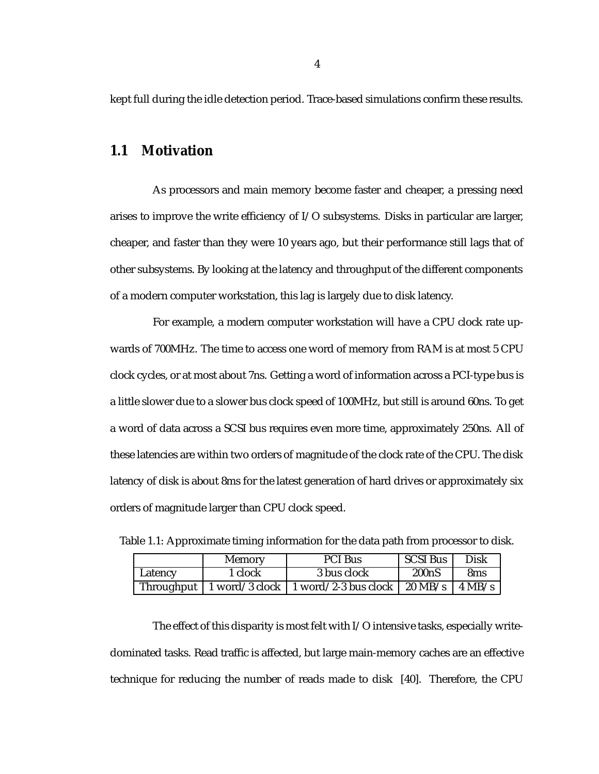kept full during the idle detection period. Trace-based simulations confirm these results.

### **1.1 Motivation**

As processors and main memory become faster and cheaper, a pressing need arises to improve the write efficiency of I/O subsystems. Disks in particular are larger, cheaper, and faster than they were 10 years ago, but their performance still lags that of other subsystems. By looking at the latency and throughput of the different components of a modern computer workstation, this lag is largely due to disk latency.

For example, a modern computer workstation will have a CPU clock rate upwards of 700MHz. The time to access one word of memory from RAM is at most 5 CPU clock cycles, or at most about 7ns. Getting a word of information across a PCI-type bus is a little slower due to a slower bus clock speed of 100MHz, but still is around 60ns. To get a word of data across a SCSI bus requires even more time, approximately 250ns. All of these latencies are within two orders of magnitude of the clock rate of the CPU. The disk latency of disk is about 8ms for the latest generation of hard drives or approximately six orders of magnitude larger than CPU clock speed.

|            | <b>Memory</b> | <b>PCI Bus</b>                                    | <b>SCSI Bus</b>          | <b>Disk</b>     |
|------------|---------------|---------------------------------------------------|--------------------------|-----------------|
| Latency    | l clock       | 3 bus clock                                       | 200 <sub>n</sub> S       | 8 <sub>ms</sub> |
| Throughput |               | $\mid$ 1 word/3 clock $\mid$ 1 word/2-3 bus clock | $20 \text{ MB/s}$ 4 MB/s |                 |

Table 1.1: Approximate timing information for the data path from processor to disk.

The effect of this disparity is most felt with  $I/O$  intensive tasks, especially writedominated tasks. Read traffic is affected, but large main-memory caches are an effective technique for reducing the number of reads made to disk [40]. Therefore, the CPU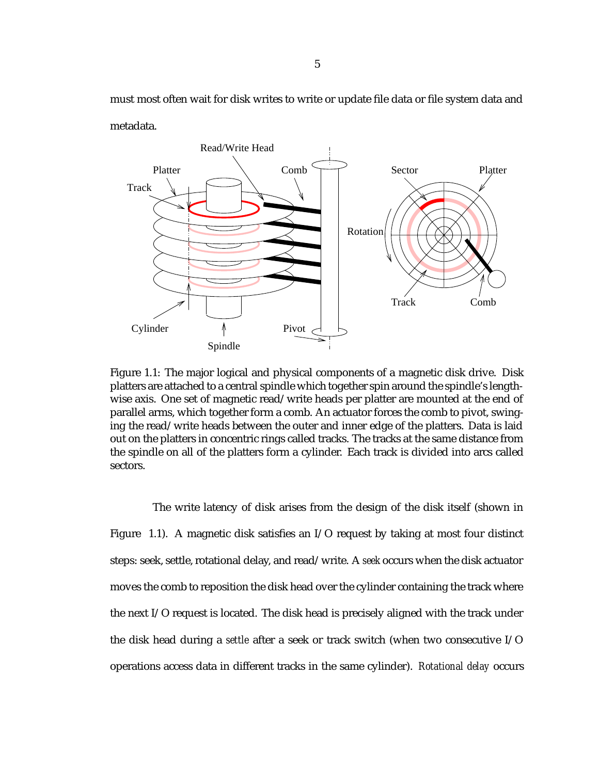must most often wait for disk writes to write or update file data or file system data and metadata.



Figure 1.1: The major logical and physical components of a magnetic disk drive. Disk platters are attached to a central spindle which together spin around the spindle's lengthwise axis. One set of magnetic read/write heads per platter are mounted at the end of parallel arms, which together form a comb. An actuator forces the comb to pivot, swinging the read/write heads between the outer and inner edge of the platters. Data is laid out on the platters in concentric rings called tracks. The tracks at the same distance from the spindle on all of the platters form a cylinder. Each track is divided into arcs called sectors.

The write latency of disk arises from the design of the disk itself (shown in Figure 1.1). A magnetic disk satisfies an I/O request by taking at most four distinct steps: seek, settle, rotational delay, and read/write. A *seek* occurs when the disk actuator moves the comb to reposition the disk head over the cylinder containing the track where the next I/O request is located. The disk head is precisely aligned with the track under the disk head during a *settle* after a seek or track switch (when two consecutive I/O operations access data in different tracks in the same cylinder). *Rotational delay* occurs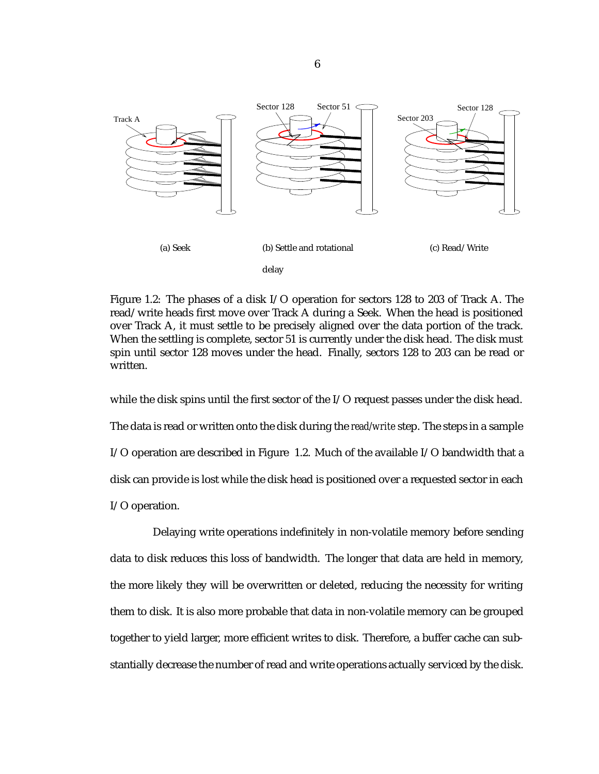

Figure 1.2: The phases of a disk I/O operation for sectors 128 to 203 of Track A. The read/write heads first move over Track A during a Seek. When the head is positioned over Track A, it must settle to be precisely aligned over the data portion of the track. When the settling is complete, sector 51 is currently under the disk head. The disk must spin until sector 128 moves under the head. Finally, sectors 128 to 203 can be read or written.

while the disk spins until the first sector of the I/O request passes under the disk head. The data is read or written onto the disk during the *read/write* step. The steps in a sample I/O operation are described in Figure 1.2. Much of the available I/O bandwidth that a disk can provide is lost while the disk head is positioned over a requested sector in each I/O operation.

Delaying write operations indefinitely in non-volatile memory before sending data to disk reduces this loss of bandwidth. The longer that data are held in memory, the more likely they will be overwritten or deleted, reducing the necessity for writing them to disk. It is also more probable that data in non-volatile memory can be grouped together to yield larger, more efficient writes to disk. Therefore, a buffer cache can substantially decrease the number of read and write operations actually serviced by the disk.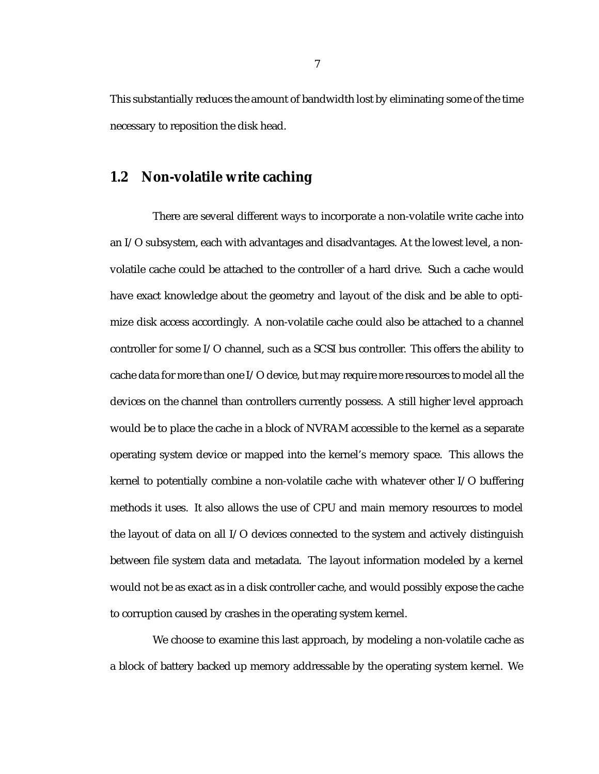This substantially reduces the amount of bandwidth lost by eliminating some of the time necessary to reposition the disk head.

### **1.2 Non-volatile write caching**

There are several different ways to incorporate a non-volatile write cache into an I/O subsystem, each with advantages and disadvantages. At the lowest level, a nonvolatile cache could be attached to the controller of a hard drive. Such a cache would have exact knowledge about the geometry and layout of the disk and be able to optimize disk access accordingly. A non-volatile cache could also be attached to a channel controller for some I/O channel, such as a SCSI bus controller. This offers the ability to cache data for more than one I/O device, but may require more resources to model all the devices on the channel than controllers currently possess. A still higher level approach would be to place the cache in a block of NVRAM accessible to the kernel as a separate operating system device or mapped into the kernel's memory space. This allows the kernel to potentially combine a non-volatile cache with whatever other I/O buffering methods it uses. It also allows the use of CPU and main memory resources to model the layout of data on all I/O devices connected to the system and actively distinguish between file system data and metadata. The layout information modeled by a kernel would not be as exact as in a disk controller cache, and would possibly expose the cache to corruption caused by crashes in the operating system kernel.

We choose to examine this last approach, by modeling a non-volatile cache as a block of battery backed up memory addressable by the operating system kernel. We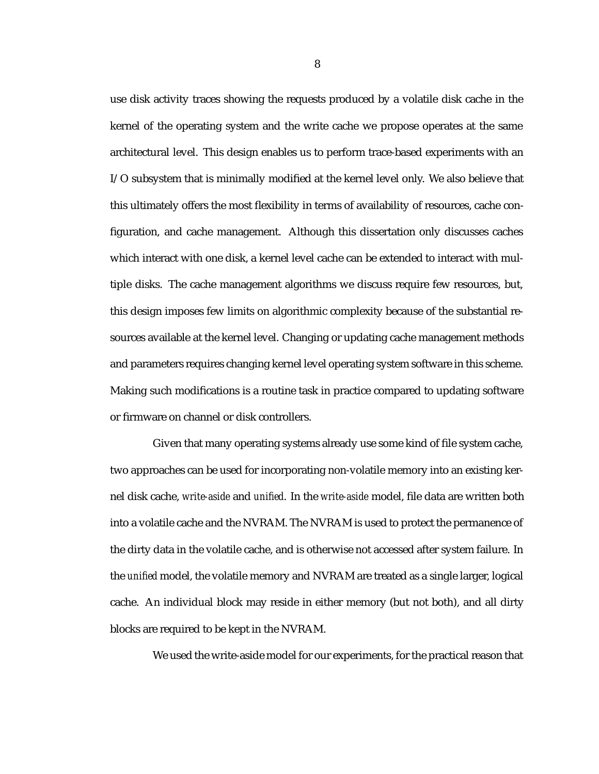use disk activity traces showing the requests produced by a volatile disk cache in the kernel of the operating system and the write cache we propose operates at the same architectural level. This design enables us to perform trace-based experiments with an I/O subsystem that is minimally modified at the kernel level only. We also believe that this ultimately offers the most flexibility in terms of availability of resources, cache configuration, and cache management. Although this dissertation only discusses caches which interact with one disk, a kernel level cache can be extended to interact with multiple disks. The cache management algorithms we discuss require few resources, but, this design imposes few limits on algorithmic complexity because of the substantial resources available at the kernel level. Changing or updating cache management methods and parameters requires changing kernel level operating system software in this scheme. Making such modifications is a routine task in practice compared to updating software or firmware on channel or disk controllers.

Given that many operating systems already use some kind of file system cache, two approaches can be used for incorporating non-volatile memory into an existing kernel disk cache, *write-aside* and *unified*. In the *write-aside* model, file data are written both into a volatile cache and the NVRAM. The NVRAM is used to protect the permanence of the dirty data in the volatile cache, and is otherwise not accessed after system failure. In the *unified* model, the volatile memory and NVRAM are treated as a single larger, logical cache. An individual block may reside in either memory (but not both), and all dirty blocks are required to be kept in the NVRAM.

We used the write-aside model for our experiments, for the practical reason that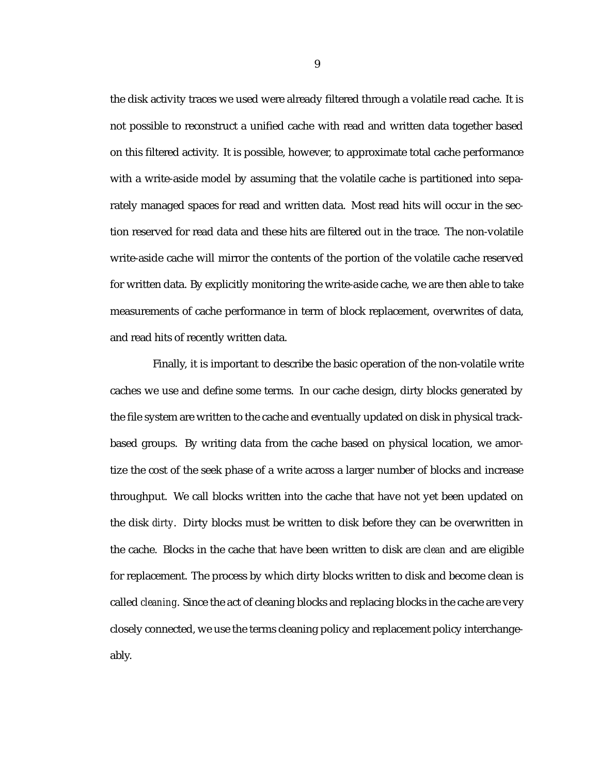the disk activity traces we used were already filtered through a volatile read cache. It is not possible to reconstruct a unified cache with read and written data together based on this filtered activity. It is possible, however, to approximate total cache performance with a write-aside model by assuming that the volatile cache is partitioned into separately managed spaces for read and written data. Most read hits will occur in the section reserved for read data and these hits are filtered out in the trace. The non-volatile write-aside cache will mirror the contents of the portion of the volatile cache reserved for written data. By explicitly monitoring the write-aside cache, we are then able to take measurements of cache performance in term of block replacement, overwrites of data, and read hits of recently written data.

Finally, it is important to describe the basic operation of the non-volatile write caches we use and define some terms. In our cache design, dirty blocks generated by the file system are written to the cache and eventually updated on disk in physical trackbased groups. By writing data from the cache based on physical location, we amortize the cost of the seek phase of a write across a larger number of blocks and increase throughput. We call blocks written into the cache that have not yet been updated on the disk *dirty*. Dirty blocks must be written to disk before they can be overwritten in the cache. Blocks in the cache that have been written to disk are *clean* and are eligible for replacement. The process by which dirty blocks written to disk and become clean is called *cleaning*. Since the act of cleaning blocks and replacing blocks in the cache are very closely connected, we use the terms cleaning policy and replacement policy interchangeably.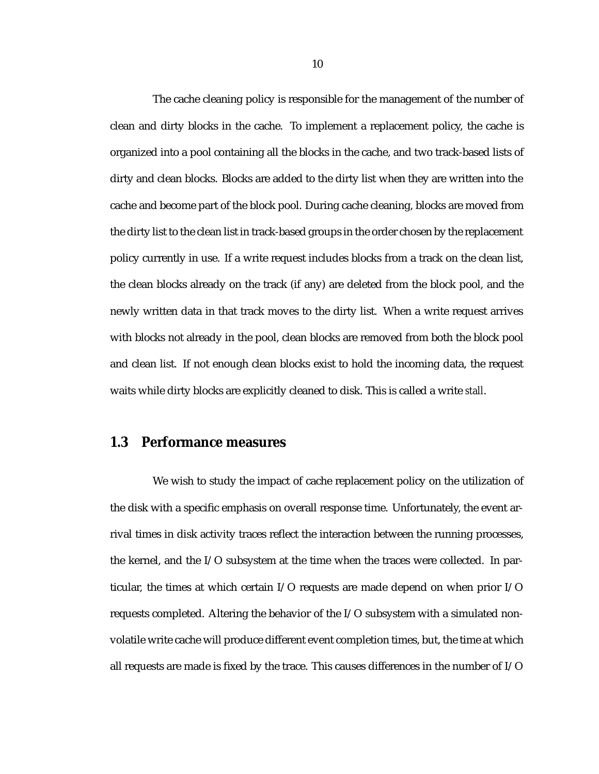The cache cleaning policy is responsible for the management of the number of clean and dirty blocks in the cache. To implement a replacement policy, the cache is organized into a pool containing all the blocks in the cache, and two track-based lists of dirty and clean blocks. Blocks are added to the dirty list when they are written into the cache and become part of the block pool. During cache cleaning, blocks are moved from the dirty list to the clean list in track-based groups in the order chosen by the replacement policy currently in use. If a write request includes blocks from a track on the clean list, the clean blocks already on the track (if any) are deleted from the block pool, and the newly written data in that track moves to the dirty list. When a write request arrives with blocks not already in the pool, clean blocks are removed from both the block pool and clean list. If not enough clean blocks exist to hold the incoming data, the request waits while dirty blocks are explicitly cleaned to disk. This is called a write *stall*.

### **1.3 Performance measures**

We wish to study the impact of cache replacement policy on the utilization of the disk with a specific emphasis on overall response time. Unfortunately, the event arrival times in disk activity traces reflect the interaction between the running processes, the kernel, and the I/O subsystem at the time when the traces were collected. In particular, the times at which certain I/O requests are made depend on when prior I/O requests completed. Altering the behavior of the I/O subsystem with a simulated nonvolatile write cache will produce different event completion times, but, the time at which all requests are made is fixed by the trace. This causes differences in the number of I/O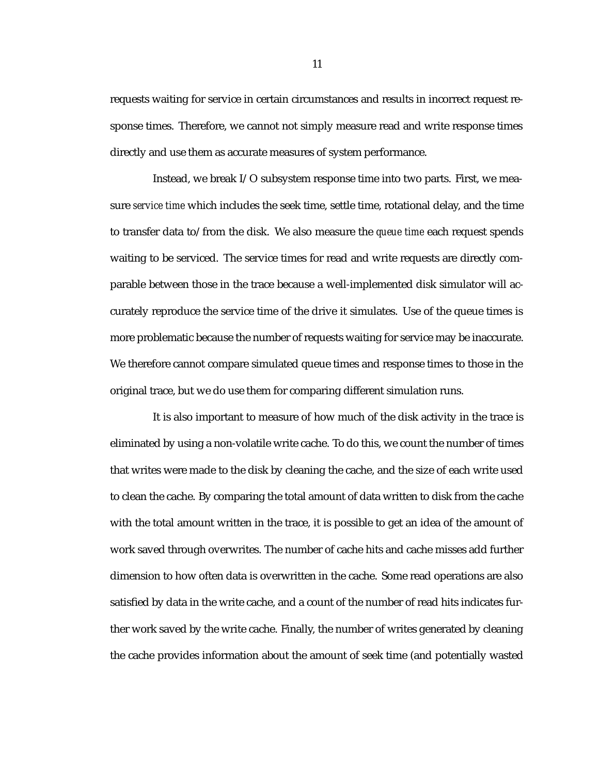requests waiting for service in certain circumstances and results in incorrect request response times. Therefore, we cannot not simply measure read and write response times directly and use them as accurate measures of system performance.

Instead, we break I/O subsystem response time into two parts. First, we measure *service time* which includes the seek time, settle time, rotational delay, and the time to transfer data to/from the disk. We also measure the *queue time* each request spends waiting to be serviced. The service times for read and write requests are directly comparable between those in the trace because a well-implemented disk simulator will accurately reproduce the service time of the drive it simulates. Use of the queue times is more problematic because the number of requests waiting for service may be inaccurate. We therefore cannot compare simulated queue times and response times to those in the original trace, but we do use them for comparing different simulation runs.

It is also important to measure of how much of the disk activity in the trace is eliminated by using a non-volatile write cache. To do this, we count the number of times that writes were made to the disk by cleaning the cache, and the size of each write used to clean the cache. By comparing the total amount of data written to disk from the cache with the total amount written in the trace, it is possible to get an idea of the amount of work saved through overwrites. The number of cache hits and cache misses add further dimension to how often data is overwritten in the cache. Some read operations are also satisfied by data in the write cache, and a count of the number of read hits indicates further work saved by the write cache. Finally, the number of writes generated by cleaning the cache provides information about the amount of seek time (and potentially wasted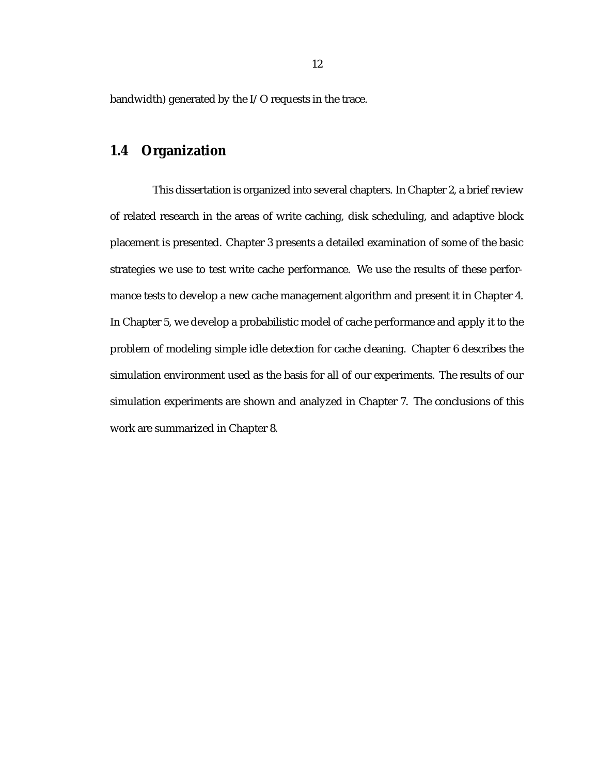bandwidth) generated by the I/O requests in the trace.

### **1.4 Organization**

This dissertation is organized into several chapters. In Chapter 2, a brief review of related research in the areas of write caching, disk scheduling, and adaptive block placement is presented. Chapter 3 presents a detailed examination of some of the basic strategies we use to test write cache performance. We use the results of these performance tests to develop a new cache management algorithm and present it in Chapter 4. In Chapter 5, we develop a probabilistic model of cache performance and apply it to the problem of modeling simple idle detection for cache cleaning. Chapter 6 describes the simulation environment used as the basis for all of our experiments. The results of our simulation experiments are shown and analyzed in Chapter 7. The conclusions of this work are summarized in Chapter 8.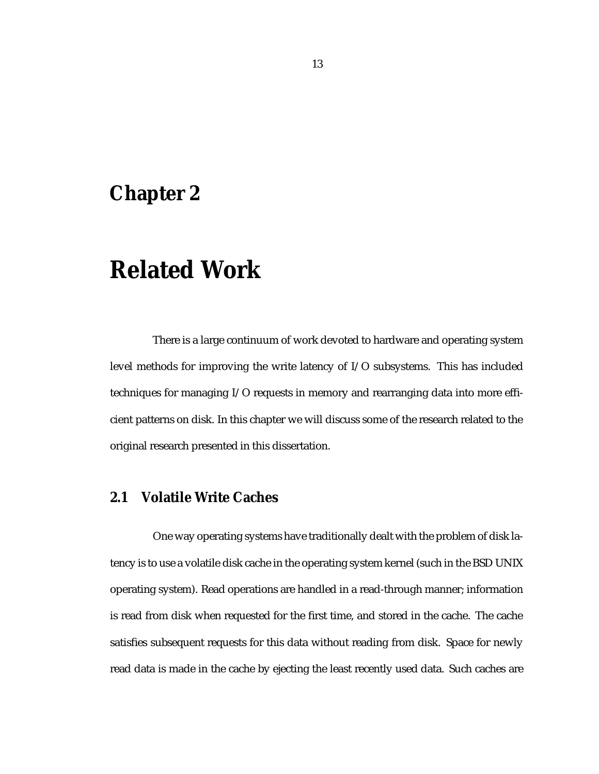### **Chapter 2**

### **Related Work**

There is a large continuum of work devoted to hardware and operating system level methods for improving the write latency of I/O subsystems. This has included techniques for managing I/O requests in memory and rearranging data into more efficient patterns on disk. In this chapter we will discuss some of the research related to the original research presented in this dissertation.

### **2.1 Volatile Write Caches**

One way operating systems have traditionally dealt with the problem of disk latency is to use a volatile disk cache in the operating system kernel (such in the BSD UNIX operating system). Read operations are handled in a read-through manner; information is read from disk when requested for the first time, and stored in the cache. The cache satisfies subsequent requests for this data without reading from disk. Space for newly read data is made in the cache by ejecting the least recently used data. Such caches are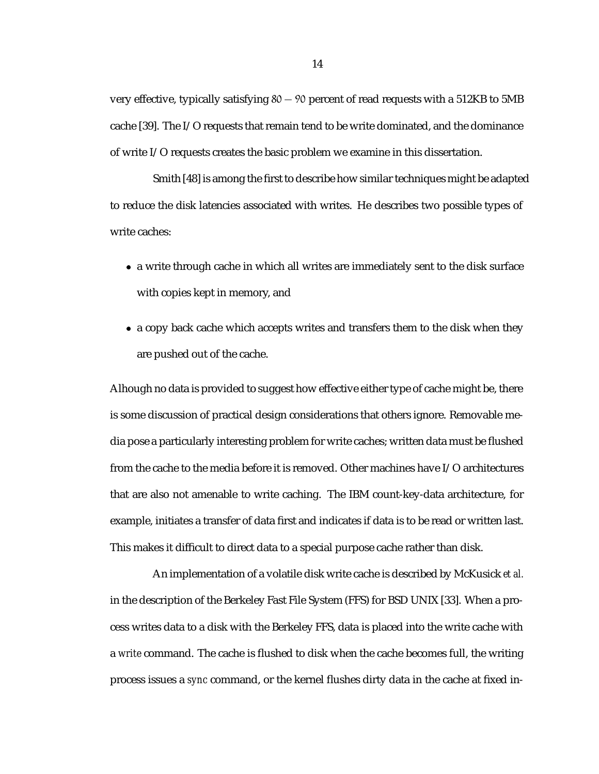very effective, typically satisfying  $80 - 90$  percent of read requests with a 512KB to 5MB cache [39]. The I/O requests that remain tend to be write dominated, and the dominance of write I/O requests creates the basic problem we examine in this dissertation.

Smith [48] is among the first to describe how similar techniques might be adapted to reduce the disk latencies associated with writes. He describes two possible types of write caches:

- a write through cache in which all writes are immediately sent to the disk surface with copies kept in memory, and
- a copy back cache which accepts writes and transfers them to the disk when they are pushed out of the cache.

Alhough no data is provided to suggest how effective either type of cache might be, there is some discussion of practical design considerations that others ignore. Removable media pose a particularly interesting problem for write caches; written data must be flushed from the cache to the media before it is removed. Other machines have I/O architectures that are also not amenable to write caching. The IBM count-key-data architecture, for example, initiates a transfer of data first and indicates if data is to be read or written last. This makes it difficult to direct data to a special purpose cache rather than disk.

An implementation of a volatile disk write cache is described by McKusick *et al.* in the description of the Berkeley Fast File System (FFS) for BSD UNIX [33]. When a process writes data to a disk with the Berkeley FFS, data is placed into the write cache with a *write* command. The cache is flushed to disk when the cache becomes full, the writing process issues a *sync* command, or the kernel flushes dirty data in the cache at fixed in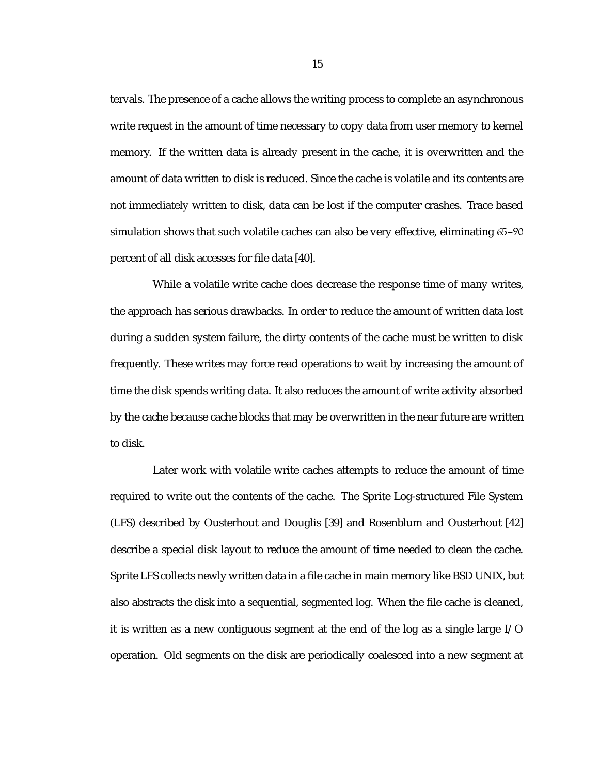tervals. The presence of a cache allows the writing process to complete an asynchronous write request in the amount of time necessary to copy data from user memory to kernel memory. If the written data is already present in the cache, it is overwritten and the amount of data written to disk is reduced. Since the cache is volatile and its contents are not immediately written to disk, data can be lost if the computer crashes. Trace based simulation shows that such volatile caches can also be very effective, eliminating 65–90 percent of all disk accesses for file data [40].

While a volatile write cache does decrease the response time of many writes, the approach has serious drawbacks. In order to reduce the amount of written data lost during a sudden system failure, the dirty contents of the cache must be written to disk frequently. These writes may force read operations to wait by increasing the amount of time the disk spends writing data. It also reduces the amount of write activity absorbed by the cache because cache blocks that may be overwritten in the near future are written to disk.

Later work with volatile write caches attempts to reduce the amount of time required to write out the contents of the cache. The Sprite Log-structured File System (LFS) described by Ousterhout and Douglis [39] and Rosenblum and Ousterhout [42] describe a special disk layout to reduce the amount of time needed to clean the cache. Sprite LFS collects newly written data in a file cache in main memory like BSD UNIX, but also abstracts the disk into a sequential, segmented log. When the file cache is cleaned, it is written as a new contiguous segment at the end of the log as a single large I/O operation. Old segments on the disk are periodically coalesced into a new segment at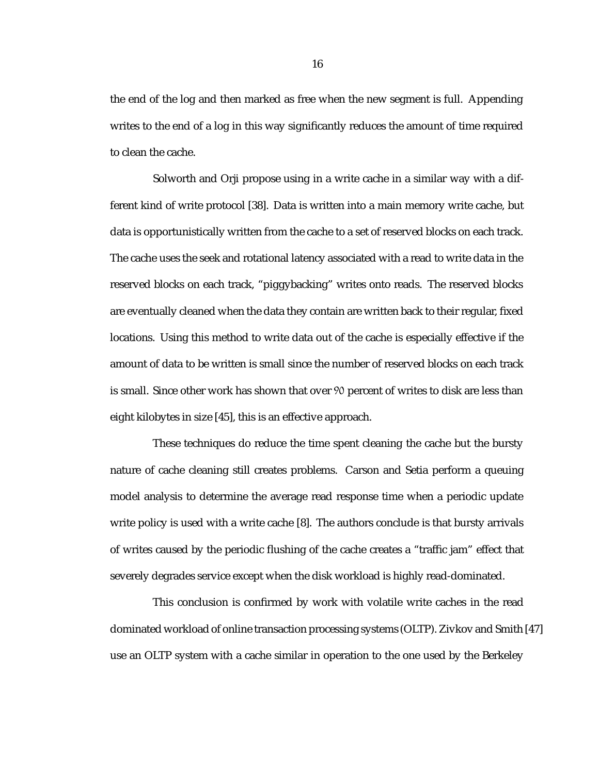the end of the log and then marked as free when the new segment is full. Appending writes to the end of a log in this way significantly reduces the amount of time required to clean the cache.

Solworth and Orji propose using in a write cache in a similar way with a different kind of write protocol [38]. Data is written into a main memory write cache, but data is opportunistically written from the cache to a set of reserved blocks on each track. The cache uses the seek and rotational latency associated with a read to write data in the reserved blocks on each track, "piggybacking" writes onto reads. The reserved blocks are eventually cleaned when the data they contain are written back to their regular, fixed locations. Using this method to write data out of the cache is especially effective if the amount of data to be written is small since the number of reserved blocks on each track is small. Since other work has shown that over 90 percent of writes to disk are less than eight kilobytes in size [45], this is an effective approach.

These techniques do reduce the time spent cleaning the cache but the bursty nature of cache cleaning still creates problems. Carson and Setia perform a queuing model analysis to determine the average read response time when a periodic update write policy is used with a write cache [8]. The authors conclude is that bursty arrivals of writes caused by the periodic flushing of the cache creates a "traffic jam" effect that severely degrades service except when the disk workload is highly read-dominated.

This conclusion is confirmed by work with volatile write caches in the read dominated workload of online transaction processing systems (OLTP). Zivkov and Smith [47] use an OLTP system with a cache similar in operation to the one used by the Berkeley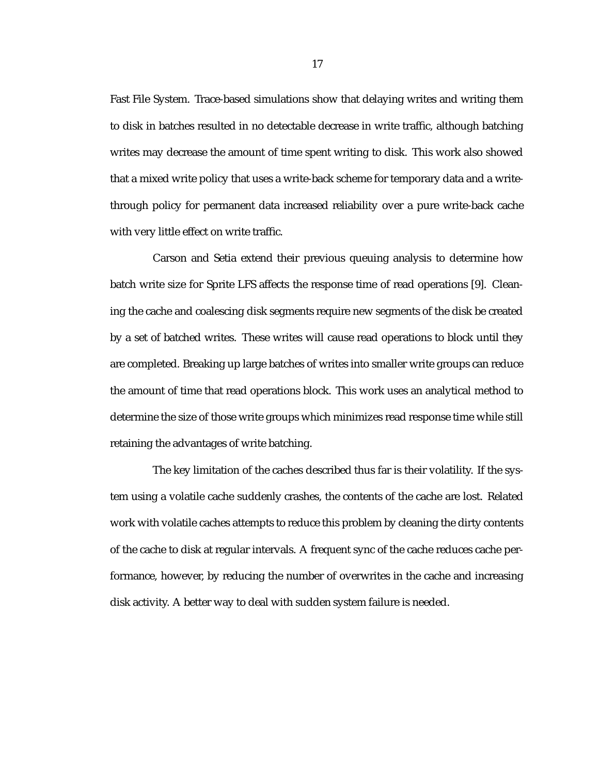Fast File System. Trace-based simulations show that delaying writes and writing them to disk in batches resulted in no detectable decrease in write traffic, although batching writes may decrease the amount of time spent writing to disk. This work also showed that a mixed write policy that uses a write-back scheme for temporary data and a writethrough policy for permanent data increased reliability over a pure write-back cache with very little effect on write traffic.

Carson and Setia extend their previous queuing analysis to determine how batch write size for Sprite LFS affects the response time of read operations [9]. Cleaning the cache and coalescing disk segments require new segments of the disk be created by a set of batched writes. These writes will cause read operations to block until they are completed. Breaking up large batches of writes into smaller write groups can reduce the amount of time that read operations block. This work uses an analytical method to determine the size of those write groups which minimizes read response time while still retaining the advantages of write batching.

The key limitation of the caches described thus far is their volatility. If the system using a volatile cache suddenly crashes, the contents of the cache are lost. Related work with volatile caches attempts to reduce this problem by cleaning the dirty contents of the cache to disk at regular intervals. A frequent sync of the cache reduces cache performance, however, by reducing the number of overwrites in the cache and increasing disk activity. A better way to deal with sudden system failure is needed.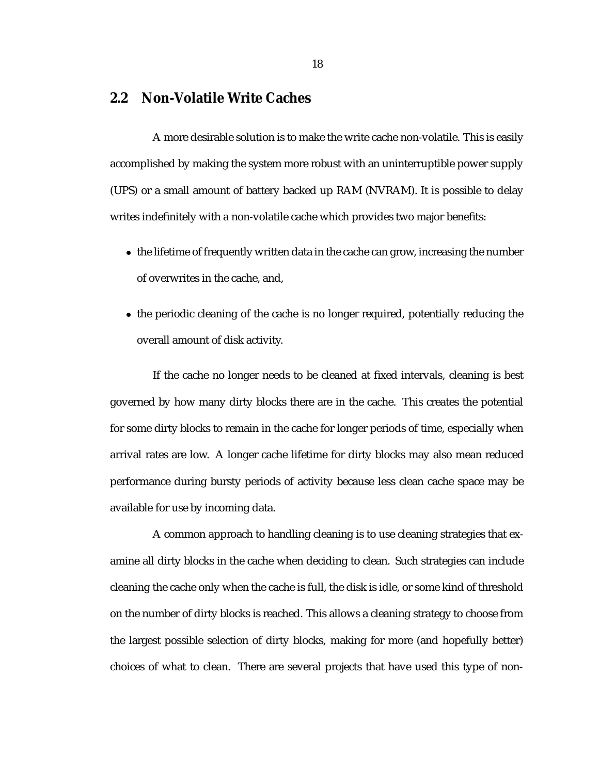### **2.2 Non-Volatile Write Caches**

A more desirable solution is to make the write cache non-volatile. This is easily accomplished by making the system more robust with an uninterruptible power supply (UPS) or a small amount of battery backed up RAM (NVRAM). It is possible to delay writes indefinitely with a non-volatile cache which provides two major benefits:

- the lifetime of frequently written data in the cache can grow, increasing the number of overwrites in the cache, and,
- the periodic cleaning of the cache is no longer required, potentially reducing the overall amount of disk activity.

If the cache no longer needs to be cleaned at fixed intervals, cleaning is best governed by how many dirty blocks there are in the cache. This creates the potential for some dirty blocks to remain in the cache for longer periods of time, especially when arrival rates are low. A longer cache lifetime for dirty blocks may also mean reduced performance during bursty periods of activity because less clean cache space may be available for use by incoming data.

A common approach to handling cleaning is to use cleaning strategies that examine all dirty blocks in the cache when deciding to clean. Such strategies can include cleaning the cache only when the cache is full, the disk is idle, or some kind of threshold on the number of dirty blocks is reached. This allows a cleaning strategy to choose from the largest possible selection of dirty blocks, making for more (and hopefully better) choices of what to clean. There are several projects that have used this type of non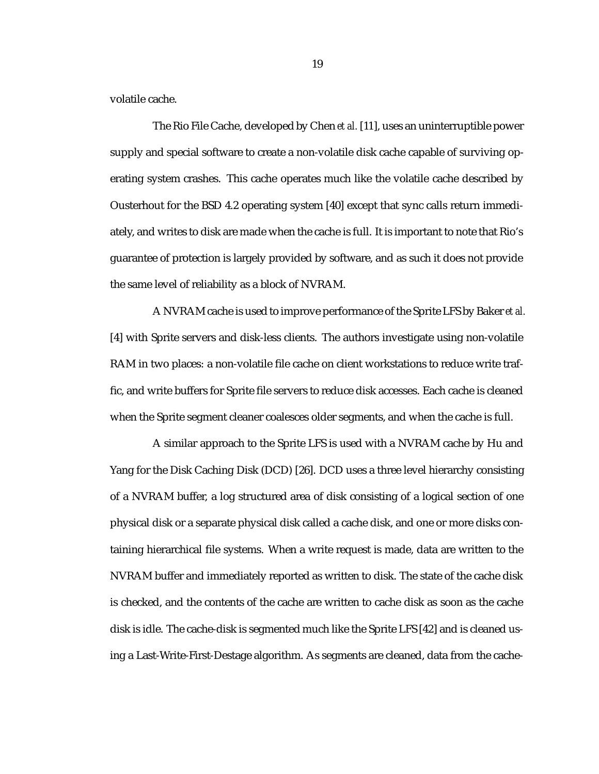volatile cache.

The Rio File Cache, developed by Chen *et al.* [11], uses an uninterruptible power supply and special software to create a non-volatile disk cache capable of surviving operating system crashes. This cache operates much like the volatile cache described by Ousterhout for the BSD 4.2 operating system [40] except that sync calls return immediately, and writes to disk are made when the cache is full. It is important to note that Rio's guarantee of protection is largely provided by software, and as such it does not provide the same level of reliability as a block of NVRAM.

A NVRAM cache is used to improve performance of the Sprite LFS by Baker*et al.* [4] with Sprite servers and disk-less clients. The authors investigate using non-volatile RAM in two places: a non-volatile file cache on client workstations to reduce write traffic, and write buffers for Sprite file servers to reduce disk accesses. Each cache is cleaned when the Sprite segment cleaner coalesces older segments, and when the cache is full.

A similar approach to the Sprite LFS is used with a NVRAM cache by Hu and Yang for the Disk Caching Disk (DCD) [26]. DCD uses a three level hierarchy consisting of a NVRAM buffer, a log structured area of disk consisting of a logical section of one physical disk or a separate physical disk called a cache disk, and one or more disks containing hierarchical file systems. When a write request is made, data are written to the NVRAM buffer and immediately reported as written to disk. The state of the cache disk is checked, and the contents of the cache are written to cache disk as soon as the cache disk is idle. The cache-disk is segmented much like the Sprite LFS [42] and is cleaned using a Last-Write-First-Destage algorithm. As segments are cleaned, data from the cache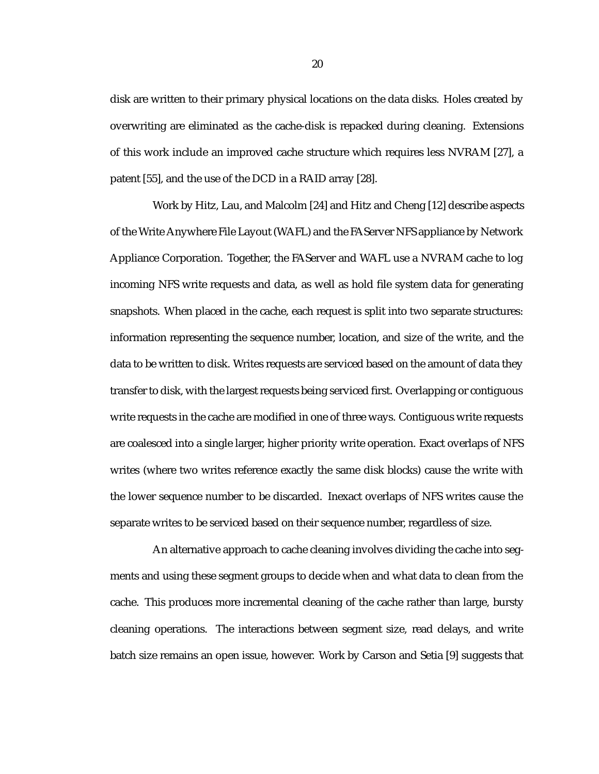disk are written to their primary physical locations on the data disks. Holes created by overwriting are eliminated as the cache-disk is repacked during cleaning. Extensions of this work include an improved cache structure which requires less NVRAM [27], a patent [55], and the use of the DCD in a RAID array [28].

Work by Hitz, Lau, and Malcolm [24] and Hitz and Cheng [12] describe aspects of the Write Anywhere File Layout (WAFL) and the FAServer NFS appliance by Network Appliance Corporation. Together, the FAServer and WAFL use a NVRAM cache to log incoming NFS write requests and data, as well as hold file system data for generating snapshots. When placed in the cache, each request is split into two separate structures: information representing the sequence number, location, and size of the write, and the data to be written to disk. Writes requests are serviced based on the amount of data they transfer to disk, with the largest requests being serviced first. Overlapping or contiguous write requests in the cache are modified in one of three ways. Contiguous write requests are coalesced into a single larger, higher priority write operation. Exact overlaps of NFS writes (where two writes reference exactly the same disk blocks) cause the write with the lower sequence number to be discarded. Inexact overlaps of NFS writes cause the separate writes to be serviced based on their sequence number, regardless of size.

An alternative approach to cache cleaning involves dividing the cache into segments and using these segment groups to decide when and what data to clean from the cache. This produces more incremental cleaning of the cache rather than large, bursty cleaning operations. The interactions between segment size, read delays, and write batch size remains an open issue, however. Work by Carson and Setia [9] suggests that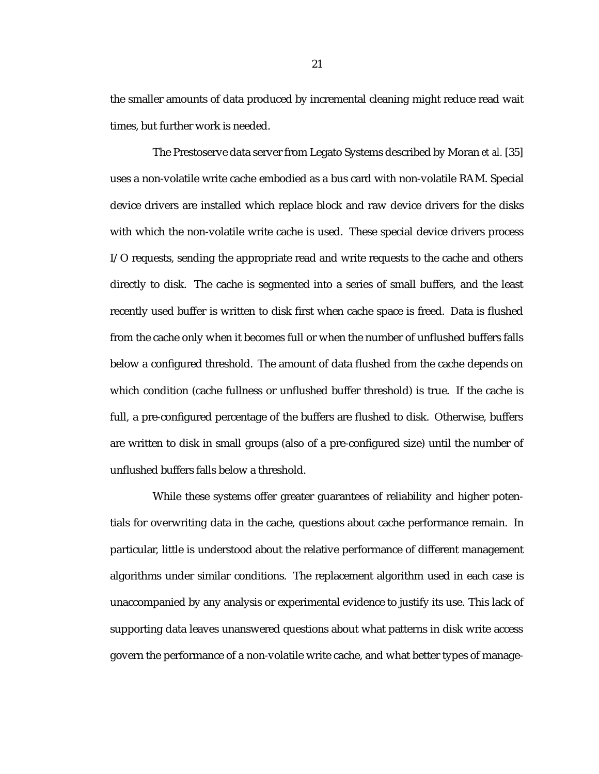the smaller amounts of data produced by incremental cleaning might reduce read wait times, but further work is needed.

The Prestoserve data server from Legato Systems described by Moran *et al.* [35] uses a non-volatile write cache embodied as a bus card with non-volatile RAM. Special device drivers are installed which replace block and raw device drivers for the disks with which the non-volatile write cache is used. These special device drivers process I/O requests, sending the appropriate read and write requests to the cache and others directly to disk. The cache is segmented into a series of small buffers, and the least recently used buffer is written to disk first when cache space is freed. Data is flushed from the cache only when it becomes full or when the number of unflushed buffers falls below a configured threshold. The amount of data flushed from the cache depends on which condition (cache fullness or unflushed buffer threshold) is true. If the cache is full, a pre-configured percentage of the buffers are flushed to disk. Otherwise, buffers are written to disk in small groups (also of a pre-configured size) until the number of unflushed buffers falls below a threshold.

While these systems offer greater guarantees of reliability and higher potentials for overwriting data in the cache, questions about cache performance remain. In particular, little is understood about the relative performance of different management algorithms under similar conditions. The replacement algorithm used in each case is unaccompanied by any analysis or experimental evidence to justify its use. This lack of supporting data leaves unanswered questions about what patterns in disk write access govern the performance of a non-volatile write cache, and what better types of manage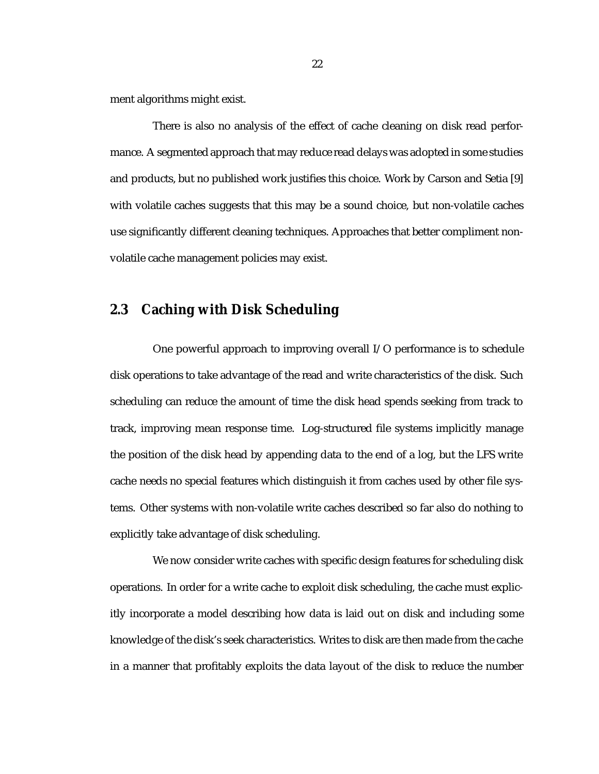ment algorithms might exist.

There is also no analysis of the effect of cache cleaning on disk read performance. A segmented approach that may reduce read delays was adopted in some studies and products, but no published work justifies this choice. Work by Carson and Setia [9] with volatile caches suggests that this may be a sound choice, but non-volatile caches use significantly different cleaning techniques. Approaches that better compliment nonvolatile cache management policies may exist.

### **2.3 Caching with Disk Scheduling**

One powerful approach to improving overall I/O performance is to schedule disk operations to take advantage of the read and write characteristics of the disk. Such scheduling can reduce the amount of time the disk head spends seeking from track to track, improving mean response time. Log-structured file systems implicitly manage the position of the disk head by appending data to the end of a log, but the LFS write cache needs no special features which distinguish it from caches used by other file systems. Other systems with non-volatile write caches described so far also do nothing to explicitly take advantage of disk scheduling.

We now consider write caches with specific design features for scheduling disk operations. In order for a write cache to exploit disk scheduling, the cache must explicitly incorporate a model describing how data is laid out on disk and including some knowledge of the disk's seek characteristics. Writes to disk are then made from the cache in a manner that profitably exploits the data layout of the disk to reduce the number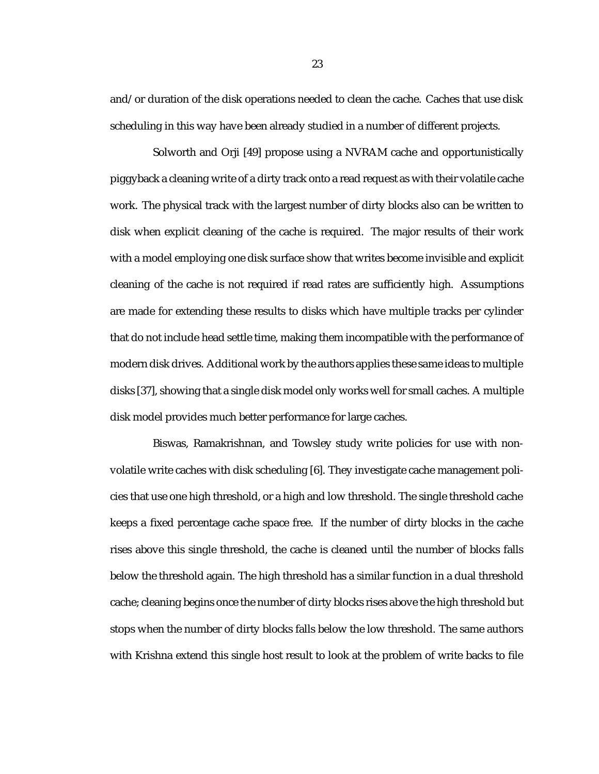and/or duration of the disk operations needed to clean the cache. Caches that use disk scheduling in this way have been already studied in a number of different projects.

Solworth and Orji [49] propose using a NVRAM cache and opportunistically piggyback a cleaning write of a dirty track onto a read request as with their volatile cache work. The physical track with the largest number of dirty blocks also can be written to disk when explicit cleaning of the cache is required. The major results of their work with a model employing one disk surface show that writes become invisible and explicit cleaning of the cache is not required if read rates are sufficiently high. Assumptions are made for extending these results to disks which have multiple tracks per cylinder that do not include head settle time, making them incompatible with the performance of modern disk drives. Additional work by the authors applies these same ideas to multiple disks [37], showing that a single disk model only works well for small caches. A multiple disk model provides much better performance for large caches.

Biswas, Ramakrishnan, and Towsley study write policies for use with nonvolatile write caches with disk scheduling [6]. They investigate cache management policies that use one high threshold, or a high and low threshold. The single threshold cache keeps a fixed percentage cache space free. If the number of dirty blocks in the cache rises above this single threshold, the cache is cleaned until the number of blocks falls below the threshold again. The high threshold has a similar function in a dual threshold cache; cleaning begins once the number of dirty blocks rises above the high threshold but stops when the number of dirty blocks falls below the low threshold. The same authors with Krishna extend this single host result to look at the problem of write backs to file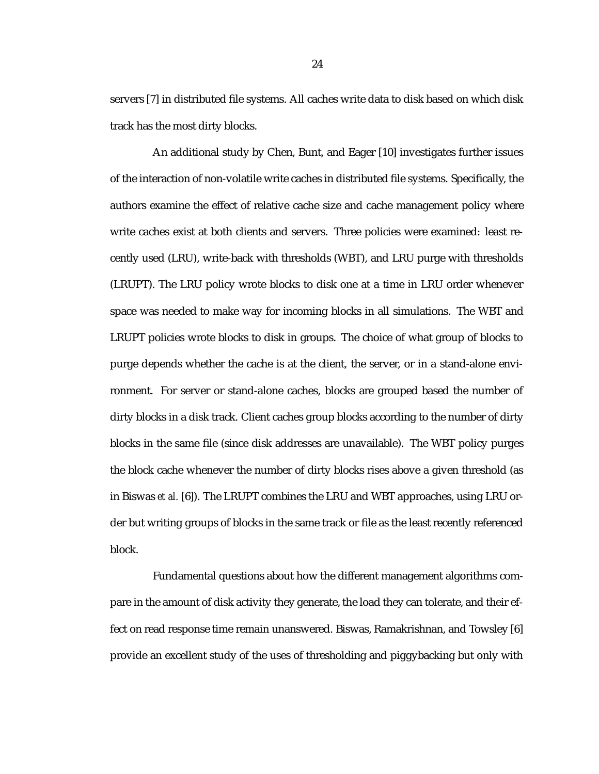servers [7] in distributed file systems. All caches write data to disk based on which disk track has the most dirty blocks.

An additional study by Chen, Bunt, and Eager [10] investigates further issues of the interaction of non-volatile write caches in distributed file systems. Specifically, the authors examine the effect of relative cache size and cache management policy where write caches exist at both clients and servers. Three policies were examined: least recently used (LRU), write-back with thresholds (WBT), and LRU purge with thresholds (LRUPT). The LRU policy wrote blocks to disk one at a time in LRU order whenever space was needed to make way for incoming blocks in all simulations. The WBT and LRUPT policies wrote blocks to disk in groups. The choice of what group of blocks to purge depends whether the cache is at the client, the server, or in a stand-alone environment. For server or stand-alone caches, blocks are grouped based the number of dirty blocks in a disk track. Client caches group blocks according to the number of dirty blocks in the same file (since disk addresses are unavailable). The WBT policy purges the block cache whenever the number of dirty blocks rises above a given threshold (as in Biswas *et al.* [6]). The LRUPT combines the LRU and WBT approaches, using LRU order but writing groups of blocks in the same track or file as the least recently referenced block.

Fundamental questions about how the different management algorithms compare in the amount of disk activity they generate, the load they can tolerate, and their effect on read response time remain unanswered. Biswas, Ramakrishnan, and Towsley [6] provide an excellent study of the uses of thresholding and piggybacking but only with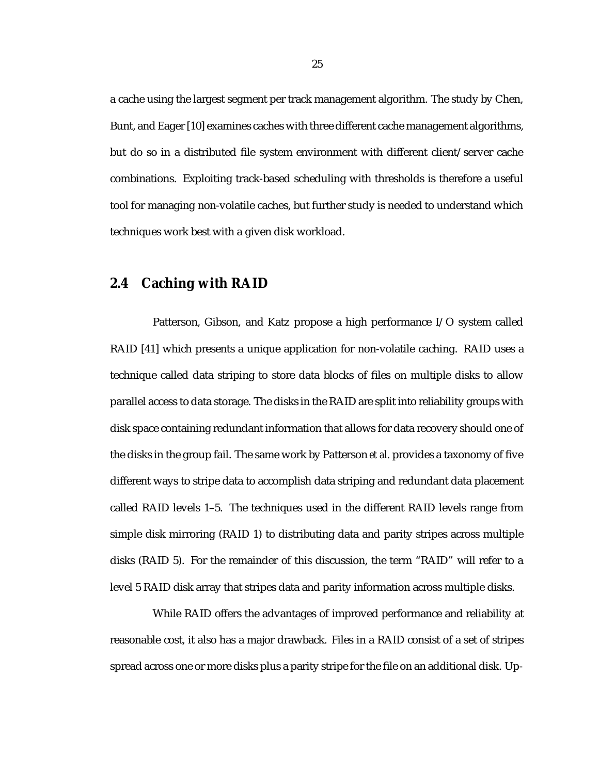a cache using the largest segment per track management algorithm. The study by Chen, Bunt, and Eager [10] examines caches with three different cache management algorithms, but do so in a distributed file system environment with different client/server cache combinations. Exploiting track-based scheduling with thresholds is therefore a useful tool for managing non-volatile caches, but further study is needed to understand which techniques work best with a given disk workload.

#### **2.4 Caching with RAID**

Patterson, Gibson, and Katz propose a high performance I/O system called RAID [41] which presents a unique application for non-volatile caching. RAID uses a technique called data striping to store data blocks of files on multiple disks to allow parallel access to data storage. The disks in the RAID are split into reliability groups with disk space containing redundant information that allows for data recovery should one of the disks in the group fail. The same work by Patterson *et al.* provides a taxonomy of five different ways to stripe data to accomplish data striping and redundant data placement called RAID levels 1–5. The techniques used in the different RAID levels range from simple disk mirroring (RAID 1) to distributing data and parity stripes across multiple disks (RAID 5). For the remainder of this discussion, the term "RAID" will refer to a level 5 RAID disk array that stripes data and parity information across multiple disks.

While RAID offers the advantages of improved performance and reliability at reasonable cost, it also has a major drawback. Files in a RAID consist of a set of stripes spread across one or more disks plus a parity stripe for the file on an additional disk. Up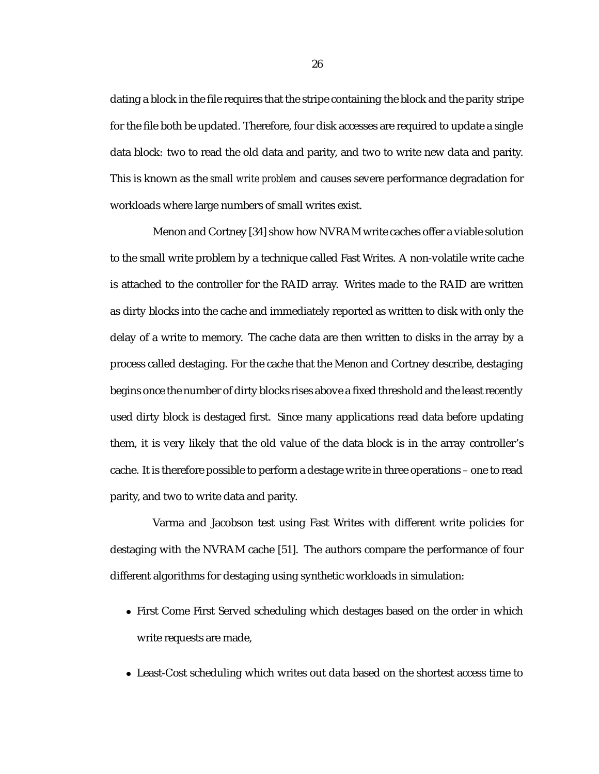dating a block in the file requires that the stripe containing the block and the parity stripe for the file both be updated. Therefore, four disk accesses are required to update a single data block: two to read the old data and parity, and two to write new data and parity. This is known as the *small write problem* and causes severe performance degradation for workloads where large numbers of small writes exist.

Menon and Cortney [34] show how NVRAM write caches offer a viable solution to the small write problem by a technique called Fast Writes. A non-volatile write cache is attached to the controller for the RAID array. Writes made to the RAID are written as dirty blocks into the cache and immediately reported as written to disk with only the delay of a write to memory. The cache data are then written to disks in the array by a process called destaging. For the cache that the Menon and Cortney describe, destaging begins once the number of dirty blocks rises above a fixed threshold and the least recently used dirty block is destaged first. Since many applications read data before updating them, it is very likely that the old value of the data block is in the array controller's cache. It is therefore possible to perform a destage write in three operations – one to read parity, and two to write data and parity.

Varma and Jacobson test using Fast Writes with different write policies for destaging with the NVRAM cache [51]. The authors compare the performance of four different algorithms for destaging using synthetic workloads in simulation:

- First Come First Served scheduling which destages based on the order in which write requests are made,
- Least-Cost scheduling which writes out data based on the shortest access time to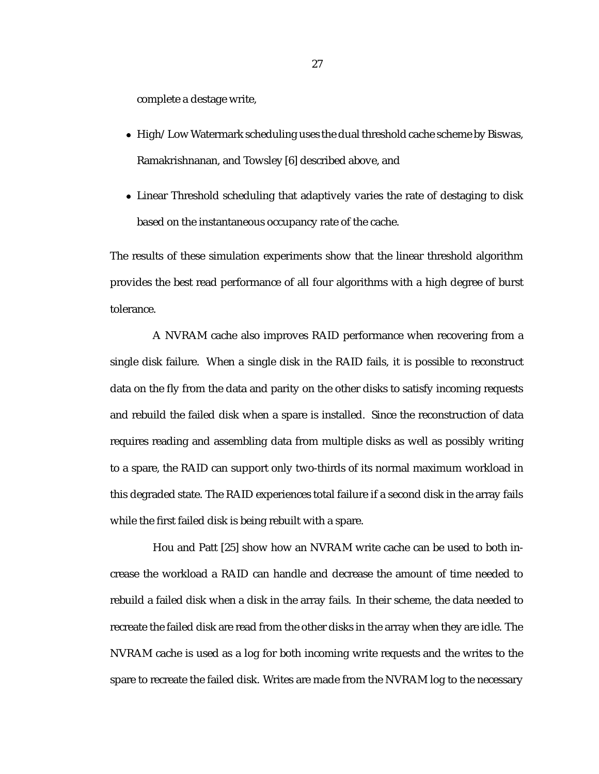complete a destage write,

- High/Low Watermark scheduling uses the dual threshold cache scheme by Biswas, Ramakrishnanan, and Towsley [6] described above, and
- Linear Threshold scheduling that adaptively varies the rate of destaging to disk based on the instantaneous occupancy rate of the cache.

The results of these simulation experiments show that the linear threshold algorithm provides the best read performance of all four algorithms with a high degree of burst tolerance.

A NVRAM cache also improves RAID performance when recovering from a single disk failure. When a single disk in the RAID fails, it is possible to reconstruct data on the fly from the data and parity on the other disks to satisfy incoming requests and rebuild the failed disk when a spare is installed. Since the reconstruction of data requires reading and assembling data from multiple disks as well as possibly writing to a spare, the RAID can support only two-thirds of its normal maximum workload in this degraded state. The RAID experiences total failure if a second disk in the array fails while the first failed disk is being rebuilt with a spare.

Hou and Patt [25] show how an NVRAM write cache can be used to both increase the workload a RAID can handle and decrease the amount of time needed to rebuild a failed disk when a disk in the array fails. In their scheme, the data needed to recreate the failed disk are read from the other disks in the array when they are idle. The NVRAM cache is used as a log for both incoming write requests and the writes to the spare to recreate the failed disk. Writes are made from the NVRAM log to the necessary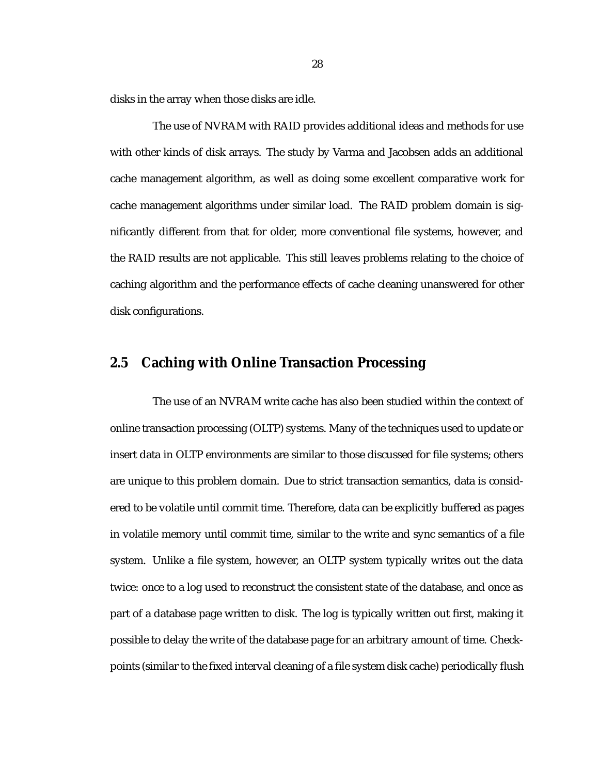disks in the array when those disks are idle.

The use of NVRAM with RAID provides additional ideas and methods for use with other kinds of disk arrays. The study by Varma and Jacobsen adds an additional cache management algorithm, as well as doing some excellent comparative work for cache management algorithms under similar load. The RAID problem domain is significantly different from that for older, more conventional file systems, however, and the RAID results are not applicable. This still leaves problems relating to the choice of caching algorithm and the performance effects of cache cleaning unanswered for other disk configurations.

#### **2.5 Caching with Online Transaction Processing**

The use of an NVRAM write cache has also been studied within the context of online transaction processing (OLTP) systems. Many of the techniques used to update or insert data in OLTP environments are similar to those discussed for file systems; others are unique to this problem domain. Due to strict transaction semantics, data is considered to be volatile until commit time. Therefore, data can be explicitly buffered as pages in volatile memory until commit time, similar to the write and sync semantics of a file system. Unlike a file system, however, an OLTP system typically writes out the data twice: once to a log used to reconstruct the consistent state of the database, and once as part of a database page written to disk. The log is typically written out first, making it possible to delay the write of the database page for an arbitrary amount of time. Checkpoints (similar to the fixed interval cleaning of a file system disk cache) periodically flush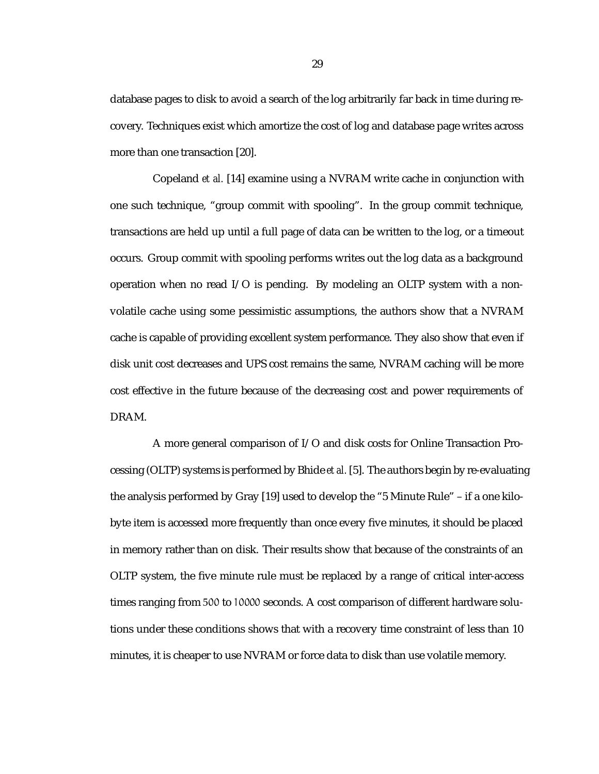database pages to disk to avoid a search of the log arbitrarily far back in time during recovery. Techniques exist which amortize the cost of log and database page writes across more than one transaction [20].

Copeland *et al.* [14] examine using a NVRAM write cache in conjunction with one such technique, "group commit with spooling". In the group commit technique, transactions are held up until a full page of data can be written to the log, or a timeout occurs. Group commit with spooling performs writes out the log data as a background operation when no read I/O is pending. By modeling an OLTP system with a nonvolatile cache using some pessimistic assumptions, the authors show that a NVRAM cache is capable of providing excellent system performance. They also show that even if disk unit cost decreases and UPS cost remains the same, NVRAM caching will be more cost effective in the future because of the decreasing cost and power requirements of DRAM.

A more general comparison of I/O and disk costs for Online Transaction Processing (OLTP) systems is performed by Bhide *et al.* [5]. The authors begin by re-evaluating the analysis performed by Gray [19] used to develop the "5 Minute Rule" – if a one kilobyte item is accessed more frequently than once every five minutes, it should be placed in memory rather than on disk. Their results show that because of the constraints of an OLTP system, the five minute rule must be replaced by a range of critical inter-access times ranging from 500 to 10000 seconds. A cost comparison of different hardware solutions under these conditions shows that with a recovery time constraint of less than 10 minutes, it is cheaper to use NVRAM or force data to disk than use volatile memory.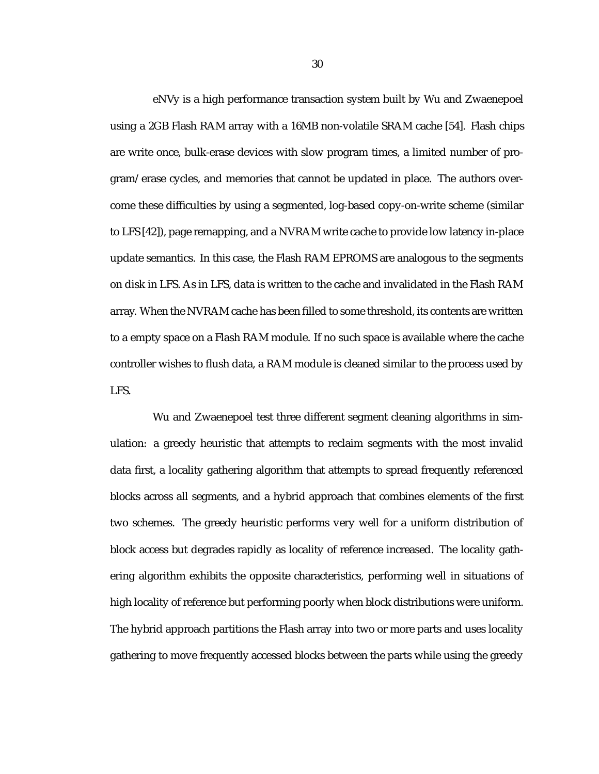eNVy is a high performance transaction system built by Wu and Zwaenepoel using a 2GB Flash RAM array with a 16MB non-volatile SRAM cache [54]. Flash chips are write once, bulk-erase devices with slow program times, a limited number of program/erase cycles, and memories that cannot be updated in place. The authors overcome these difficulties by using a segmented, log-based copy-on-write scheme (similar to LFS [42]), page remapping, and a NVRAM write cache to provide low latency in-place update semantics. In this case, the Flash RAM EPROMS are analogous to the segments on disk in LFS. As in LFS, data is written to the cache and invalidated in the Flash RAM array. When the NVRAM cache has been filled to some threshold, its contents are written to a empty space on a Flash RAM module. If no such space is available where the cache controller wishes to flush data, a RAM module is cleaned similar to the process used by LFS.

Wu and Zwaenepoel test three different segment cleaning algorithms in simulation: a greedy heuristic that attempts to reclaim segments with the most invalid data first, a locality gathering algorithm that attempts to spread frequently referenced blocks across all segments, and a hybrid approach that combines elements of the first two schemes. The greedy heuristic performs very well for a uniform distribution of block access but degrades rapidly as locality of reference increased. The locality gathering algorithm exhibits the opposite characteristics, performing well in situations of high locality of reference but performing poorly when block distributions were uniform. The hybrid approach partitions the Flash array into two or more parts and uses locality gathering to move frequently accessed blocks between the parts while using the greedy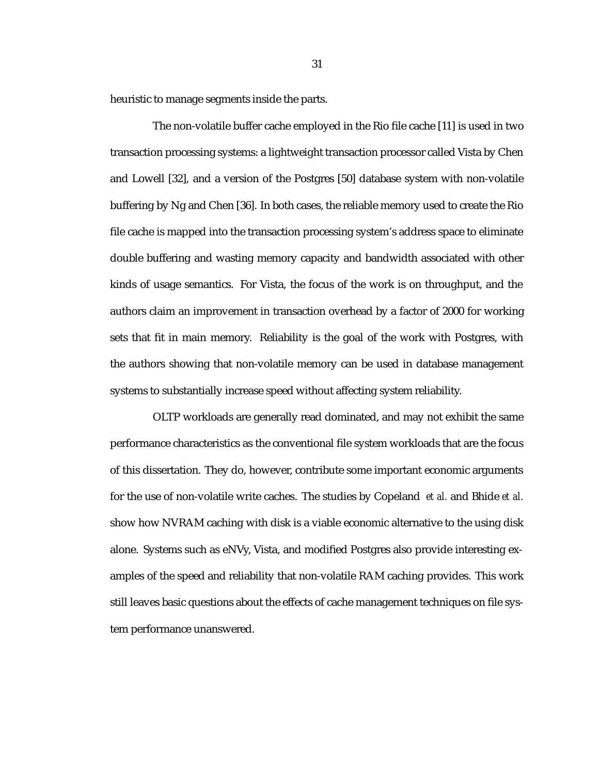heuristic to manage segments inside the parts.

The non-volatile buffer cache employed in the Rio file cache [11] is used in two transaction processing systems: a lightweight transaction processor called Vista by Chen and Lowell [32], and a version of the Postgres [50] database system with non-volatile buffering by Ng and Chen [36]. In both cases, the reliable memory used to create the Rio file cache is mapped into the transaction processing system's address space to eliminate double buffering and wasting memory capacity and bandwidth associated with other kinds of usage semantics. For Vista, the focus of the work is on throughput, and the authors claim an improvement in transaction overhead by a factor of 2000 for working sets that fit in main memory. Reliability is the goal of the work with Postgres, with the authors showing that non-volatile memory can be used in database management systems to substantially increase speed without affecting system reliability.

OLTP workloads are generally read dominated, and may not exhibit the same performance characteristics as the conventional file system workloads that are the focus of this dissertation. They do, however, contribute some important economic arguments for the use of non-volatile write caches. The studies by Copeland *et al.* and Bhide *et al.* show how NVRAM caching with disk is a viable economic alternative to the using disk alone. Systems such as eNVy, Vista, and modified Postgres also provide interesting examples of the speed and reliability that non-volatile RAM caching provides. This work still leaves basic questions about the effects of cache management techniques on file system performance unanswered.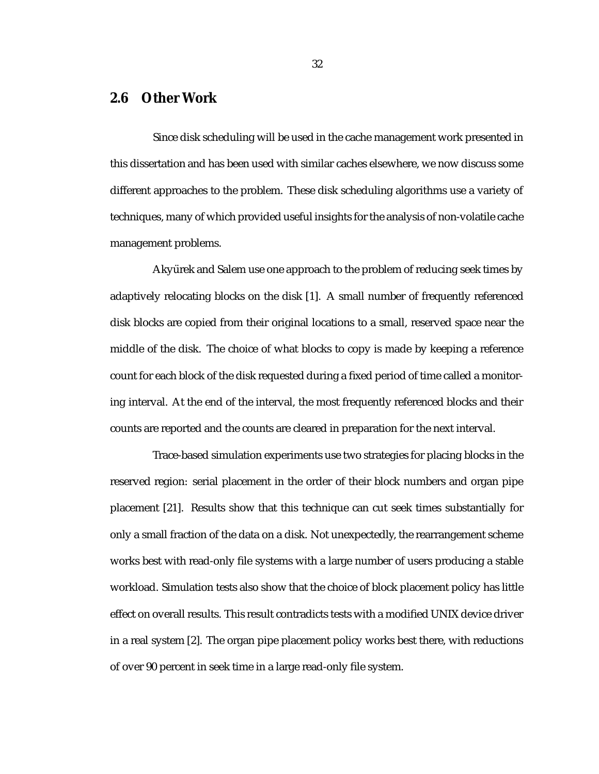#### **2.6 Other Work**

Since disk scheduling will be used in the cache management work presented in this dissertation and has been used with similar caches elsewhere, we now discuss some different approaches to the problem. These disk scheduling algorithms use a variety of techniques, many of which provided useful insights for the analysis of non-volatile cache management problems.

Aky ürek and Salem use one approach to the problem of reducing seek times by adaptively relocating blocks on the disk [1]. A small number of frequently referenced disk blocks are copied from their original locations to a small, reserved space near the middle of the disk. The choice of what blocks to copy is made by keeping a reference count for each block of the disk requested during a fixed period of time called a monitoring interval. At the end of the interval, the most frequently referenced blocks and their counts are reported and the counts are cleared in preparation for the next interval.

Trace-based simulation experiments use two strategies for placing blocks in the reserved region: serial placement in the order of their block numbers and organ pipe placement [21]. Results show that this technique can cut seek times substantially for only a small fraction of the data on a disk. Not unexpectedly, the rearrangement scheme works best with read-only file systems with a large number of users producing a stable workload. Simulation tests also show that the choice of block placement policy has little effect on overall results. This result contradicts tests with a modified UNIX device driver in a real system [2]. The organ pipe placement policy works best there, with reductions of over 90 percent in seek time in a large read-only file system.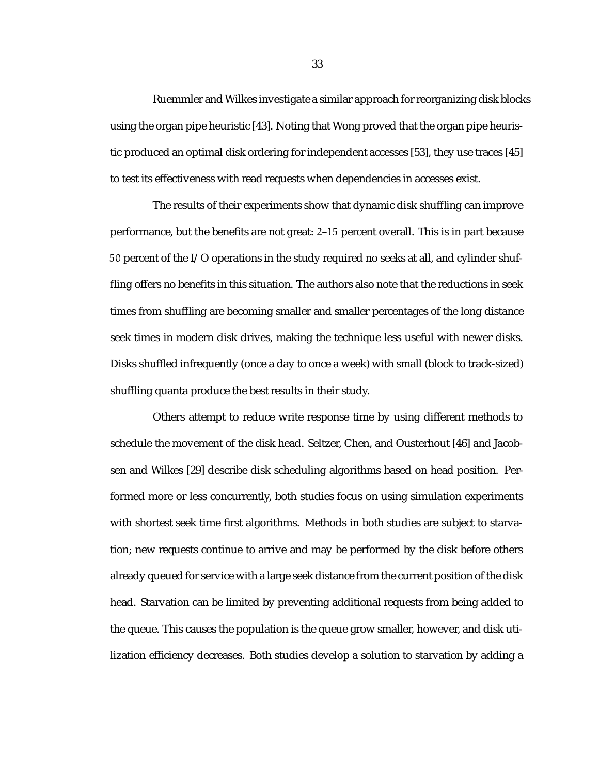Ruemmler and Wilkes investigate a similar approach for reorganizing disk blocks using the organ pipe heuristic [43]. Noting that Wong proved that the organ pipe heuristic produced an optimal disk ordering for independent accesses [53], they use traces [45] to test its effectiveness with read requests when dependencies in accesses exist.

The results of their experiments show that dynamic disk shuffling can improve performance, but the benefits are not great: 2–15 percent overall. This is in part because 50 percent of the I/O operations in the study required no seeks at all, and cylinder shuffling offers no benefits in this situation. The authors also note that the reductions in seek times from shuffling are becoming smaller and smaller percentages of the long distance seek times in modern disk drives, making the technique less useful with newer disks. Disks shuffled infrequently (once a day to once a week) with small (block to track-sized) shuffling quanta produce the best results in their study.

Others attempt to reduce write response time by using different methods to schedule the movement of the disk head. Seltzer, Chen, and Ousterhout [46] and Jacobsen and Wilkes [29] describe disk scheduling algorithms based on head position. Performed more or less concurrently, both studies focus on using simulation experiments with shortest seek time first algorithms. Methods in both studies are subject to starvation; new requests continue to arrive and may be performed by the disk before others already queued for service with a large seek distance from the current position of the disk head. Starvation can be limited by preventing additional requests from being added to the queue. This causes the population is the queue grow smaller, however, and disk utilization efficiency decreases. Both studies develop a solution to starvation by adding a

33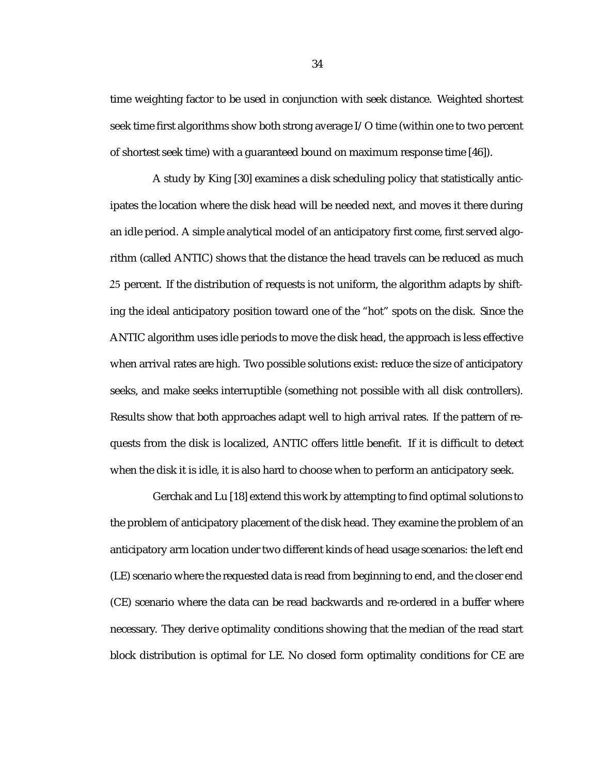time weighting factor to be used in conjunction with seek distance. Weighted shortest seek time first algorithms show both strong average I/O time (within one to two percent of shortest seek time) with a guaranteed bound on maximum response time [46]).

A study by King [30] examines a disk scheduling policy that statistically anticipates the location where the disk head will be needed next, and moves it there during an idle period. A simple analytical model of an anticipatory first come, first served algorithm (called ANTIC) shows that the distance the head travels can be reduced as much 25 percent. If the distribution of requests is not uniform, the algorithm adapts by shifting the ideal anticipatory position toward one of the "hot" spots on the disk. Since the ANTIC algorithm uses idle periods to move the disk head, the approach is less effective when arrival rates are high. Two possible solutions exist: reduce the size of anticipatory seeks, and make seeks interruptible (something not possible with all disk controllers). Results show that both approaches adapt well to high arrival rates. If the pattern of requests from the disk is localized, ANTIC offers little benefit. If it is difficult to detect when the disk it is idle, it is also hard to choose when to perform an anticipatory seek.

Gerchak and Lu [18] extend this work by attempting to find optimal solutions to the problem of anticipatory placement of the disk head. They examine the problem of an anticipatory arm location under two different kinds of head usage scenarios: the left end (LE) scenario where the requested data is read from beginning to end, and the closer end (CE) scenario where the data can be read backwards and re-ordered in a buffer where necessary. They derive optimality conditions showing that the median of the read start block distribution is optimal for LE. No closed form optimality conditions for CE are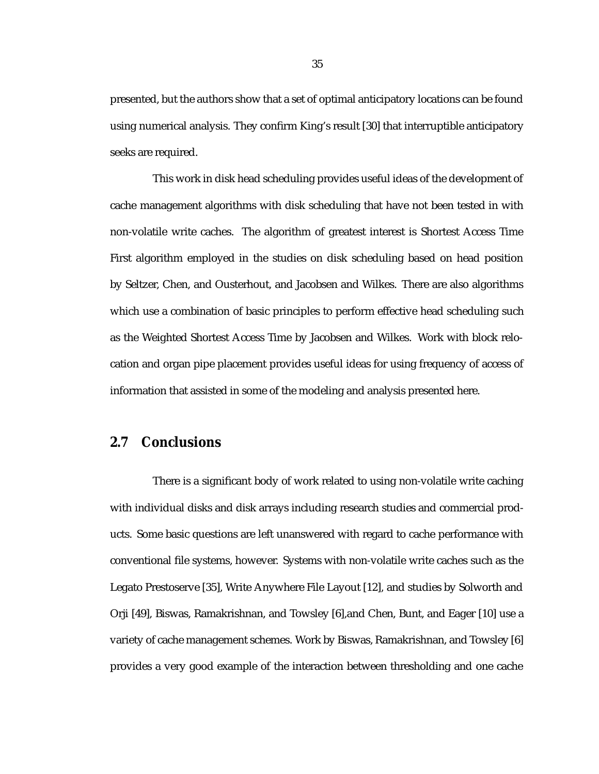presented, but the authors show that a set of optimal anticipatory locations can be found using numerical analysis. They confirm King's result [30] that interruptible anticipatory seeks are required.

This work in disk head scheduling provides useful ideas of the development of cache management algorithms with disk scheduling that have not been tested in with non-volatile write caches. The algorithm of greatest interest is Shortest Access Time First algorithm employed in the studies on disk scheduling based on head position by Seltzer, Chen, and Ousterhout, and Jacobsen and Wilkes. There are also algorithms which use a combination of basic principles to perform effective head scheduling such as the Weighted Shortest Access Time by Jacobsen and Wilkes. Work with block relocation and organ pipe placement provides useful ideas for using frequency of access of information that assisted in some of the modeling and analysis presented here.

#### **2.7 Conclusions**

There is a significant body of work related to using non-volatile write caching with individual disks and disk arrays including research studies and commercial products. Some basic questions are left unanswered with regard to cache performance with conventional file systems, however. Systems with non-volatile write caches such as the Legato Prestoserve [35], Write Anywhere File Layout [12], and studies by Solworth and Orji [49], Biswas, Ramakrishnan, and Towsley [6],and Chen, Bunt, and Eager [10] use a variety of cache management schemes. Work by Biswas, Ramakrishnan, and Towsley [6] provides a very good example of the interaction between thresholding and one cache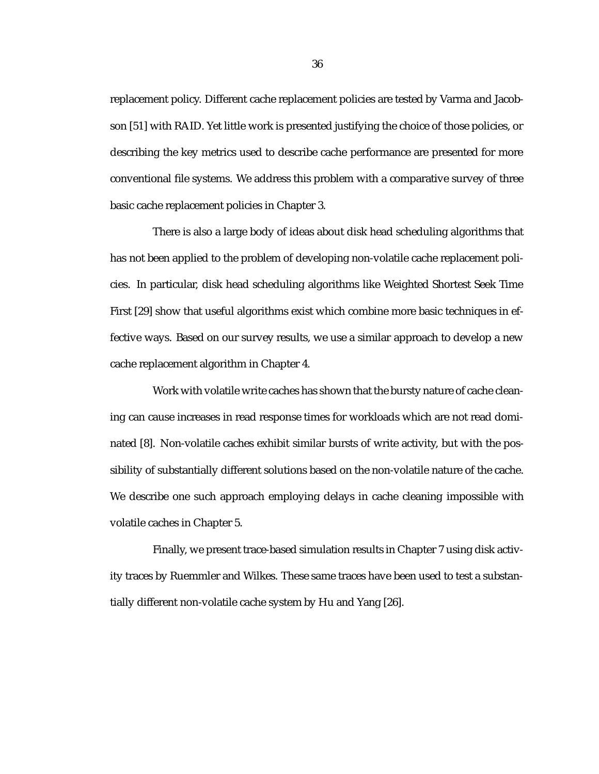replacement policy. Different cache replacement policies are tested by Varma and Jacobson [51] with RAID. Yet little work is presented justifying the choice of those policies, or describing the key metrics used to describe cache performance are presented for more conventional file systems. We address this problem with a comparative survey of three basic cache replacement policies in Chapter 3.

There is also a large body of ideas about disk head scheduling algorithms that has not been applied to the problem of developing non-volatile cache replacement policies. In particular, disk head scheduling algorithms like Weighted Shortest Seek Time First [29] show that useful algorithms exist which combine more basic techniques in effective ways. Based on our survey results, we use a similar approach to develop a new cache replacement algorithm in Chapter 4.

Work with volatile write caches has shown that the bursty nature of cache cleaning can cause increases in read response times for workloads which are not read dominated [8]. Non-volatile caches exhibit similar bursts of write activity, but with the possibility of substantially different solutions based on the non-volatile nature of the cache. We describe one such approach employing delays in cache cleaning impossible with volatile caches in Chapter 5.

Finally, we present trace-based simulation results in Chapter 7 using disk activity traces by Ruemmler and Wilkes. These same traces have been used to test a substantially different non-volatile cache system by Hu and Yang [26].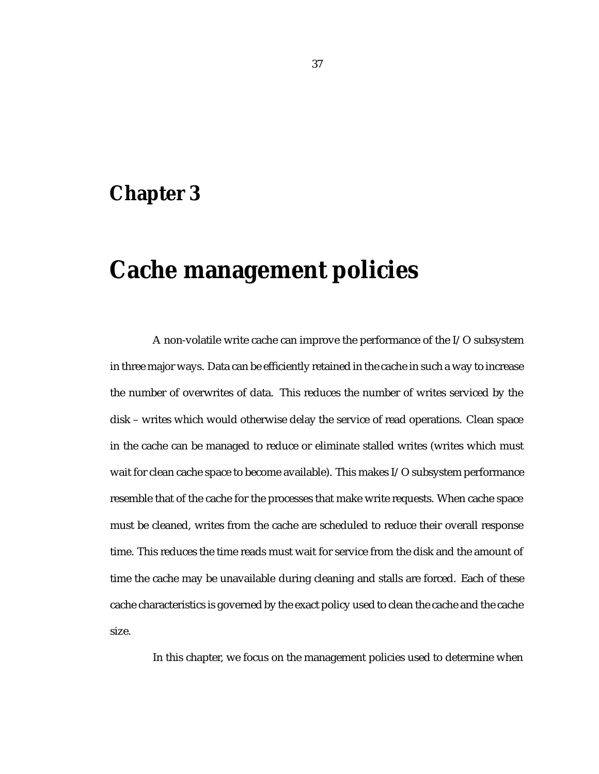### **Chapter 3**

# **Cache management policies**

A non-volatile write cache can improve the performance of the I/O subsystem in three major ways. Data can be efficiently retained in the cache in such a way to increase the number of overwrites of data. This reduces the number of writes serviced by the disk – writes which would otherwise delay the service of read operations. Clean space in the cache can be managed to reduce or eliminate stalled writes (writes which must wait for clean cache space to become available). This makes I/O subsystem performance resemble that of the cache for the processes that make write requests. When cache space must be cleaned, writes from the cache are scheduled to reduce their overall response time. This reduces the time reads must wait for service from the disk and the amount of time the cache may be unavailable during cleaning and stalls are forced. Each of these cache characteristics is governed by the exact policy used to clean the cache and the cache size.

In this chapter, we focus on the management policies used to determine when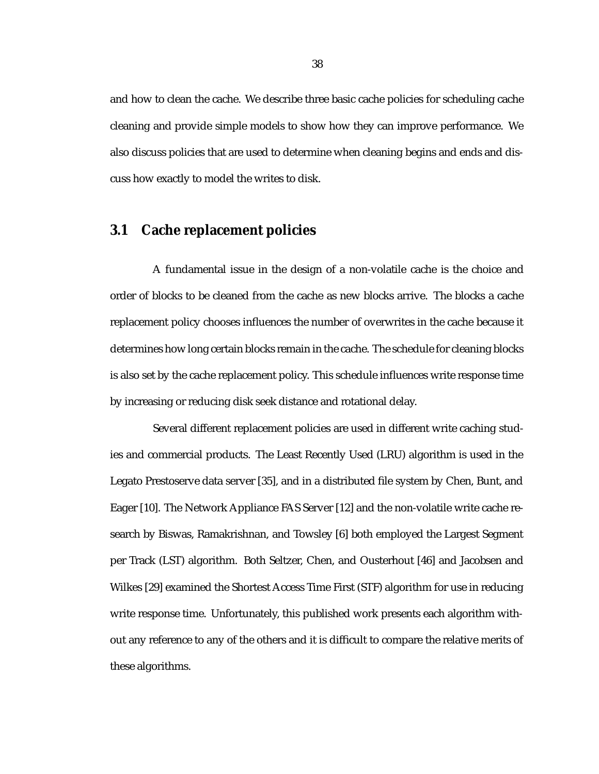and how to clean the cache. We describe three basic cache policies for scheduling cache cleaning and provide simple models to show how they can improve performance. We also discuss policies that are used to determine when cleaning begins and ends and discuss how exactly to model the writes to disk.

#### **3.1 Cache replacement policies**

A fundamental issue in the design of a non-volatile cache is the choice and order of blocks to be cleaned from the cache as new blocks arrive. The blocks a cache replacement policy chooses influences the number of overwrites in the cache because it determines how long certain blocks remain in the cache. The schedule for cleaning blocks is also set by the cache replacement policy. This schedule influences write response time by increasing or reducing disk seek distance and rotational delay.

Several different replacement policies are used in different write caching studies and commercial products. The Least Recently Used (LRU) algorithm is used in the Legato Prestoserve data server [35], and in a distributed file system by Chen, Bunt, and Eager [10]. The Network Appliance FAS Server [12] and the non-volatile write cache research by Biswas, Ramakrishnan, and Towsley [6] both employed the Largest Segment per Track (LST) algorithm. Both Seltzer, Chen, and Ousterhout [46] and Jacobsen and Wilkes [29] examined the Shortest Access Time First (STF) algorithm for use in reducing write response time. Unfortunately, this published work presents each algorithm without any reference to any of the others and it is difficult to compare the relative merits of these algorithms.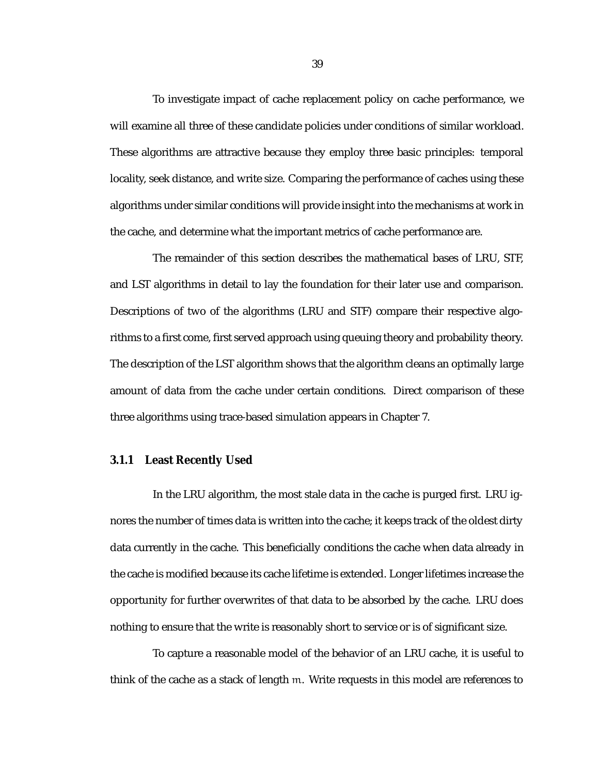To investigate impact of cache replacement policy on cache performance, we will examine all three of these candidate policies under conditions of similar workload. These algorithms are attractive because they employ three basic principles: temporal locality, seek distance, and write size. Comparing the performance of caches using these algorithms under similar conditions will provide insight into the mechanisms at work in the cache, and determine what the important metrics of cache performance are.

The remainder of this section describes the mathematical bases of LRU, STF, and LST algorithms in detail to lay the foundation for their later use and comparison. Descriptions of two of the algorithms (LRU and STF) compare their respective algorithms to a first come, first served approach using queuing theory and probability theory. The description of the LST algorithm shows that the algorithm cleans an optimally large amount of data from the cache under certain conditions. Direct comparison of these three algorithms using trace-based simulation appears in Chapter 7.

#### **3.1.1 Least Recently Used**

In the LRU algorithm, the most stale data in the cache is purged first. LRU ignores the number of times data is written into the cache; it keeps track of the oldest dirty data currently in the cache. This beneficially conditions the cache when data already in the cache is modified because its cache lifetime is extended. Longer lifetimes increase the opportunity for further overwrites of that data to be absorbed by the cache. LRU does nothing to ensure that the write is reasonably short to service or is of significant size.

To capture a reasonable model of the behavior of an LRU cache, it is useful to think of the cache as a stack of length m. Write requests in this model are references to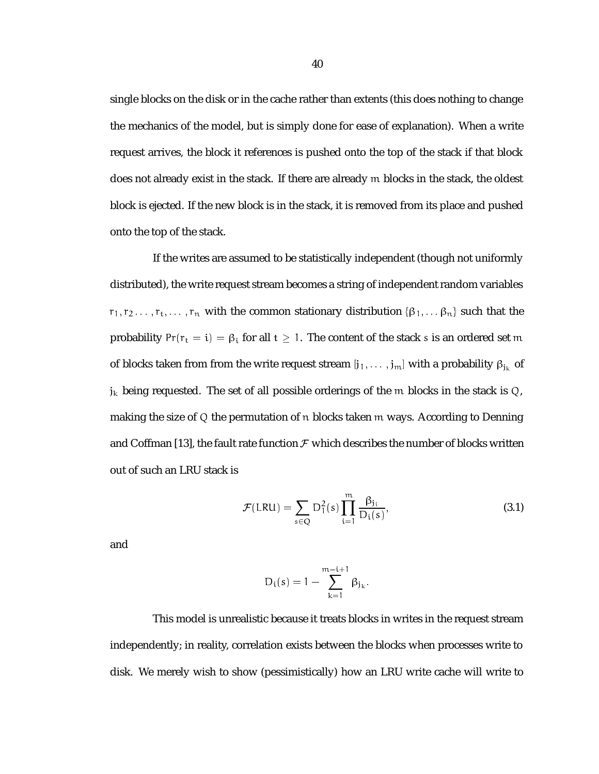single blocks on the disk or in the cache rather than extents (this does nothing to change the mechanics of the model, but is simply done for ease of explanation). When a write request arrives, the block it references is pushed onto the top of the stack if that block does not already exist in the stack. If there are already m blocks in the stack, the oldest block is ejected. If the new block is in the stack, it is removed from its place and pushed onto the top of the stack.

If the writes are assumed to be statistically independent (though not uniformly distributed), the write request stream becomes a string of independent random variables  $r_1,r_2\ldots,r_{\rm t},\ldots,r_{\rm n}$  with the common stationary distribution  $\{\beta_1,\ldots\beta_{\rm n}\}$  such that the probability  $Pr(r_t = i) = \beta_i$  for all  $t \ge 1$ . The content of the stack s is an ordered set m of blocks taken from from the write request stream  $[j_1,\ldots,j_m]$  with a probability  $\beta_{j_k}$  of  $\mathfrak{j}_\mathsf{k}$  being requested. The set of all possible orderings of the  $\mathfrak m$  blocks in the stack is Q, making the size of  $Q$  the permutation of  $n$  blocks taken  $m$  ways. According to Denning and Coffman [13], the fault rate function  $\mathcal F$  which describes the number of blocks written out of such an LRU stack is

$$
\mathcal{F}(\text{LRU}) = \sum_{s \in Q} D_1^2(s) \prod_{i=1}^m \frac{\beta_{j_i}}{D_i(s)},\tag{3.1}
$$

and

$$
D_i(s) = 1 - \sum_{k=1}^{m-i+1} \beta_{j_k}.
$$

This model is unrealistic because it treats blocks in writes in the request stream independently; in reality, correlation exists between the blocks when processes write to disk. We merely wish to show (pessimistically) how an LRU write cache will write to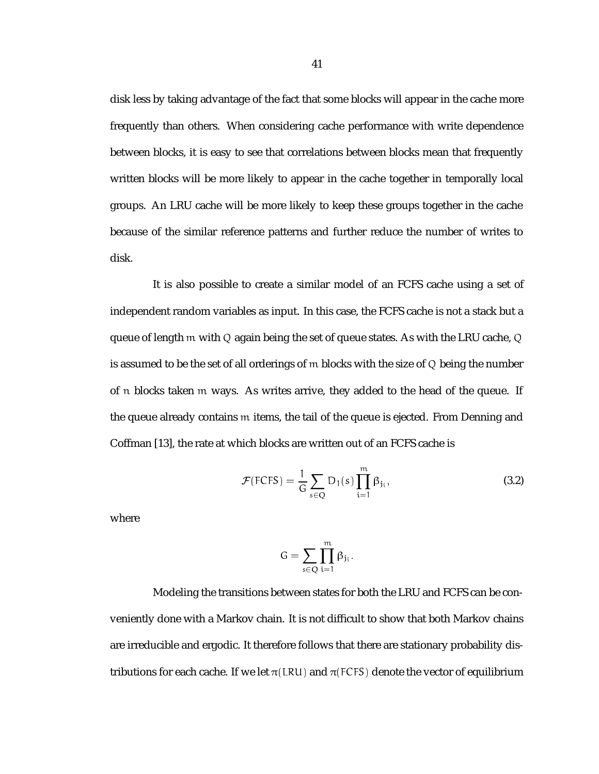disk less by taking advantage of the fact that some blocks will appear in the cache more frequently than others. When considering cache performance with write dependence between blocks, it is easy to see that correlations between blocks mean that frequently written blocks will be more likely to appear in the cache together in temporally local groups. An LRU cache will be more likely to keep these groups together in the cache because of the similar reference patterns and further reduce the number of writes to disk.

It is also possible to create a similar model of an FCFS cache using a set of independent random variables as input. In this case, the FCFS cache is not a stack but a queue of length m with Q again being the set of queue states. As with the LRU cache, Q is assumed to be the set of all orderings of m blocks with the size of Q being the number of n blocks taken m ways. As writes arrive, they added to the head of the queue. If the queue already contains m items, the tail of the queue is ejected. From Denning and Coffman [13], the rate at which blocks are written out of an FCFS cache is

$$
\mathcal{F}(\text{FCFS}) = \frac{1}{G} \sum_{s \in Q} D_1(s) \prod_{i=1}^{m} \beta_{j_i}, \tag{3.2}
$$

where

$$
G=\sum_{s\in Q}\prod_{i=1}^m\beta_{j_i}.
$$

Modeling the transitions between states for both the LRU and FCFS can be conveniently done with a Markov chain. It is not difficult to show that both Markov chains are irreducible and ergodic. It therefore follows that there are stationary probability distributions for each cache. If we let  $\pi$ (LRU) and  $\pi$ (FCFS) denote the vector of equilibrium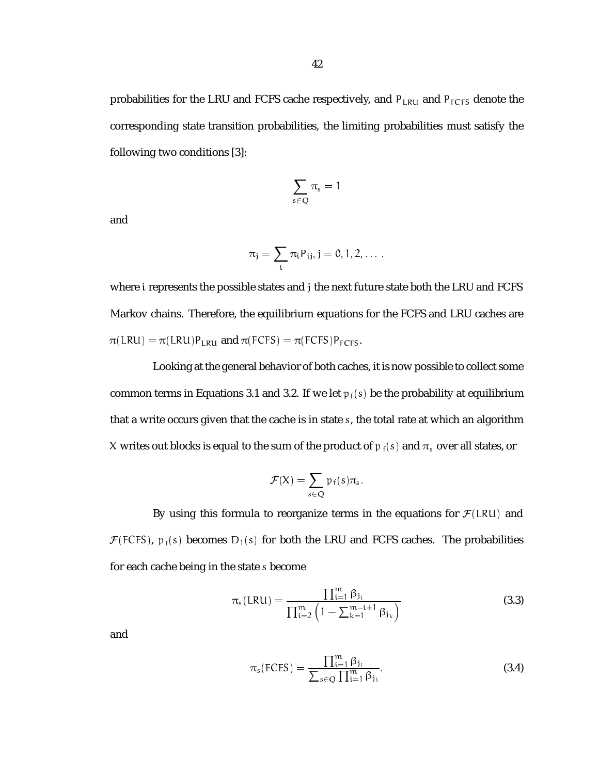probabilities for the LRU and FCFS cache respectively, and  $P_{LRU}$  and  $P_{FCFS}$  denote the corresponding state transition probabilities, the limiting probabilities must satisfy the following two conditions [3]:

$$
\sum_{s\in Q}\pi_s=1
$$

and

$$
\pi_j=\sum_i \pi_i P_{ij}, j=0,1,2,\ldots.
$$

where i represents the possible states and j the next future state both the LRU and FCFS Markov chains. Therefore, the equilibrium equations for the FCFS and LRU caches are  $\pi(LRU) = \pi(LRU)P_{LRU}$  and  $\pi(FCFS) = \pi(FCFS)P_{FCFS}$ .

Looking at the general behavior of both caches, it is now possible to collect some common terms in Equations 3.1 and 3.2. If we let  $p_f(s)$  be the probability at equilibrium that a write occurs given that the cache is in state s, the total rate at which an algorithm X writes out blocks is equal to the sum of the product of  $p_f(s)$  and  $\pi_s$  over all states, or

$$
\mathcal{F}(X) = \sum_{s \in Q} \mathfrak{p}_f(s) \pi_s.
$$

By using this formula to reorganize terms in the equations for  $\mathcal{F}(LRU)$  and  $\mathcal{F}(FCFS)$ ,  $p_f(s)$  becomes  $D_1(s)$  for both the LRU and FCFS caches. The probabilities for each cache being in the state s become

$$
\pi_{s}(LRU) = \frac{\prod_{i=1}^{m} \beta_{j_{i}}}{\prod_{i=2}^{m} \left(1 - \sum_{k=1}^{m-i+1} \beta_{j_{k}}\right)}
$$
(3.3)

and

$$
\pi_{s}(\text{FCFS}) = \frac{\prod_{i=1}^{m} \beta_{j_i}}{\sum_{s \in Q} \prod_{i=1}^{m} \beta_{j_i}}.
$$
\n(3.4)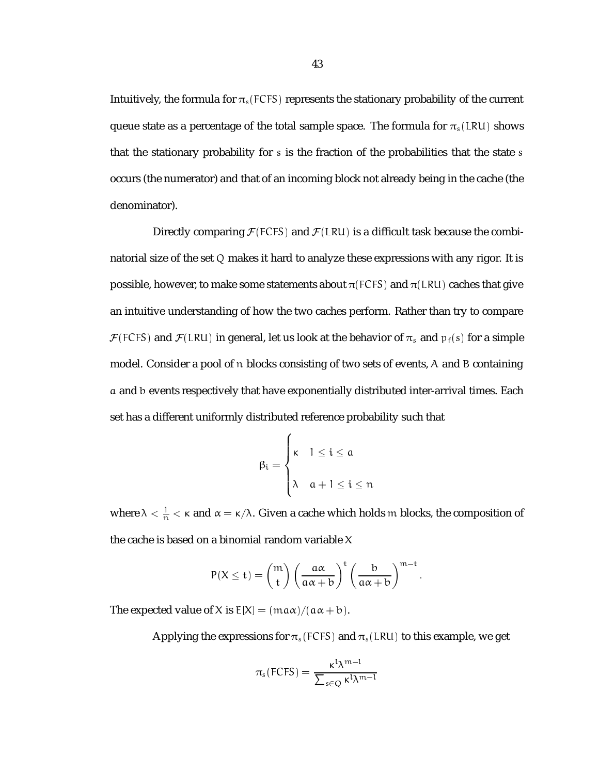Intuitively, the formula for  $\pi_s$  (FCFS) represents the stationary probability of the current queue state as a percentage of the total sample space. The formula for  $\pi_s(LRU)$  shows that the stationary probability for s is the fraction of the probabilities that the state s occurs (the numerator) and that of an incoming block not already being in the cache (the denominator).

Directly comparing  $\mathcal{F}(FCFS)$  and  $\mathcal{F}(LRU)$  is a difficult task because the combinatorial size of the set Q makes it hard to analyze these expressions with any rigor. It is possible, however, to make some statements about  $\pi$ (FCFS) and  $\pi$ (LRU) caches that give an intuitive understanding of how the two caches perform. Rather than try to compare  $\mathcal{F}(FCFS)$  and  $\mathcal{F}(LRU)$  in general, let us look at the behavior of  $\pi_s$  and  $p_f(s)$  for a simple model. Consider a pool of n blocks consisting of two sets of events, A and B containing a and b events respectively that have exponentially distributed inter-arrival times. Each set has a different uniformly distributed reference probability such that

$$
\beta_i = \begin{cases} \kappa & 1 \leq i \leq a \\ \lambda & a+1 \leq i \leq n \end{cases}
$$

where  $\lambda < \frac{1}{n} < \kappa$  and  $\alpha = \kappa/\lambda$ . Given a cache which holds  $m$  blocks, the composition of the cache is based on a binomial random variable X

$$
P(X \leq t) = {m \choose t} \left(\frac{a\alpha}{a\alpha + b}\right)^t \left(\frac{b}{a\alpha + b}\right)^{m-t}.
$$

The expected value of X is  $E[X] = (ma\alpha)/(a\alpha + b)$ .

Applying the expressions for  $\pi_s$  (FCFS) and  $\pi_s$  (LRU) to this example, we get

$$
\pi_s(\mathsf{FCFS}) = \frac{\kappa^l \lambda^{m-l}}{\sum_{s \in Q} \kappa^l \lambda^{m-l}}
$$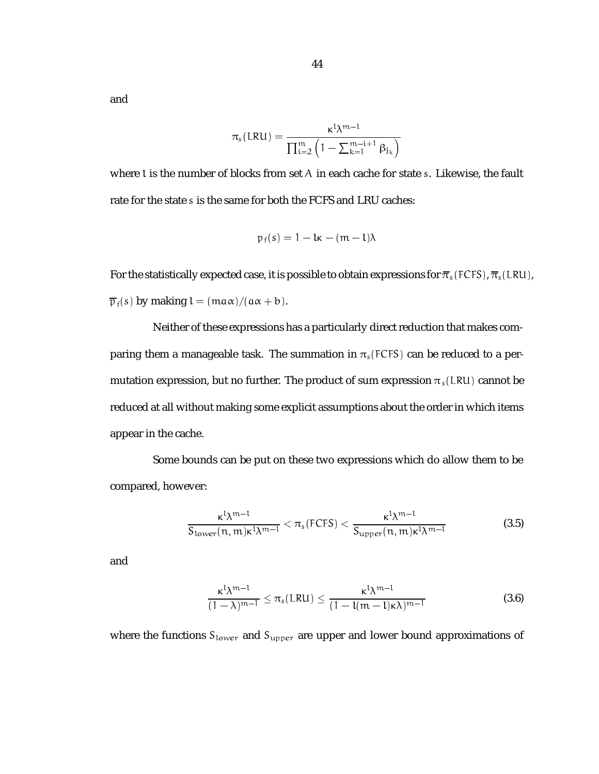and

$$
\pi_{\rm s}(\text{LRU}) = \frac{\kappa^{\rm l} \lambda^{\rm m-l}}{\prod_{\rm i=2}^{\rm m}\left(1-\sum_{\rm k=1}^{\rm m-i+1}\beta_{\rm j_{\rm k}}\right)}
$$

where l is the number of blocks from set A in each cache for state s. Likewise, the fault rate for the state s is the same for both the FCFS and LRU caches:

$$
p_f(s) = 1 - k - (m - k)\lambda
$$

For the statistically expected case, it is possible to obtain expressions for  $\bar{\pi}_s$  (FCFS),  $\bar{\pi}_s$  (LRU),  $\overline{p}_f(s)$  by making  $l = (ma\alpha)/(a\alpha + b)$ .

Neither of these expressions has a particularly direct reduction that makes comparing them a manageable task. The summation in  $\pi_s$ (FCFS) can be reduced to a permutation expression, but no further. The product of sum expression  $\pi_s(LRU)$  cannot be reduced at all without making some explicit assumptions about the order in which items appear in the cache.

Some bounds can be put on these two expressions which do allow them to be compared, however:

$$
\frac{\kappa^l \lambda^{m-l}}{S_{\text{lower}}(n,m) \kappa^l \lambda^{m-l}} < \pi_s(\text{FCFS}) < \frac{\kappa^l \lambda^{m-l}}{S_{\text{upper}}(n,m) \kappa^l \lambda^{m-l}} \tag{3.5}
$$

and

$$
\frac{\kappa^l \lambda^{m-l}}{(1-\lambda)^{m-l}} \le \pi_s(LRU) \le \frac{\kappa^l \lambda^{m-l}}{(1-l(m-l)\kappa\lambda)^{m-l}}
$$
(3.6)

where the functions  $S_{lower}$  and  $S_{upper}$  are upper and lower bound approximations of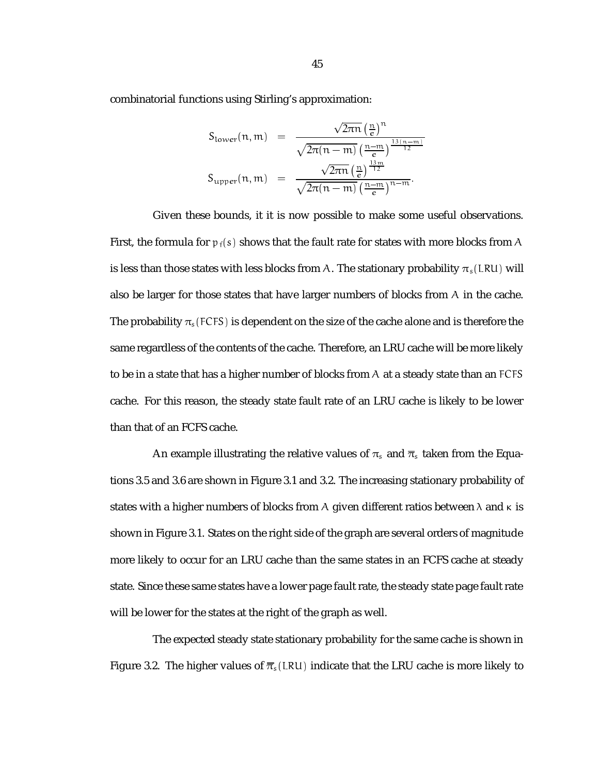combinatorial functions using Stirling's approximation:

$$
S_{\text{lower}}(n, m) = \frac{\sqrt{2\pi n} \left(\frac{n}{e}\right)^n}{\sqrt{2\pi (n-m)} \left(\frac{n-m}{e}\right)^{\frac{13(n-m)}{12}}}
$$

$$
S_{\text{upper}}(n, m) = \frac{\sqrt{2\pi n} \left(\frac{n}{e}\right)^{\frac{13m}{12}}}{\sqrt{2\pi (n-m)} \left(\frac{n-m}{e}\right)^{n-m}}.
$$

Given these bounds, it it is now possible to make some useful observations. First, the formula for  $p_f(s)$  shows that the fault rate for states with more blocks from A is less than those states with less blocks from A. The stationary probability  $\pi_s(LRU)$  will also be larger for those states that have larger numbers of blocks from A in the cache. The probability  $\pi_s$  (FCFS) is dependent on the size of the cache alone and is therefore the same regardless of the contents of the cache. Therefore, an LRU cache will be more likely to be in a state that has a higher number of blocks from A at a steady state than an FCFS cache. For this reason, the steady state fault rate of an LRU cache is likely to be lower than that of an FCFS cache.

An example illustrating the relative values of  $\pi_s$  and  $\overline{\pi}_s$  taken from the Equations 3.5 and 3.6 are shown in Figure 3.1 and 3.2. The increasing stationary probability of states with a higher numbers of blocks from A given different ratios between  $\lambda$  and  $\kappa$  is shown in Figure 3.1. States on the right side of the graph are several orders of magnitude more likely to occur for an LRU cache than the same states in an FCFS cache at steady state. Since these same states have a lower page fault rate, the steady state page fault rate will be lower for the states at the right of the graph as well.

The expected steady state stationary probability for the same cache is shown in Figure 3.2. The higher values of  $\overline{\pi}_{s}(LRU)$  indicate that the LRU cache is more likely to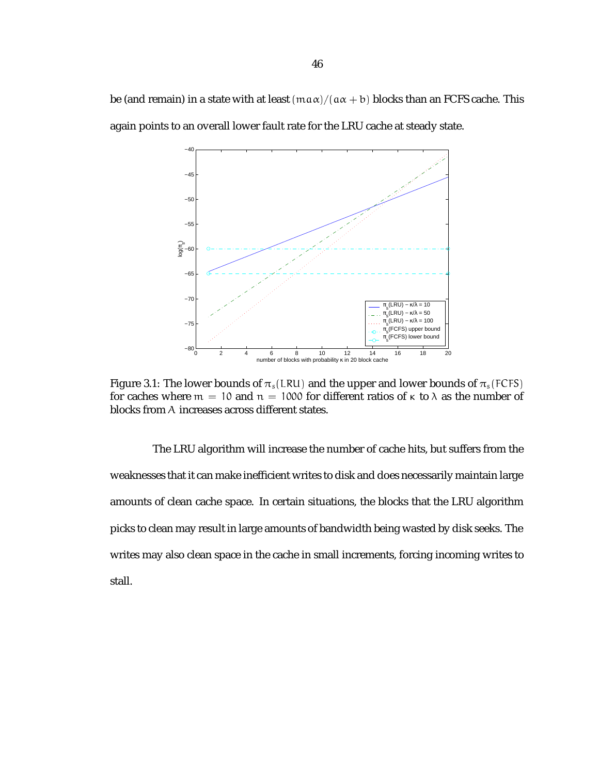be (and remain) in a state with at least  $(\text{max})/(\text{a} \alpha + \text{b})$  blocks than an FCFS cache. This again points to an overall lower fault rate for the LRU cache at steady state.



Figure 3.1: The lower bounds of  $\pi_s(LRU)$  and the upper and lower bounds of  $\pi_s(FCFS)$ for caches where  $m = 10$  and  $n = 1000$  for different ratios of  $\kappa$  to  $\lambda$  as the number of blocks from A increases across different states.

The LRU algorithm will increase the number of cache hits, but suffers from the weaknesses that it can make inefficient writes to disk and does necessarily maintain large amounts of clean cache space. In certain situations, the blocks that the LRU algorithm picks to clean may result in large amounts of bandwidth being wasted by disk seeks. The writes may also clean space in the cache in small increments, forcing incoming writes to stall.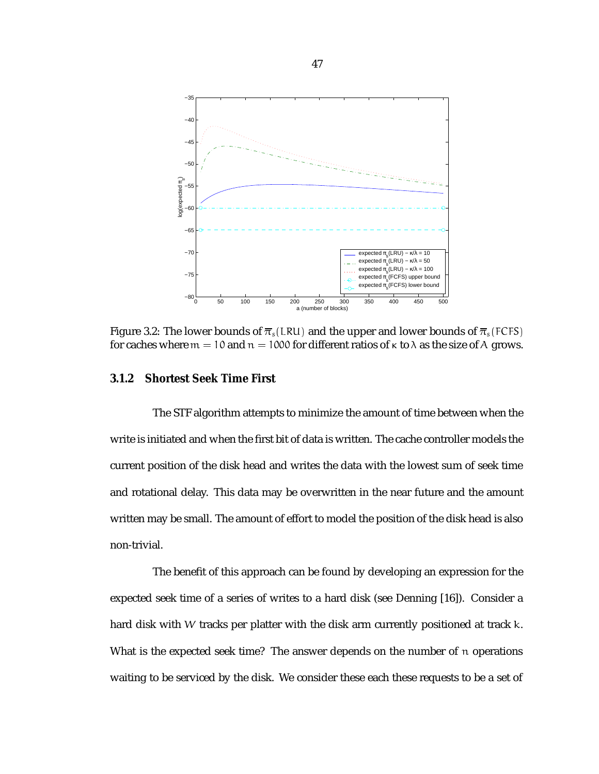

Figure 3.2: The lower bounds of  $\overline{\pi}_s(LRU)$  and the upper and lower bounds of  $\overline{\pi}_s(FCFS)$ for caches where  $m = 10$  and  $n = 1000$  for different ratios of  $\kappa$  to  $\lambda$  as the size of A grows.

#### **3.1.2 Shortest Seek Time First**

The STF algorithm attempts to minimize the amount of time between when the write is initiated and when the first bit of data is written. The cache controller models the current position of the disk head and writes the data with the lowest sum of seek time and rotational delay. This data may be overwritten in the near future and the amount written may be small. The amount of effort to model the position of the disk head is also non-trivial.

The benefit of this approach can be found by developing an expression for the expected seek time of a series of writes to a hard disk (see Denning [16]). Consider a hard disk with W tracks per platter with the disk arm currently positioned at track k. What is the expected seek time? The answer depends on the number of n operations waiting to be serviced by the disk. We consider these each these requests to be a set of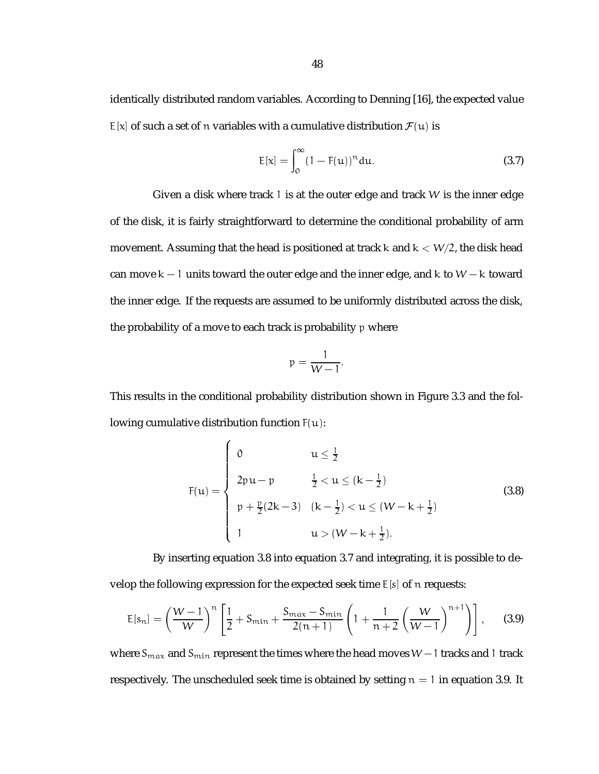identically distributed random variables. According to Denning [16], the expected value  $E[x]$  of such a set of n variables with a cumulative distribution  $\mathcal{F}(u)$  is

$$
E[x] = \int_0^\infty (1 - F(u))^n du.
$$
 (3.7)

Given a disk where track 1 is at the outer edge and track  $W$  is the inner edge of the disk, it is fairly straightforward to determine the conditional probability of arm movement. Assuming that the head is positioned at track k and  $k < W/2$ , the disk head can move  $k - 1$  units toward the outer edge and the inner edge, and k to  $W - k$  toward the inner edge. If the requests are assumed to be uniformly distributed across the disk, the probability of a move to each track is probability p where

$$
p=\frac{1}{W-1}.
$$

This results in the conditional probability distribution shown in Figure 3.3 and the following cumulative distribution function  $F(u)$ :

and the state of the state of the state of the state of the state of the state of the state of the state of the

$$
F(u) = \begin{cases} 0 & u \le \frac{1}{2} \\ 2pu - p & \frac{1}{2} < u \le (k - \frac{1}{2}) \\ p + \frac{p}{2}(2k - 3) & (k - \frac{1}{2}) < u \le (W - k + \frac{1}{2}) \\ 1 & u > (W - k + \frac{1}{2}). \end{cases}
$$
(3.8)

By inserting equation 3.8 into equation 3.7 and integrating, it is possible to develop the following expression for the expected seek time  $E[s]$  of n requests:

$$
E[s_n] = \left(\frac{W-1}{W}\right)^n \left[\frac{1}{2} + S_{\min} + \frac{S_{\max} - S_{\min}}{2(n+1)} \left(1 + \frac{1}{n+2} \left(\frac{W}{W-1}\right)^{n+1}\right)\right],
$$
 (3.9)

where  $S_{max}$  and  $S_{min}$  represent the times where the head moves  $W-1$  tracks and 1 track respectively. The unscheduled seek time is obtained by setting  $n = 1$  in equation 3.9. It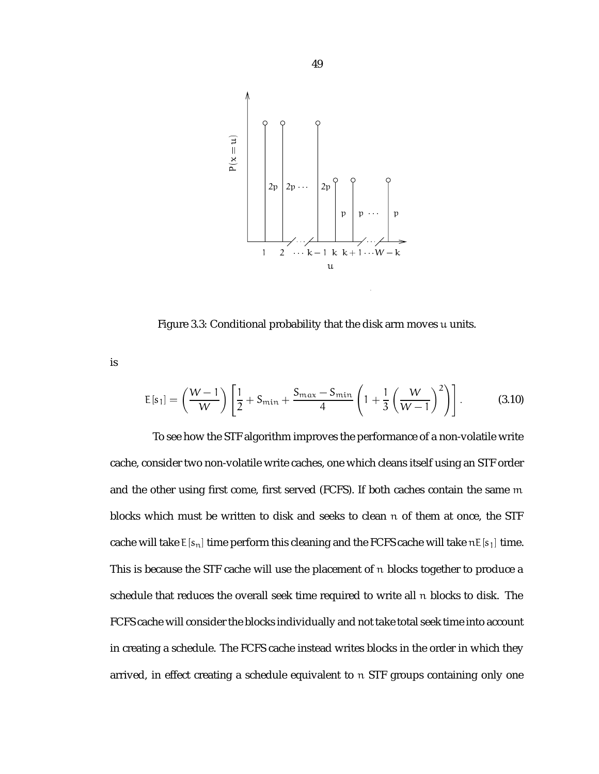

Figure 3.3: Conditional probability that the disk arm moves u units.

is

$$
E[s_1] = \left(\frac{W-1}{W}\right) \left[ \frac{1}{2} + S_{\min} + \frac{S_{\max} - S_{\min}}{4} \left( 1 + \frac{1}{3} \left( \frac{W}{W-1} \right)^2 \right) \right].
$$
 (3.10)

To see how the STF algorithm improves the performance of a non-volatile write cache, consider two non-volatile write caches, one which cleans itself using an STF order and the other using first come, first served (FCFS). If both caches contain the same m blocks which must be written to disk and seeks to clean n of them at once, the STF cache will take  $E[s_n]$  time perform this cleaning and the FCFS cache will take  $nE[s_1]$  time. This is because the STF cache will use the placement of n blocks together to produce a schedule that reduces the overall seek time required to write all n blocks to disk. The FCFS cache will consider the blocks individually and not take total seek time into account in creating a schedule. The FCFS cache instead writes blocks in the order in which they arrived, in effect creating a schedule equivalent to n STF groups containing only one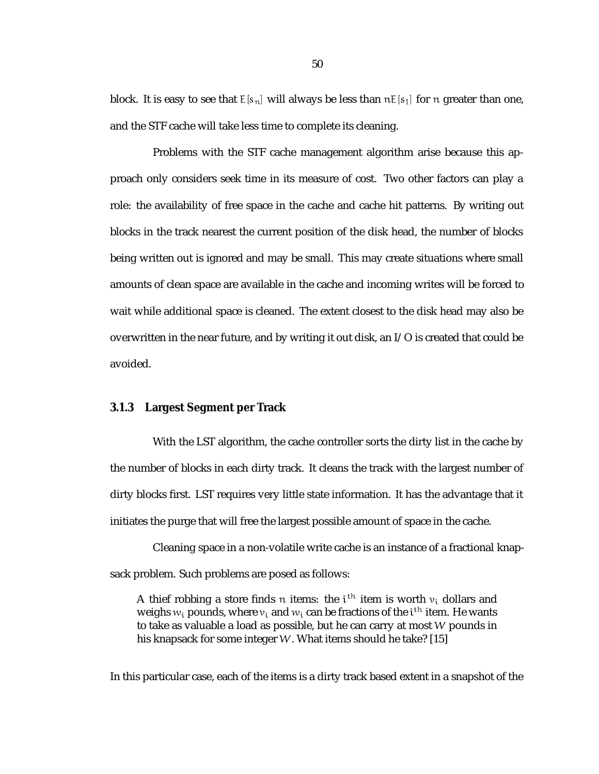block. It is easy to see that  $E[s_n]$  will always be less than  $nE[s_1]$  for n greater than one, and the STF cache will take less time to complete its cleaning.

Problems with the STF cache management algorithm arise because this approach only considers seek time in its measure of cost. Two other factors can play a role: the availability of free space in the cache and cache hit patterns. By writing out blocks in the track nearest the current position of the disk head, the number of blocks being written out is ignored and may be small. This may create situations where small amounts of clean space are available in the cache and incoming writes will be forced to wait while additional space is cleaned. The extent closest to the disk head may also be overwritten in the near future, and by writing it out disk, an I/O is created that could be avoided.

#### **3.1.3 Largest Segment per Track**

With the LST algorithm, the cache controller sorts the dirty list in the cache by the number of blocks in each dirty track. It cleans the track with the largest number of dirty blocks first. LST requires very little state information. It has the advantage that it initiates the purge that will free the largest possible amount of space in the cache.

Cleaning space in a non-volatile write cache is an instance of a fractional knapsack problem. Such problems are posed as follows:

A thief robbing a store finds n items: the  $\mathfrak{i}^{\text{th}}$  item is worth  $\mathfrak{v}_{\mathfrak{i}}$  dollars and weighs  $w_{\rm i}$  pounds, where  $v_{\rm i}$  and  $w_{\rm i}$  can be fractions of the  ${\rm i}^{\rm t}$  item. He wants to take as valuable a load as possible, but he can carry at most W pounds in his knapsack for some integer W. What items should he take? [15]

In this particular case, each of the items is a dirty track based extent in a snapshot of the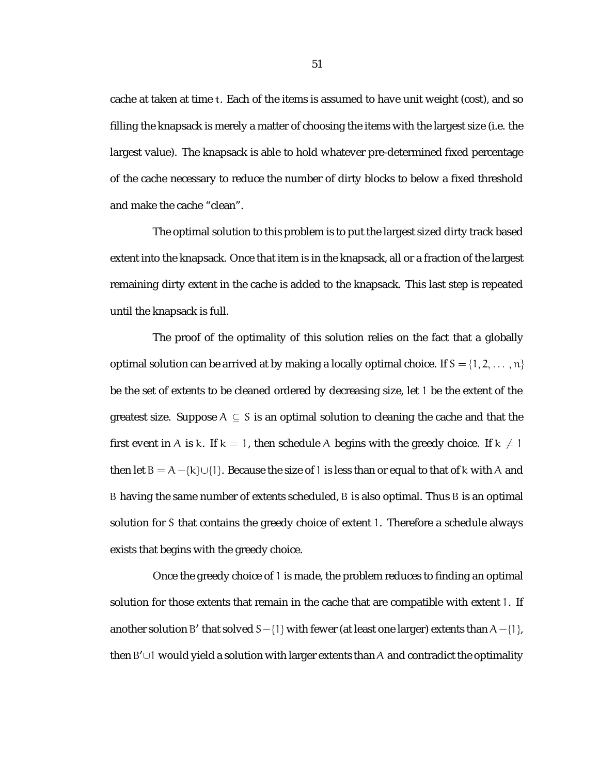cache at taken at time t. Each of the items is assumed to have unit weight (cost), and so filling the knapsack is merely a matter of choosing the items with the largest size (i.e. the largest value). The knapsack is able to hold whatever pre-determined fixed percentage of the cache necessary to reduce the number of dirty blocks to below a fixed threshold and make the cache "clean".

The optimal solution to this problem is to put the largest sized dirty track based extent into the knapsack. Once that item is in the knapsack, all or a fraction of the largest remaining dirty extent in the cache is added to the knapsack. This last step is repeated until the knapsack is full.

The proof of the optimality of this solution relies on the fact that a globally optimal solution can be arrived at by making a locally optimal choice. If  $S = \{1, 2, \dots, n\}$ be the set of extents to be cleaned ordered by decreasing size, let 1 be the extent of the greatest size. Suppose  $A \subseteq S$  is an optimal solution to cleaning the cache and that the first event in A is k. If  $k = 1$ , then schedule A begins with the greedy choice. If  $k \neq 1$ then let  $B = A - {k} \cup {1}$ . Because the size of 1 is less than or equal to that of k with A and B having the same number of extents scheduled, B is also optimal. Thus B is an optimal solution for S that contains the greedy choice of extent 1. Therefore a schedule always exists that begins with the greedy choice.

Once the greedy choice of 1 is made, the problem reduces to finding an optimal solution for those extents that remain in the cache that are compatible with extent 1. If another solution <code>B</code>′ that solved <code>S $-\{1\}$ </code> with fewer (at least one larger) extents than <code>A $-\{1\}$ ,</code> then  $B' \cup I$  would yield a solution with larger extents than A and contradict the optimality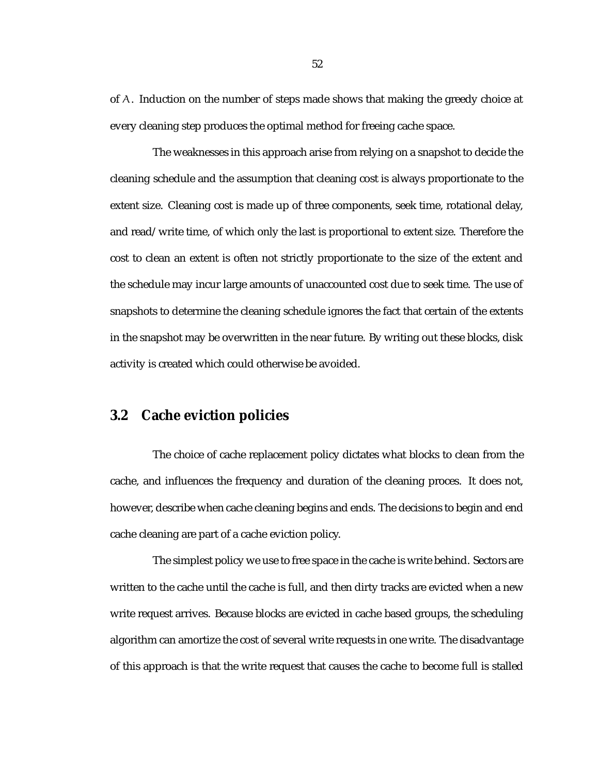of A. Induction on the number of steps made shows that making the greedy choice at every cleaning step produces the optimal method for freeing cache space.

The weaknesses in this approach arise from relying on a snapshot to decide the cleaning schedule and the assumption that cleaning cost is always proportionate to the extent size. Cleaning cost is made up of three components, seek time, rotational delay, and read/write time, of which only the last is proportional to extent size. Therefore the cost to clean an extent is often not strictly proportionate to the size of the extent and the schedule may incur large amounts of unaccounted cost due to seek time. The use of snapshots to determine the cleaning schedule ignores the fact that certain of the extents in the snapshot may be overwritten in the near future. By writing out these blocks, disk activity is created which could otherwise be avoided.

#### **3.2 Cache eviction policies**

The choice of cache replacement policy dictates what blocks to clean from the cache, and influences the frequency and duration of the cleaning proces. It does not, however, describe when cache cleaning begins and ends. The decisions to begin and end cache cleaning are part of a cache eviction policy.

The simplest policy we use to free space in the cache is write behind. Sectors are written to the cache until the cache is full, and then dirty tracks are evicted when a new write request arrives. Because blocks are evicted in cache based groups, the scheduling algorithm can amortize the cost of several write requests in one write. The disadvantage of this approach is that the write request that causes the cache to become full is stalled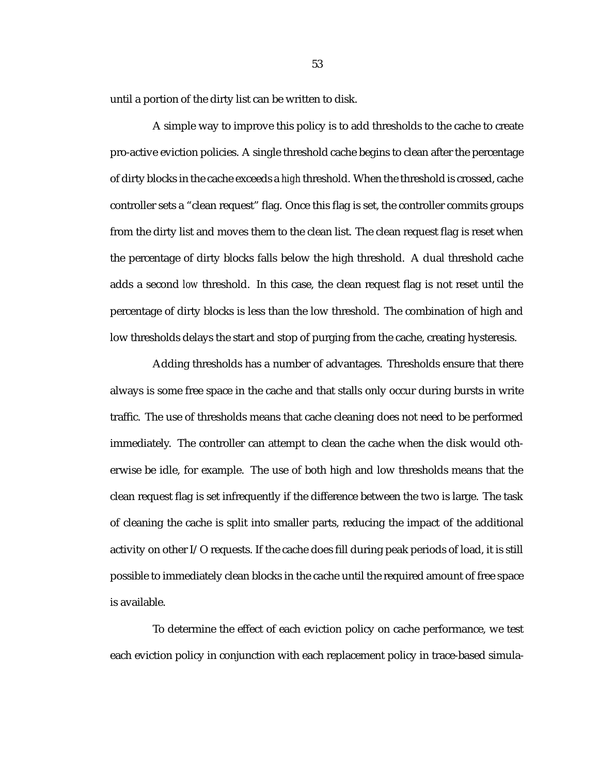until a portion of the dirty list can be written to disk.

A simple way to improve this policy is to add thresholds to the cache to create pro-active eviction policies. A single threshold cache begins to clean after the percentage of dirty blocks in the cache exceeds a *high* threshold. When the threshold is crossed, cache controller sets a "clean request" flag. Once this flag is set, the controller commits groups from the dirty list and moves them to the clean list. The clean request flag is reset when the percentage of dirty blocks falls below the high threshold. A dual threshold cache adds a second *low* threshold. In this case, the clean request flag is not reset until the percentage of dirty blocks is less than the low threshold. The combination of high and low thresholds delays the start and stop of purging from the cache, creating hysteresis.

Adding thresholds has a number of advantages. Thresholds ensure that there always is some free space in the cache and that stalls only occur during bursts in write traffic. The use of thresholds means that cache cleaning does not need to be performed immediately. The controller can attempt to clean the cache when the disk would otherwise be idle, for example. The use of both high and low thresholds means that the clean request flag is set infrequently if the difference between the two is large. The task of cleaning the cache is split into smaller parts, reducing the impact of the additional activity on other I/O requests. If the cache does fill during peak periods of load, it is still possible to immediately clean blocks in the cache until the required amount of free space is available.

To determine the effect of each eviction policy on cache performance, we test each eviction policy in conjunction with each replacement policy in trace-based simula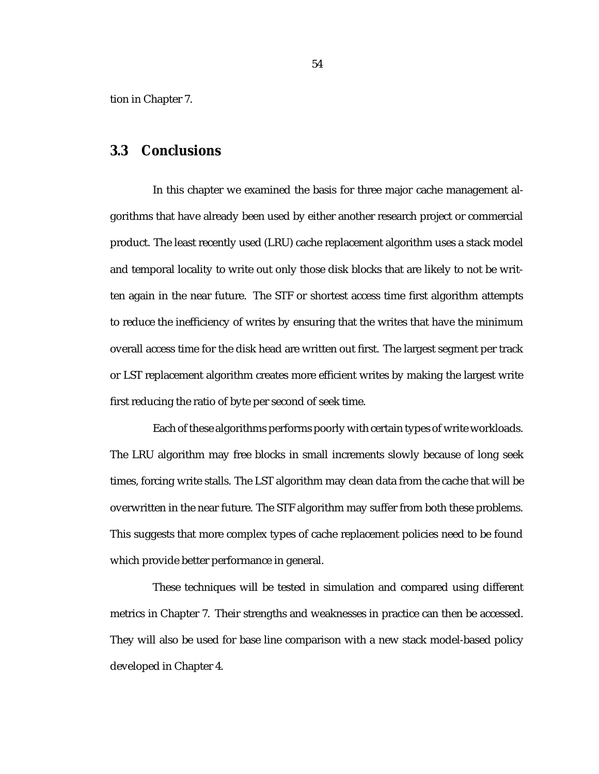tion in Chapter 7.

#### **3.3 Conclusions**

In this chapter we examined the basis for three major cache management algorithms that have already been used by either another research project or commercial product. The least recently used (LRU) cache replacement algorithm uses a stack model and temporal locality to write out only those disk blocks that are likely to not be written again in the near future. The STF or shortest access time first algorithm attempts to reduce the inefficiency of writes by ensuring that the writes that have the minimum overall access time for the disk head are written out first. The largest segment per track or LST replacement algorithm creates more efficient writes by making the largest write first reducing the ratio of byte per second of seek time.

Each of these algorithms performs poorly with certain types of write workloads. The LRU algorithm may free blocks in small increments slowly because of long seek times, forcing write stalls. The LST algorithm may clean data from the cache that will be overwritten in the near future. The STF algorithm may suffer from both these problems. This suggests that more complex types of cache replacement policies need to be found which provide better performance in general.

These techniques will be tested in simulation and compared using different metrics in Chapter 7. Their strengths and weaknesses in practice can then be accessed. They will also be used for base line comparison with a new stack model-based policy developed in Chapter 4.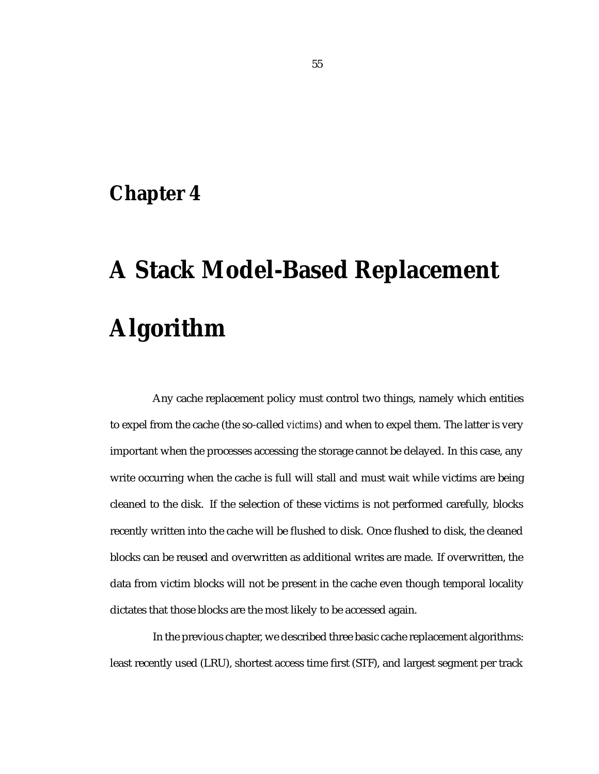## **Chapter 4**

# **A Stack Model-Based Replacement Algorithm**

Any cache replacement policy must control two things, namely which entities to expel from the cache (the so-called *victims*) and when to expel them. The latter is very important when the processes accessing the storage cannot be delayed. In this case, any write occurring when the cache is full will stall and must wait while victims are being cleaned to the disk. If the selection of these victims is not performed carefully, blocks recently written into the cache will be flushed to disk. Once flushed to disk, the cleaned blocks can be reused and overwritten as additional writes are made. If overwritten, the data from victim blocks will not be present in the cache even though temporal locality dictates that those blocks are the most likely to be accessed again.

In the previous chapter, we described three basic cache replacement algorithms: least recently used (LRU), shortest access time first (STF), and largest segment per track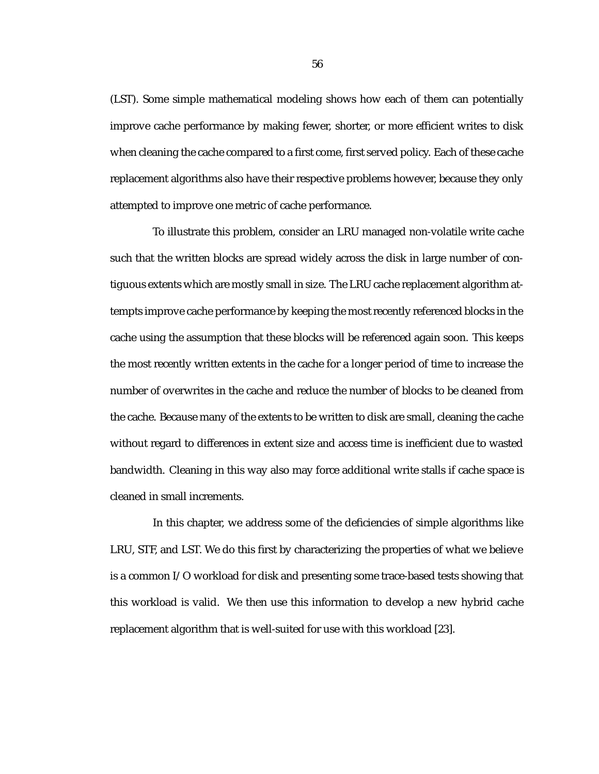(LST). Some simple mathematical modeling shows how each of them can potentially improve cache performance by making fewer, shorter, or more efficient writes to disk when cleaning the cache compared to a first come, first served policy. Each of these cache replacement algorithms also have their respective problems however, because they only attempted to improve one metric of cache performance.

To illustrate this problem, consider an LRU managed non-volatile write cache such that the written blocks are spread widely across the disk in large number of contiguous extents which are mostly small in size. The LRU cache replacement algorithm attempts improve cache performance by keeping the most recently referenced blocks in the cache using the assumption that these blocks will be referenced again soon. This keeps the most recently written extents in the cache for a longer period of time to increase the number of overwrites in the cache and reduce the number of blocks to be cleaned from the cache. Because many of the extents to be written to disk are small, cleaning the cache without regard to differences in extent size and access time is inefficient due to wasted bandwidth. Cleaning in this way also may force additional write stalls if cache space is cleaned in small increments.

In this chapter, we address some of the deficiencies of simple algorithms like LRU, STF, and LST. We do this first by characterizing the properties of what we believe is a common I/O workload for disk and presenting some trace-based tests showing that this workload is valid. We then use this information to develop a new hybrid cache replacement algorithm that is well-suited for use with this workload [23].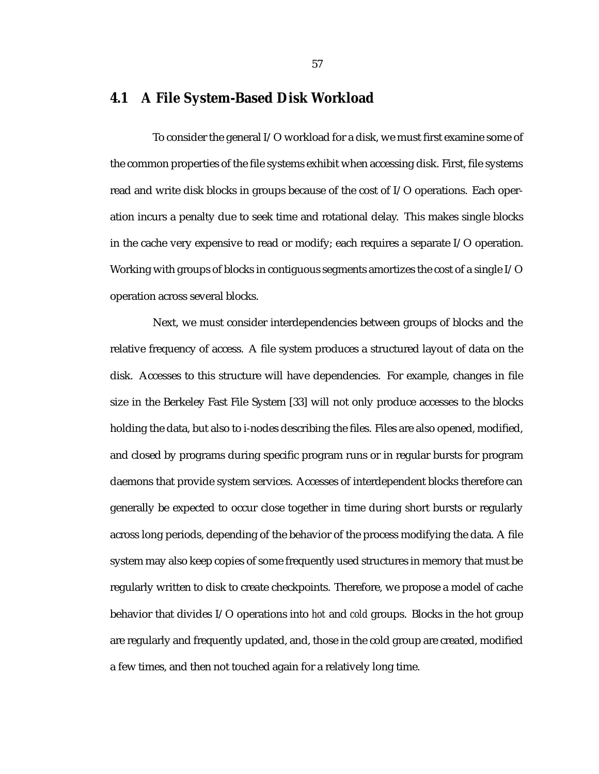#### **4.1 A File System-Based Disk Workload**

To consider the general I/O workload for a disk, we must first examine some of the common properties of the file systems exhibit when accessing disk. First, file systems read and write disk blocks in groups because of the cost of I/O operations. Each operation incurs a penalty due to seek time and rotational delay. This makes single blocks in the cache very expensive to read or modify; each requires a separate I/O operation. Working with groups of blocks in contiguous segments amortizes the cost of a single I/O operation across several blocks.

Next, we must consider interdependencies between groups of blocks and the relative frequency of access. A file system produces a structured layout of data on the disk. Accesses to this structure will have dependencies. For example, changes in file size in the Berkeley Fast File System [33] will not only produce accesses to the blocks holding the data, but also to i-nodes describing the files. Files are also opened, modified, and closed by programs during specific program runs or in regular bursts for program daemons that provide system services. Accesses of interdependent blocks therefore can generally be expected to occur close together in time during short bursts or regularly across long periods, depending of the behavior of the process modifying the data. A file system may also keep copies of some frequently used structures in memory that must be regularly written to disk to create checkpoints. Therefore, we propose a model of cache behavior that divides I/O operations into *hot* and *cold* groups. Blocks in the hot group are regularly and frequently updated, and, those in the cold group are created, modified a few times, and then not touched again for a relatively long time.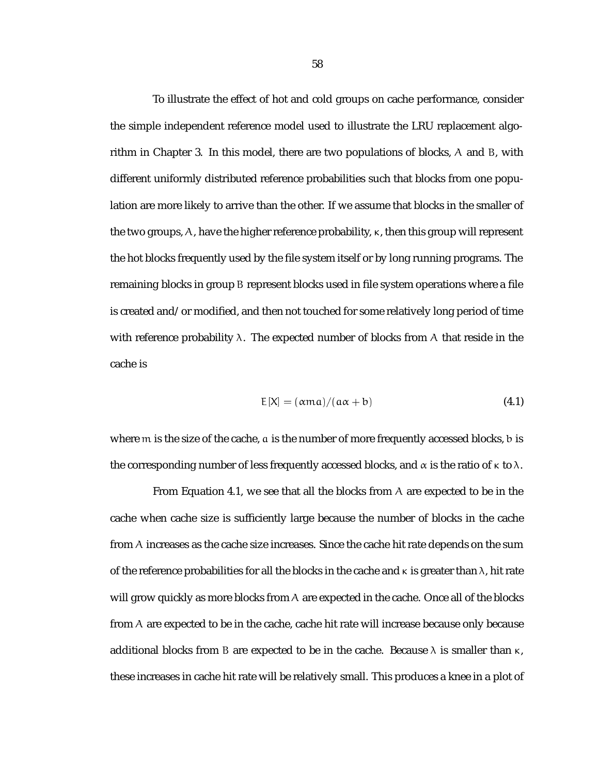To illustrate the effect of hot and cold groups on cache performance, consider the simple independent reference model used to illustrate the LRU replacement algorithm in Chapter 3. In this model, there are two populations of blocks, A and B, with different uniformly distributed reference probabilities such that blocks from one population are more likely to arrive than the other. If we assume that blocks in the smaller of the two groups,  $A$ , have the higher reference probability,  $\kappa$ , then this group will represent the hot blocks frequently used by the file system itself or by long running programs. The remaining blocks in group B represent blocks used in file system operations where a file is created and/or modified, and then not touched for some relatively long period of time with reference probability  $\lambda$ . The expected number of blocks from A that reside in the cache is

$$
E[X] = (\alpha ma)/(\alpha \alpha + b) \tag{4.1}
$$

where m is the size of the cache, a is the number of more frequently accessed blocks, b is the corresponding number of less frequently accessed blocks, and  $\alpha$  is the ratio of  $\kappa$  to  $\lambda$ .

From Equation 4.1, we see that all the blocks from  $A$  are expected to be in the cache when cache size is sufficiently large because the number of blocks in the cache from A increases as the cache size increases. Since the cache hit rate depends on the sum of the reference probabilities for all the blocks in the cache and  $\kappa$  is greater than  $\lambda$ , hit rate will grow quickly as more blocks from A are expected in the cache. Once all of the blocks from A are expected to be in the cache, cache hit rate will increase because only because additional blocks from B are expected to be in the cache. Because  $\lambda$  is smaller than  $\kappa$ , these increases in cache hit rate will be relatively small. This produces a knee in a plot of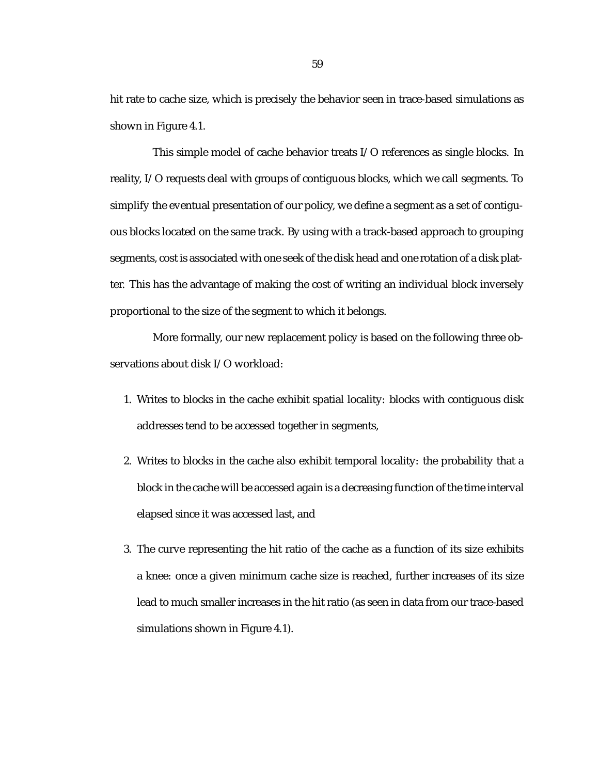hit rate to cache size, which is precisely the behavior seen in trace-based simulations as shown in Figure 4.1.

This simple model of cache behavior treats I/O references as single blocks. In reality, I/O requests deal with groups of contiguous blocks, which we call segments. To simplify the eventual presentation of our policy, we define a segment as a set of contiguous blocks located on the same track. By using with a track-based approach to grouping segments, cost is associated with one seek of the disk head and one rotation of a disk platter. This has the advantage of making the cost of writing an individual block inversely proportional to the size of the segment to which it belongs.

More formally, our new replacement policy is based on the following three observations about disk I/O workload:

- 1. Writes to blocks in the cache exhibit spatial locality: blocks with contiguous disk addresses tend to be accessed together in segments,
- 2. Writes to blocks in the cache also exhibit temporal locality: the probability that a block in the cache will be accessed again is a decreasing function of the time interval elapsed since it was accessed last, and
- 3. The curve representing the hit ratio of the cache as a function of its size exhibits a knee: once a given minimum cache size is reached, further increases of its size lead to much smaller increases in the hit ratio (as seen in data from our trace-based simulations shown in Figure 4.1).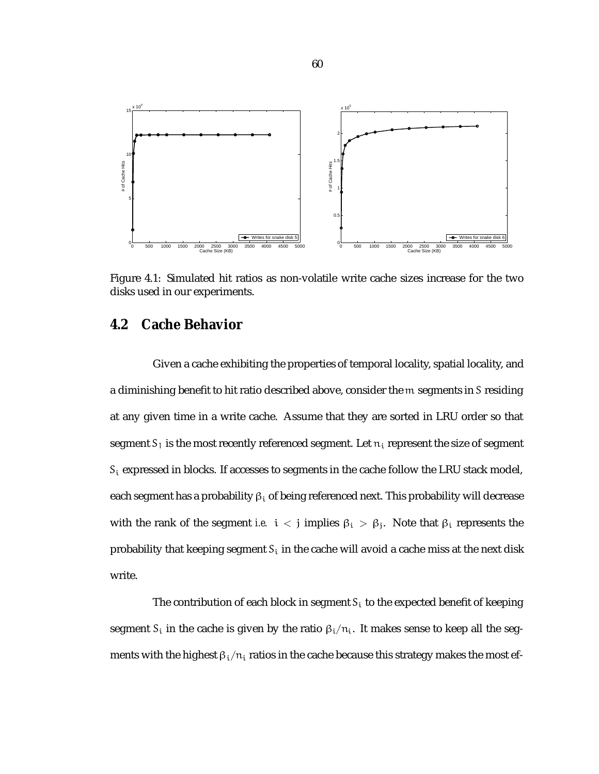

Figure 4.1: Simulated hit ratios as non-volatile write cache sizes increase for the two disks used in our experiments.

#### **4.2 Cache Behavior**

Given a cache exhibiting the properties of temporal locality, spatial locality, and a diminishing benefit to hit ratio described above, consider the m segments in S residing at any given time in a write cache. Assume that they are sorted in LRU order so that segment  $S_1$  is the most recently referenced segment. Let  $n_i$  represent the size of segment  $\bm{\varsigma}_{\text{i}}$  expressed in blocks. If accesses to segments in the cache follow the LRU stack model, each segment has a probability  $\beta_i$  of being referenced next. This probability will decrease with the rank of the segment *i.e.*  $i < j$  implies  $\beta_i > \beta_j$ . Note that  $\beta_i$  represents the probability that keeping segment  $S_i$  in the cache will avoid a cache miss at the next disk write.

The contribution of each block in segment  $S_i$  to the expected benefit of keeping segment  $S_i$  in the cache is given by the ratio  $\beta_i/n_i$ . It makes sense to keep all the segments with the highest  $\beta_i/n_i$  ratios in the cache because this strategy makes the most ef-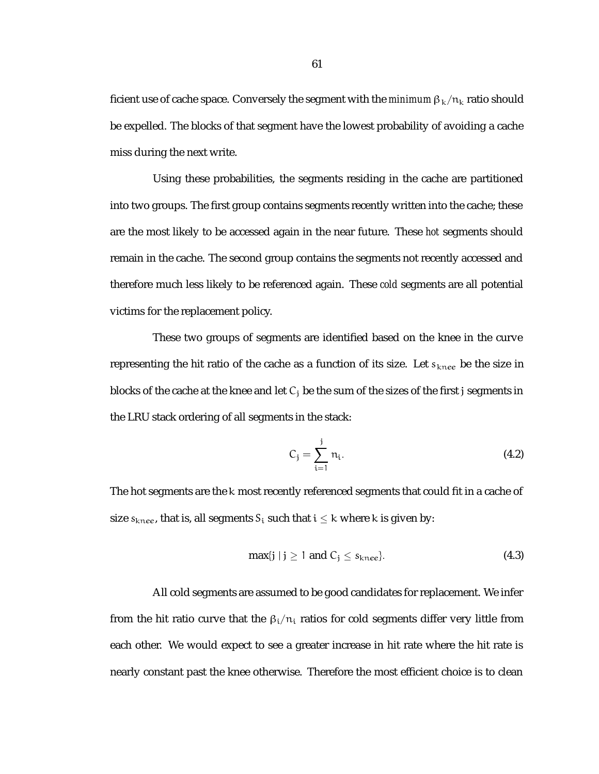ficient use of cache space. Conversely the segment with the *minimum*  $\beta_k/n_k$  ratio should be expelled. The blocks of that segment have the lowest probability of avoiding a cache miss during the next write.

Using these probabilities, the segments residing in the cache are partitioned into two groups. The first group contains segments recently written into the cache; these are the most likely to be accessed again in the near future. These *hot* segments should remain in the cache. The second group contains the segments not recently accessed and therefore much less likely to be referenced again. These *cold* segments are all potential victims for the replacement policy.

These two groups of segments are identified based on the knee in the curve representing the hit ratio of the cache as a function of its size. Let  $s_{knee}$  be the size in blocks of the cache at the knee and let  $C_i$  be the sum of the sizes of the first j segments in the LRU stack ordering of all segments in the stack:

$$
C_j = \sum_{i=1}^j n_i.
$$
 (4.2)

The hot segments are the k most recently referenced segments that could fit in a cache of size  $s_{\text{knee}}$ , that is, all segments  $S_i$  such that  $i \leq k$  where k is given by:

$$
\max\{j \mid j \ge 1 \text{ and } C_j \le s_{\text{knee}}\}.
$$
\n(4.3)

All cold segments are assumed to be good candidates for replacement. We infer from the hit ratio curve that the  $\beta_i/n_i$  ratios for cold segments differ very little from each other. We would expect to see a greater increase in hit rate where the hit rate is nearly constant past the knee otherwise. Therefore the most efficient choice is to clean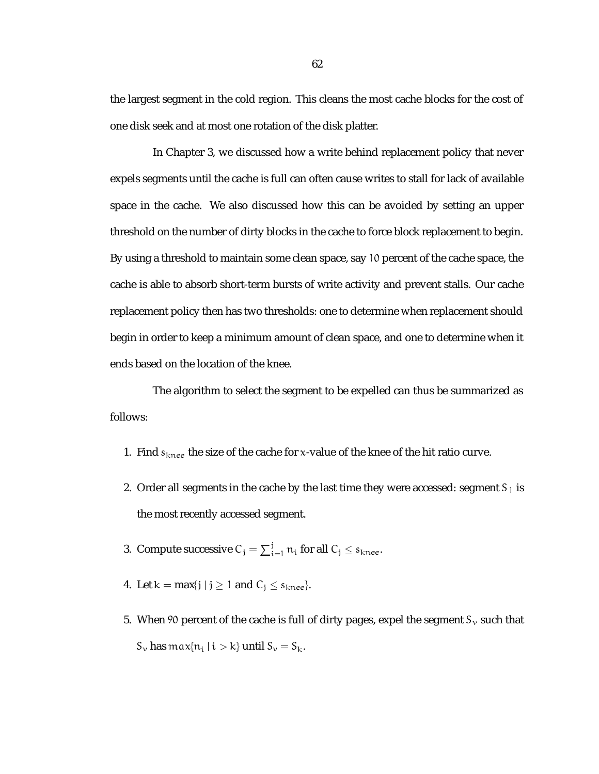the largest segment in the cold region. This cleans the most cache blocks for the cost of one disk seek and at most one rotation of the disk platter.

In Chapter 3, we discussed how a write behind replacement policy that never expels segments until the cache is full can often cause writes to stall for lack of available space in the cache. We also discussed how this can be avoided by setting an upper threshold on the number of dirty blocks in the cache to force block replacement to begin. By using a threshold to maintain some clean space, say 10 percent of the cache space, the cache is able to absorb short-term bursts of write activity and prevent stalls. Our cache replacement policy then has two thresholds: one to determine when replacement should begin in order to keep a minimum amount of clean space, and one to determine when it ends based on the location of the knee.

The algorithm to select the segment to be expelled can thus be summarized as follows:

- 1. Find  $s_{knee}$  the size of the cache for x-value of the knee of the hit ratio curve.
- 2. Order all segments in the cache by the last time they were accessed: segment  $S_1$  is the most recently accessed segment.
- 3. Compute successive  $C_j = \sum_{i=1}^j n_i$  for all  $C_j \leq s_{knee}$ .
- 4. Let  $k = max\{j \mid j \ge 1 \text{ and } C_j \le s_{knee}\}.$
- 5. When 90 percent of the cache is full of dirty pages, expel the segment  $S_{v}$  such that  $S_{\nu}$  has  $\max\{n_i \mid i > k\}$  until  $S_{\nu} = S_k$ .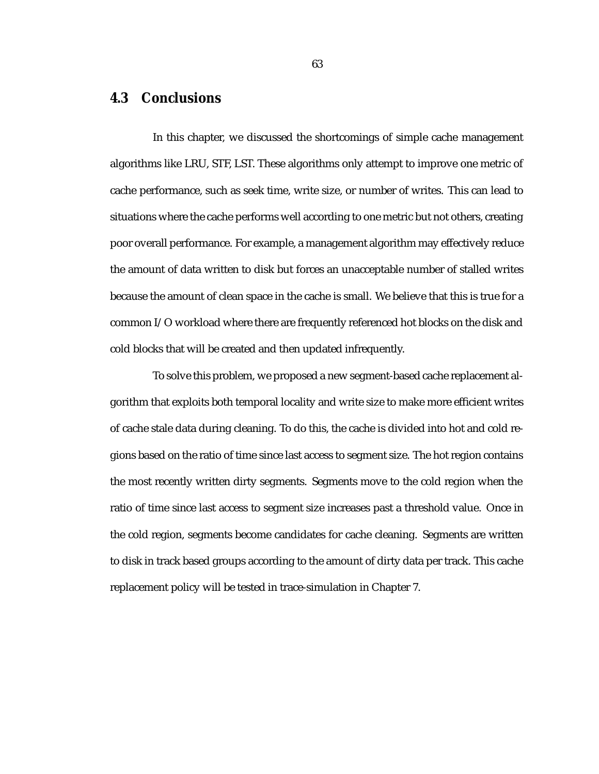## **4.3 Conclusions**

In this chapter, we discussed the shortcomings of simple cache management algorithms like LRU, STF, LST. These algorithms only attempt to improve one metric of cache performance, such as seek time, write size, or number of writes. This can lead to situations where the cache performs well according to one metric but not others, creating poor overall performance. For example, a management algorithm may effectively reduce the amount of data written to disk but forces an unacceptable number of stalled writes because the amount of clean space in the cache is small. We believe that this is true for a common I/O workload where there are frequently referenced hot blocks on the disk and cold blocks that will be created and then updated infrequently.

To solve this problem, we proposed a new segment-based cache replacement algorithm that exploits both temporal locality and write size to make more efficient writes of cache stale data during cleaning. To do this, the cache is divided into hot and cold regions based on the ratio of time since last access to segment size. The hot region contains the most recently written dirty segments. Segments move to the cold region when the ratio of time since last access to segment size increases past a threshold value. Once in the cold region, segments become candidates for cache cleaning. Segments are written to disk in track based groups according to the amount of dirty data per track. This cache replacement policy will be tested in trace-simulation in Chapter 7.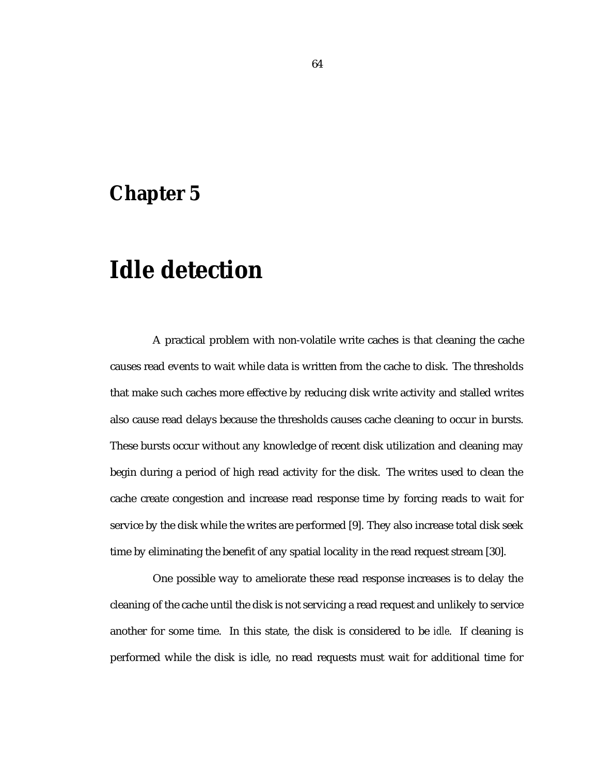# **Chapter 5**

# **Idle detection**

A practical problem with non-volatile write caches is that cleaning the cache causes read events to wait while data is written from the cache to disk. The thresholds that make such caches more effective by reducing disk write activity and stalled writes also cause read delays because the thresholds causes cache cleaning to occur in bursts. These bursts occur without any knowledge of recent disk utilization and cleaning may begin during a period of high read activity for the disk. The writes used to clean the cache create congestion and increase read response time by forcing reads to wait for service by the disk while the writes are performed [9]. They also increase total disk seek time by eliminating the benefit of any spatial locality in the read request stream [30].

One possible way to ameliorate these read response increases is to delay the cleaning of the cache until the disk is not servicing a read request and unlikely to service another for some time. In this state, the disk is considered to be *idle*. If cleaning is performed while the disk is idle, no read requests must wait for additional time for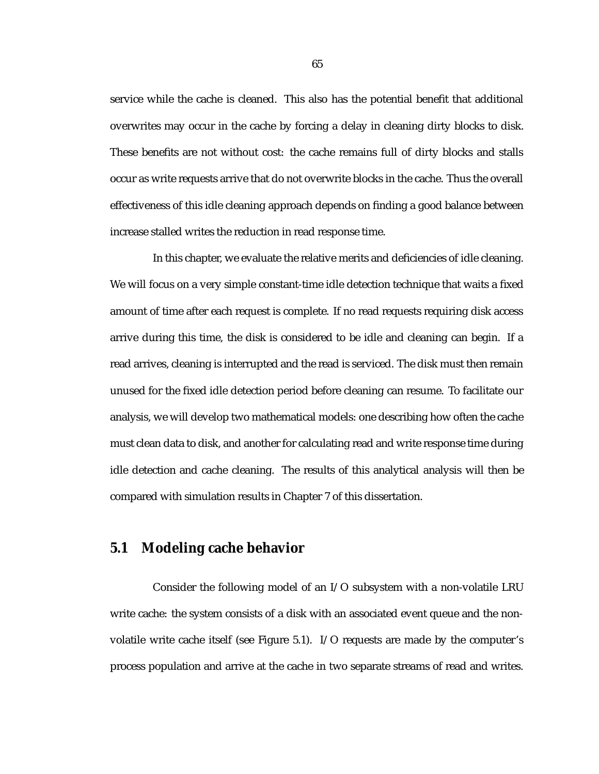service while the cache is cleaned. This also has the potential benefit that additional overwrites may occur in the cache by forcing a delay in cleaning dirty blocks to disk. These benefits are not without cost: the cache remains full of dirty blocks and stalls occur as write requests arrive that do not overwrite blocks in the cache. Thus the overall effectiveness of this idle cleaning approach depends on finding a good balance between increase stalled writes the reduction in read response time.

In this chapter, we evaluate the relative merits and deficiencies of idle cleaning. We will focus on a very simple constant-time idle detection technique that waits a fixed amount of time after each request is complete. If no read requests requiring disk access arrive during this time, the disk is considered to be idle and cleaning can begin. If a read arrives, cleaning is interrupted and the read is serviced. The disk must then remain unused for the fixed idle detection period before cleaning can resume. To facilitate our analysis, we will develop two mathematical models: one describing how often the cache must clean data to disk, and another for calculating read and write response time during idle detection and cache cleaning. The results of this analytical analysis will then be compared with simulation results in Chapter 7 of this dissertation.

### **5.1 Modeling cache behavior**

Consider the following model of an I/O subsystem with a non-volatile LRU write cache: the system consists of a disk with an associated event queue and the nonvolatile write cache itself (see Figure 5.1). I/O requests are made by the computer's process population and arrive at the cache in two separate streams of read and writes.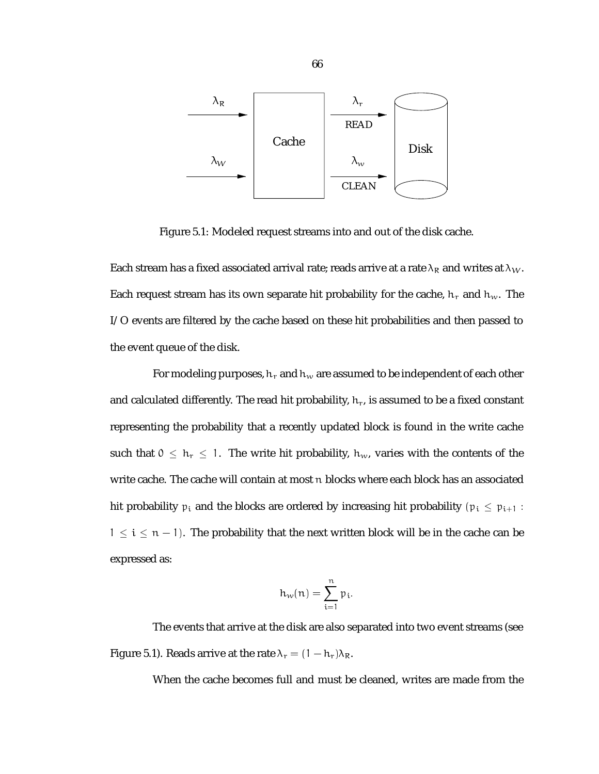

Figure 5.1: Modeled request streams into and out of the disk cache.

Each stream has a fixed associated arrival rate; reads arrive at a rate  $\lambda_R$  and writes at  $\lambda_W$ . Each request stream has its own separate hit probability for the cache,  $h_r$  and  $h_w$ . The I/O events are filtered by the cache based on these hit probabilities and then passed to the event queue of the disk.

For modeling purposes,  $h_r$  and  $h_w$  are assumed to be independent of each other and calculated differently. The read hit probability,  $h_r$ , is assumed to be a fixed constant representing the probability that a recently updated block is found in the write cache such that  $0 \le h_r \le 1$ . The write hit probability,  $h_w$ , varies with the contents of the write cache. The cache will contain at most n blocks where each block has an associated hit probability  $p_i$  and the blocks are ordered by increasing hit probability ( $p_i \leq p_{i+1}$ :  $1 \leq i \leq n - 1$ ). The probability that the next written block will be in the cache can be expressed as:

$$
h_w(n) = \sum_{i=1}^n p_i.
$$

The events that arrive at the disk are also separated into two event streams (see Figure 5.1). Reads arrive at the rate  $\lambda_r = (1 - h_r)\lambda_R$ .

When the cache becomes full and must be cleaned, writes are made from the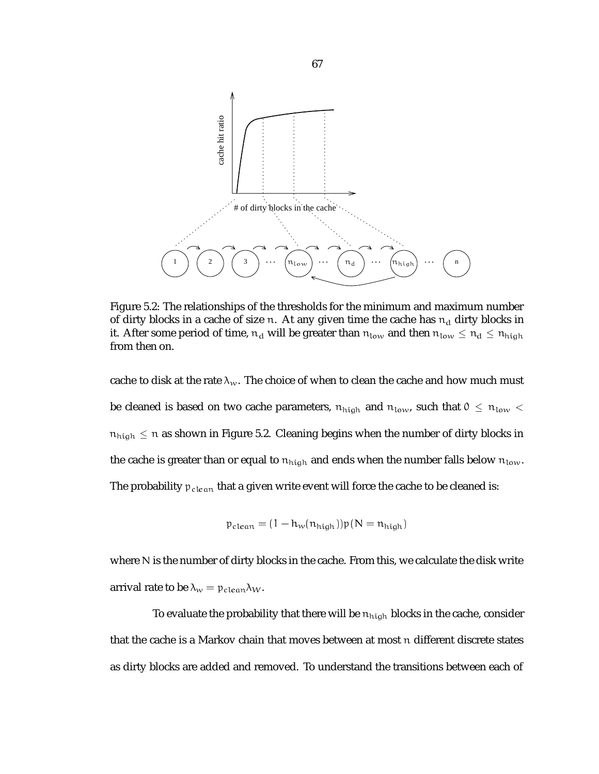

Figure 5.2: The relationships of the thresholds for the minimum and maximum number of dirty blocks in a cache of size n. At any given time the cache has  $n_d$  dirty blocks in it. After some period of time,  $n_d$  will be greater than  $n_{low}$  and then  $n_{low} \leq n_d \leq n_{high}$ from then on.

cache to disk at the rate  $\lambda_w$ . The choice of when to clean the cache and how much must be cleaned is based on two cache parameters,  $n_{\text{high}}$  and  $n_{\text{low}}$ , such that  $0 \le n_{\text{low}} <$  $\mathfrak{n}_{\text{high}}\leq \mathfrak{n}$  as shown in Figure 5.2. Cleaning begins when the number of dirty blocks in the cache is greater than or equal to  $n_{\text{high}}$  and ends when the number falls below  $n_{\text{low}}$ . The probability  $p_{clean}$  that a given write event will force the cache to be cleaned is:

$$
p_{clean} = (1 - h_w(n_{high}))p(N = n_{high})
$$

where N is the number of dirty blocks in the cache. From this, we calculate the disk write arrival rate to be  $\lambda_w = p_{clean}\lambda_W$ .

To evaluate the probability that there will be  $n_{\text{high}}$  blocks in the cache, consider that the cache is a Markov chain that moves between at most n different discrete states as dirty blocks are added and removed. To understand the transitions between each of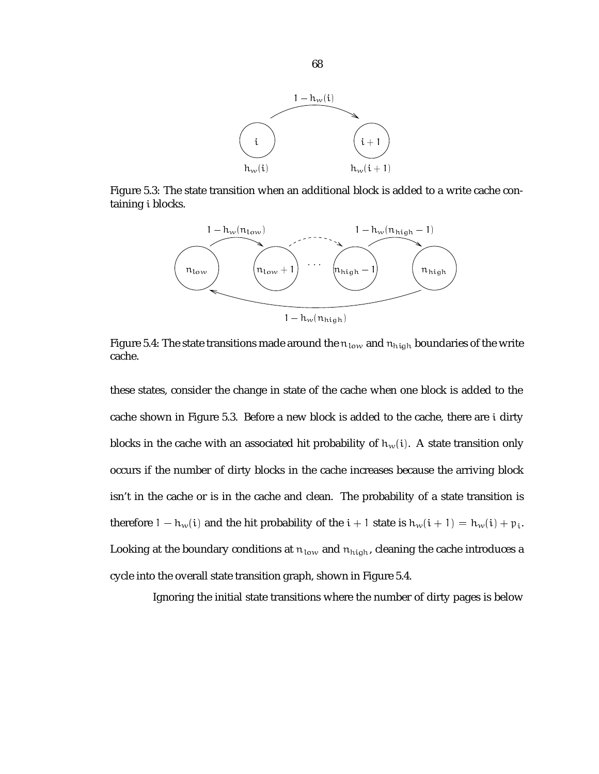

Figure 5.3: The state transition when an additional block is added to a write cache containing i blocks.



Figure 5.4: The state transitions made around the  $n_{low}$  and  $n_{high}$  boundaries of the write cache.

these states, consider the change in state of the cache when one block is added to the cache shown in Figure 5.3. Before a new block is added to the cache, there are i dirty blocks in the cache with an associated hit probability of  $h_w(i)$ . A state transition only occurs if the number of dirty blocks in the cache increases because the arriving block isn't in the cache or is in the cache and clean. The probability of a state transition is therefore  $1 - h_w(i)$  and the hit probability of the  $i + 1$  state is  $h_w(i + 1) = h_w(i) + p_i$ . Looking at the boundary conditions at  $n_{low}$  and  $n_{high}$ , cleaning the cache introduces a cycle into the overall state transition graph, shown in Figure 5.4.

Ignoring the initial state transitions where the number of dirty pages is below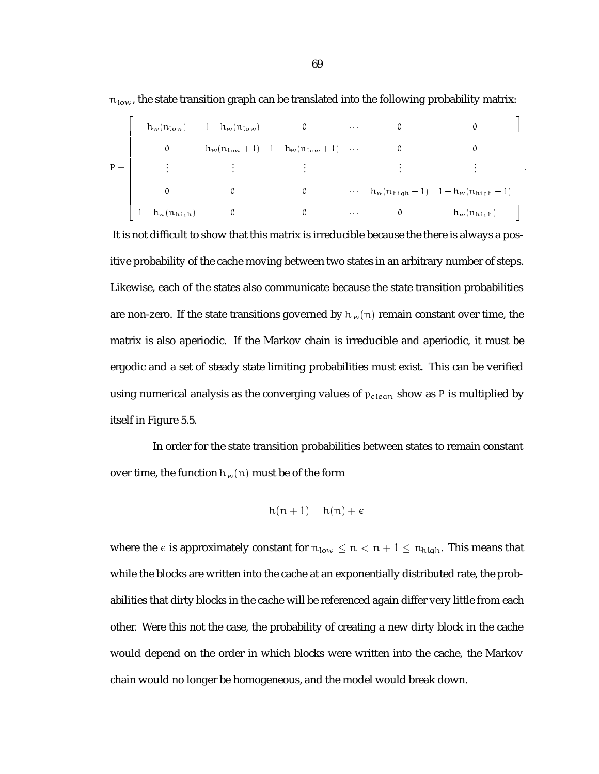|       | $h_w(n_{\text{low}})$      | $1-h_w(n_{\text{low}})$ |                                                   | $\alpha$ , $\alpha$ , $\alpha$ |                                                |
|-------|----------------------------|-------------------------|---------------------------------------------------|--------------------------------|------------------------------------------------|
|       | 0                          |                         | $h_w(n_{\text{low}}+1)$ $1-h_w(n_{\text{low}}+1)$ |                                |                                                |
| $P =$ | $\cdot$                    |                         |                                                   |                                |                                                |
|       | 0                          | 0                       |                                                   |                                | $\cdots$ $h_w(n_{high}-1)$ $1-h_w(n_{high}-1)$ |
|       | $1 - h_w(n_{\text{high}})$ |                         |                                                   | $\sim$ 10 $\sim$ 10 $\sim$     | $h_w(n_{\text{high}})$                         |

 $n_{\text{low}}$ , the state transition graph can be translated into the following probability matrix:

It is not difficult to show that this matrix is irreducible because the there is always a positive probability of the cache moving between two states in an arbitrary number of steps. Likewise, each of the states also communicate because the state transition probabilities are non-zero. If the state transitions governed by  $h_w(n)$  remain constant over time, the matrix is also aperiodic. If the Markov chain is irreducible and aperiodic, it must be ergodic and a set of steady state limiting probabilities must exist. This can be verified using numerical analysis as the converging values of  $p_{clean}$  show as P is multiplied by itself in Figure 5.5.

In order for the state transition probabilities between states to remain constant over time, the function  $h_w(n)$  must be of the form

$$
h(n+1) = h(n) + \epsilon
$$

where the  $\epsilon$  is approximately constant for  $n_{low} \le n < n + 1 \le n_{high}$ . This means that while the blocks are written into the cache at an exponentially distributed rate, the probabilities that dirty blocks in the cache will be referenced again differ very little from each other. Were this not the case, the probability of creating a new dirty block in the cache would depend on the order in which blocks were written into the cache, the Markov chain would no longer be homogeneous, and the model would break down.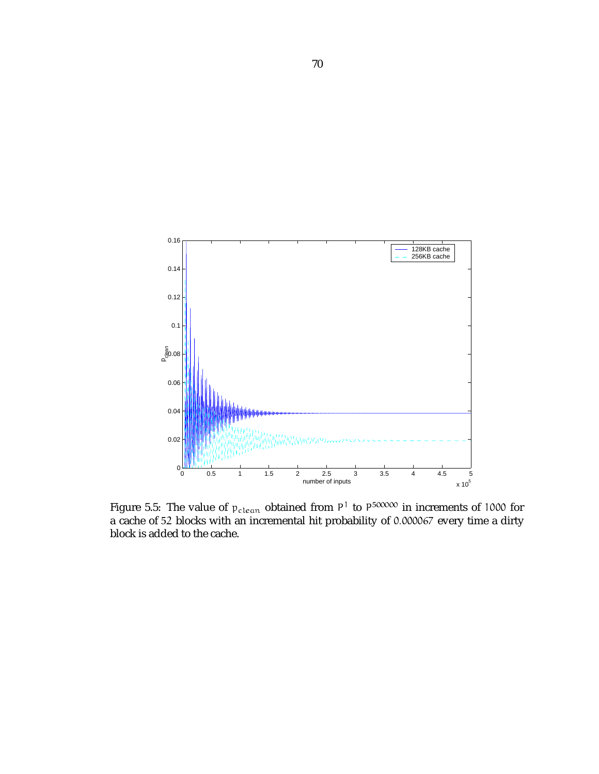

Figure 5.5: The value of  $p_{clean}$  obtained from P<sup>T</sup> to P<sup>500000</sup> in increments of 1000 for a cache of 52 blocks with an incremental hit probability of 0:000067 every time a dirty block is added to the cache.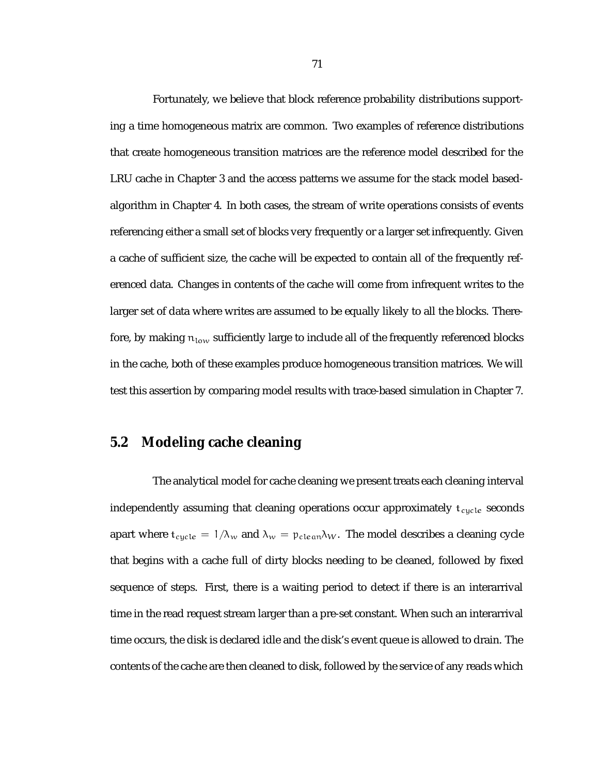Fortunately, we believe that block reference probability distributions supporting a time homogeneous matrix are common. Two examples of reference distributions that create homogeneous transition matrices are the reference model described for the LRU cache in Chapter 3 and the access patterns we assume for the stack model basedalgorithm in Chapter 4. In both cases, the stream of write operations consists of events referencing either a small set of blocks very frequently or a larger set infrequently. Given a cache of sufficient size, the cache will be expected to contain all of the frequently referenced data. Changes in contents of the cache will come from infrequent writes to the larger set of data where writes are assumed to be equally likely to all the blocks. Therefore, by making  $n_{\text{low}}$  sufficiently large to include all of the frequently referenced blocks in the cache, both of these examples produce homogeneous transition matrices. We will test this assertion by comparing model results with trace-based simulation in Chapter 7.

### **5.2 Modeling cache cleaning**

The analytical model for cache cleaning we present treats each cleaning interval independently assuming that cleaning operations occur approximately  $t_{cycle}$  seconds apart where  $t_{cycle} = 1/\lambda_w$  and  $\lambda_w = p_{clean}\lambda_w$ . The model describes a cleaning cycle that begins with a cache full of dirty blocks needing to be cleaned, followed by fixed sequence of steps. First, there is a waiting period to detect if there is an interarrival time in the read request stream larger than a pre-set constant. When such an interarrival time occurs, the disk is declared idle and the disk's event queue is allowed to drain. The contents of the cache are then cleaned to disk, followed by the service of any reads which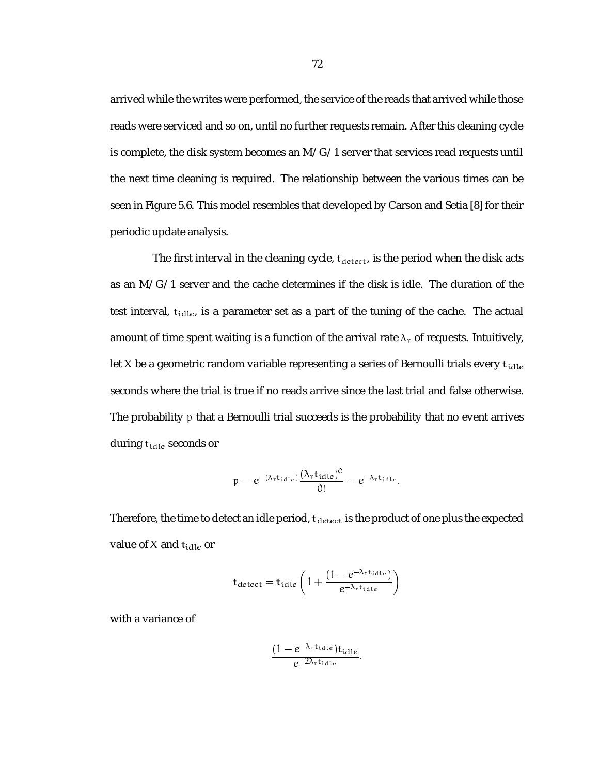arrived while the writes were performed, the service of the reads that arrived while those reads were serviced and so on, until no further requests remain. After this cleaning cycle is complete, the disk system becomes an  $M/G/1$  server that services read requests until the next time cleaning is required. The relationship between the various times can be seen in Figure 5.6. This model resembles that developed by Carson and Setia [8] for their periodic update analysis.

The first interval in the cleaning cycle,  $t_{detect}$ , is the period when the disk acts as an M/G/1 server and the cache determines if the disk is idle. The duration of the test interval,  $t_{idle}$ , is a parameter set as a part of the tuning of the cache. The actual amount of time spent waiting is a function of the arrival rate  $\lambda_r$  of requests. Intuitively, let X be a geometric random variable representing a series of Bernoulli trials every  $t_{idle}$ seconds where the trial is true if no reads arrive since the last trial and false otherwise. The probability p that a Bernoulli trial succeeds is the probability that no event arrives during t<sub>idle</sub> seconds or

$$
p = e^{-(\lambda_{\rm r} t_{\rm id1e})} \frac{(\lambda_{\rm r} t_{\rm id1e})^0}{0!} = e^{-\lambda_{\rm r} t_{\rm id1e}}.
$$

Therefore, the time to detect an idle period,  $t_{\text{detect}}$  is the product of one plus the expected value of  $X$  and  $t_{idle}$  or

$$
t_{\text{detect}} = t_{\text{idle}} \left( 1 + \frac{(1 - e^{-\lambda_{\text{r}} t_{\text{idle}}})}{e^{-\lambda_{\text{r}} t_{\text{idle}}}} \right)
$$

with a variance of

$$
\frac{(1-e^{-\lambda_{\text{r}}t_{\text{idle}}})t_{\text{idle}}}{e^{-2\lambda_{\text{r}}t_{\text{idle}}}}.
$$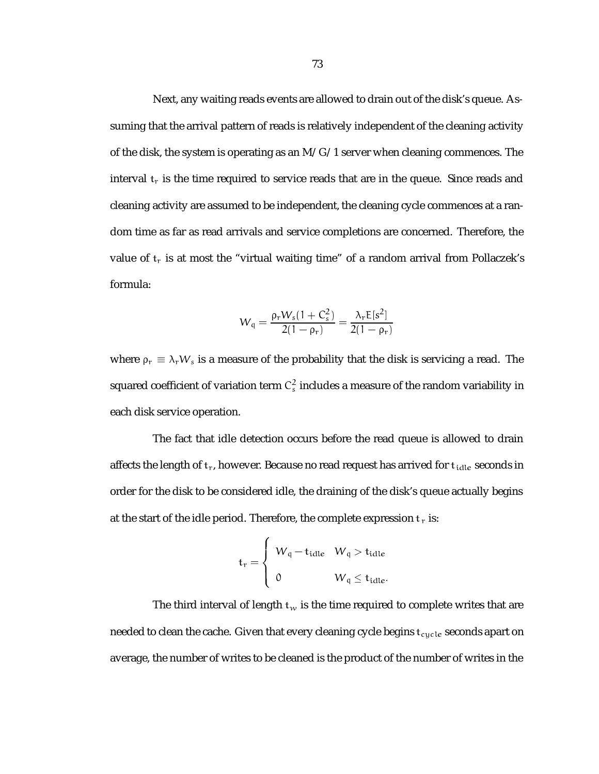Next, any waiting reads events are allowed to drain out of the disk's queue. Assuming that the arrival pattern of reads is relatively independent of the cleaning activity of the disk, the system is operating as an  $M/G/1$  server when cleaning commences. The interval  $t_r$  is the time required to service reads that are in the queue. Since reads and cleaning activity are assumed to be independent, the cleaning cycle commences at a random time as far as read arrivals and service completions are concerned. Therefore, the value of  $t_r$  is at most the "virtual waiting time" of a random arrival from Pollaczek's formula:

$$
W_{\rm q} = \frac{\rho_{\rm r} W_{\rm s} (1 + C_{\rm s}^2)}{2(1 - \rho_{\rm r})} = \frac{\lambda_{\rm r} E[s^2]}{2(1 - \rho_{\rm r})}
$$

where  $\rho_r \equiv \lambda_r W_s$  is a measure of the probability that the disk is servicing a read. The squared coefficient of variation term  $\mathsf{C}_\mathrm{s}^2$  includes a measure of the random variability in each disk service operation.

The fact that idle detection occurs before the read queue is allowed to drain affects the length of  $t_r$ , however. Because no read request has arrived for  $t_{idle}$  seconds in order for the disk to be considered idle, the draining of the disk's queue actually begins at the start of the idle period. Therefore, the complete expression  $t_r$  is:

$$
t_r = \begin{cases} W_q - t_{idle} & W_q > t_{idle} \\ 0 & W_q \le t_{idle}. \end{cases}
$$

The third interval of length  $t_w$  is the time required to complete writes that are needed to clean the cache. Given that every cleaning cycle begins  $t_{cycle}$  seconds apart on average, the number of writes to be cleaned is the product of the number of writes in the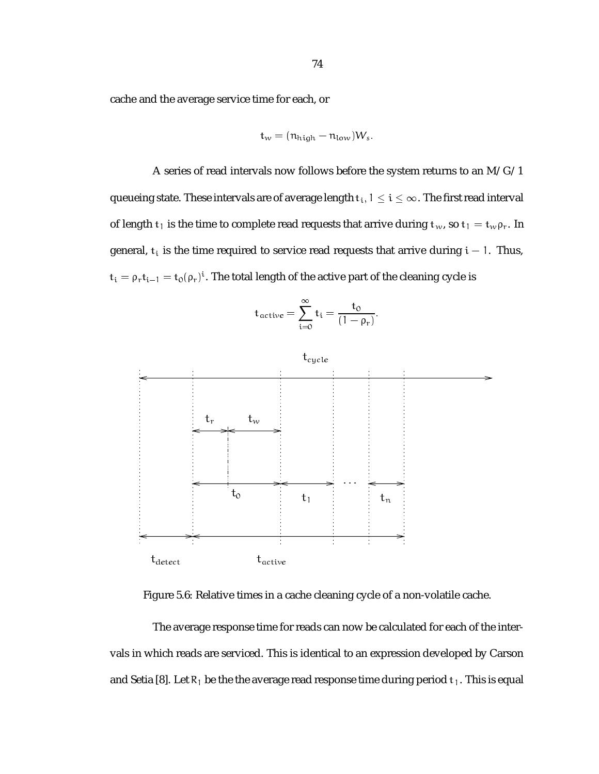cache and the average service time for each, or

$$
t_w = (n_{\text{high}} - n_{\text{low}})W_s.
$$

A series of read intervals now follows before the system returns to an M/G/1 queueing state. These intervals are of average length  $t_i$ ,  $1 \le i \le \infty$ . The first read interval of length  $t_1$  is the time to complete read requests that arrive during  $t_w$ , so  $t_1 = t_w \rho_r$ . In general,  $t_i$  is the time required to service read requests that arrive during  $i - 1$ . Thus,  $t_i = \rho_r t_{i-1} = t_0(\rho_r)^i$ . The total length of the active part of the cleaning cycle is

$$
t_{active} = \sum_{i=0}^{\infty} t_i = \frac{t_0}{(1-\rho_r)}.
$$



Figure 5.6: Relative times in a cache cleaning cycle of a non-volatile cache.

The average response time for reads can now be calculated for each of the intervals in which reads are serviced. This is identical to an expression developed by Carson and Setia [8]. Let  $R_1$  be the the average read response time during period  $t_1$ . This is equal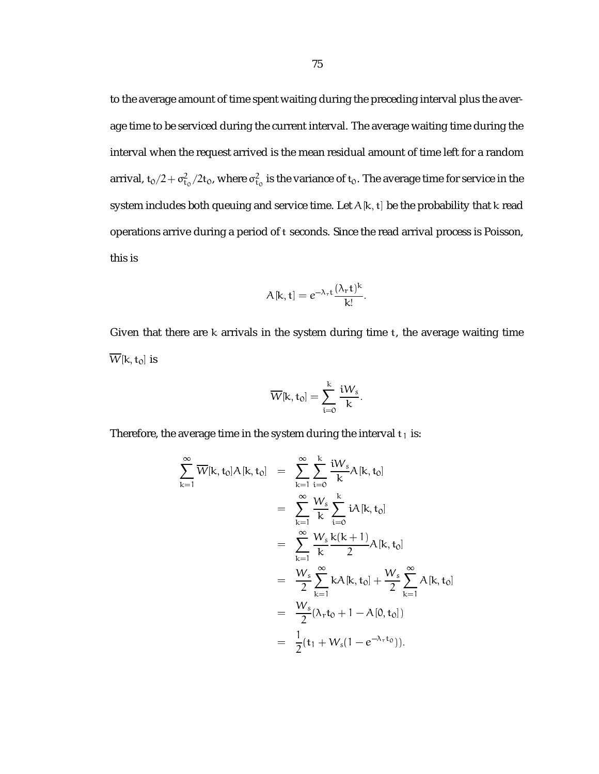to the average amount of time spent waiting during the preceding interval plus the average time to be serviced during the current interval. The average waiting time during the interval when the request arrived is the mean residual amount of time left for a random arrival, t $_0/2 + \sigma_{\rm t_0}^2/2$ t $_0$ , where  $\sigma_{\rm t_0}^2$  is the variance of  ${\rm t_0}.$  The average time for service in the system includes both queuing and service time. Let  $A[k, t]$  be the probability that k read operations arrive during a period of t seconds. Since the read arrival process is Poisson, this is

$$
A[k,t] = e^{-\lambda_{r}t} \frac{(\lambda_{r}t)^{k}}{k!}.
$$

Given that there are k arrivals in the system during time t, the average waiting time  $\overline{W}[k,t_0]$  is

$$
\overline{W}[\text{k},\text{t}_0]=\sum_{i=0}^k \frac{\text{i} W_s}{k}.
$$

Therefore, the average time in the system during the interval  $t_1$  is:

$$
\sum_{k=1}^{\infty} \overline{W}[k, t_0] A[k, t_0] = \sum_{k=1}^{\infty} \sum_{i=0}^{k} \frac{iW_s}{k} A[k, t_0]
$$
  
\n
$$
= \sum_{k=1}^{\infty} \frac{W_s}{k} \sum_{i=0}^{k} iA[k, t_0]
$$
  
\n
$$
= \sum_{k=1}^{\infty} \frac{W_s}{k} \frac{k(k+1)}{2} A[k, t_0]
$$
  
\n
$$
= \frac{W_s}{2} \sum_{k=1}^{\infty} kA[k, t_0] + \frac{W_s}{2} \sum_{k=1}^{\infty} A[k, t_0]
$$
  
\n
$$
= \frac{W_s}{2} (\lambda_r t_0 + 1 - A[0, t_0])
$$
  
\n
$$
= \frac{1}{2} (t_1 + W_s (1 - e^{-\lambda_r t_0})).
$$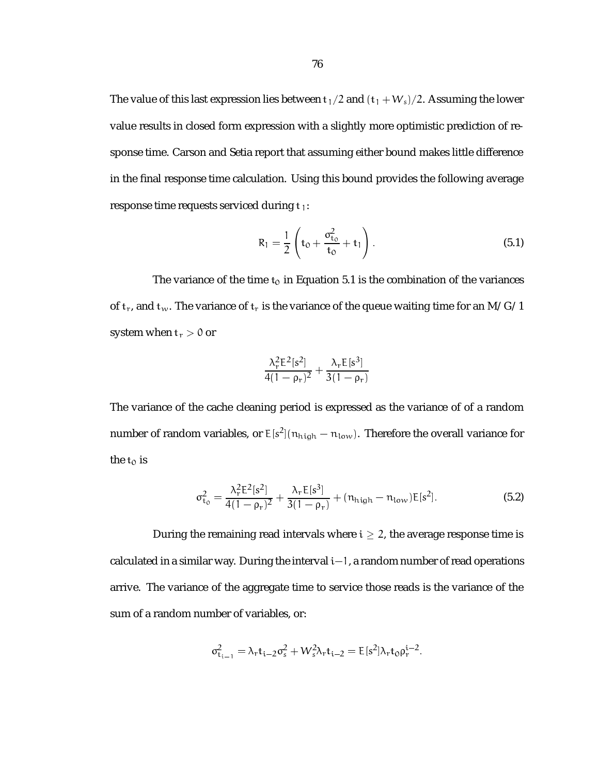The value of this last expression lies between  $t_1/2$  and  $(t_1 + W_s)/2$ . Assuming the lower value results in closed form expression with a slightly more optimistic prediction of response time. Carson and Setia report that assuming either bound makes little difference in the final response time calculation. Using this bound provides the following average response time requests serviced during  $t_1$ :

$$
R_1 = \frac{1}{2} \left( t_0 + \frac{\sigma_{t_0}^2}{t_0} + t_1 \right).
$$
 (5.1)

The variance of the time  $t_0$  in Equation 5.1 is the combination of the variances of  $t_r$ , and  $t_w$ . The variance of  $t_r$  is the variance of the queue waiting time for an M/G/1 system when  $t_r > 0$  or

$$
\frac{\lambda_r^2 E^2[s^2]}{4(1-\rho_r)^2} + \frac{\lambda_r E[s^3]}{3(1-\rho_r)}
$$

The variance of the cache cleaning period is expressed as the variance of of a random number of random variables, or  $\mathsf{E}[\mathsf{s}^{\mathsf{2}}](\mathfrak{n}_{\operatorname{high}}-\mathfrak{n}_{\operatorname{low}}).$  Therefore the overall variance for the  $t_0$  is

$$
\sigma_{t_0}^2 = \frac{\lambda_r^2 E^2 [s^2]}{4(1 - \rho_r)^2} + \frac{\lambda_r E [s^3]}{3(1 - \rho_r)} + (n_{\text{high}} - n_{\text{low}}) E [s^2].
$$
\n(5.2)

During the remaining read intervals where  $i \geq 2$ , the average response time is calculated in a similar way. During the interval  $i-1$ , a random number of read operations arrive. The variance of the aggregate time to service those reads is the variance of the sum of a random number of variables, or:

$$
\sigma^2_{\mathfrak{t}_{\mathfrak{i}-1}}=\lambda_r\mathfrak{t}_{\mathfrak{i}-2}\sigma_s^2+W_s^2\lambda_r\mathfrak{t}_{\mathfrak{i}-2}=E[s^2]\lambda_r\mathfrak{t}_0\rho_r^{\mathfrak{i}-2}.
$$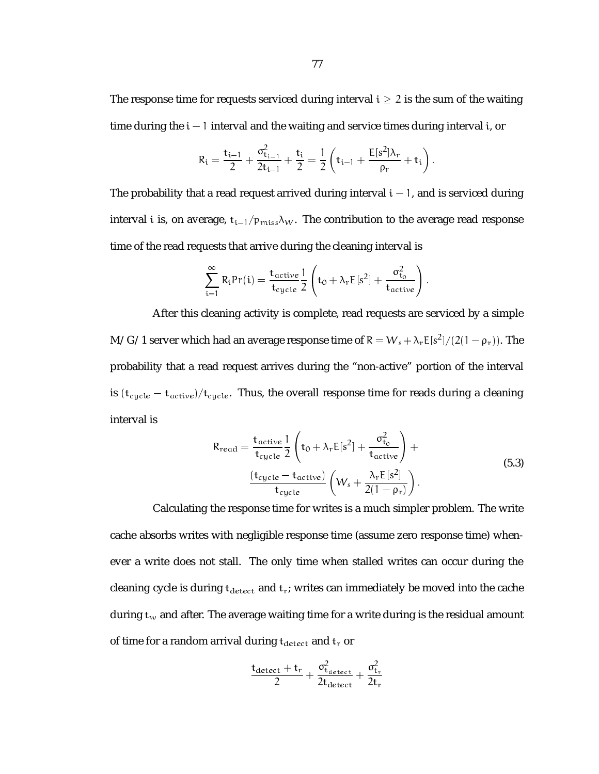The response time for requests serviced during interval  $i \geq 2$  is the sum of the waiting time during the  $i - 1$  interval and the waiting and service times during interval i, or

$$
R_i = \frac{t_{i-1}}{2} + \frac{\sigma_{t_{i-1}}^2}{2t_{i-1}} + \frac{t_i}{2} = \frac{1}{2} \left( t_{i-1} + \frac{E[s^2] \lambda_r}{\rho_r} + t_i \right).
$$

The probability that a read request arrived during interval  $i - 1$ , and is serviced during interval i is, on average,  $t_{i-1}/p_{miss}\lambda_W$ . The contribution to the average read response time of the read requests that arrive during the cleaning interval is

$$
\sum_{i=1}^{\infty} R_i \text{Pr}(i) = \frac{t_{active}}{t_{cycle}} \frac{1}{2} \left( t_0 + \lambda_r E[s^2] + \frac{\sigma_{t_0}^2}{t_{active}} \right).
$$

After this cleaning activity is complete, read requests are serviced by a simple M/G/1 server which had an average response time of R =  $W_s + \lambda_r \text{E}\,[\text{s}^2]/(2(1-\rho_r)).$  The probability that a read request arrives during the "non-active" portion of the interval is  $(t_{cycle} - t_{active})/t_{cycle}$ . Thus, the overall response time for reads during a cleaning interval is

$$
R_{read} = \frac{t_{active}}{t_{cycle}} \frac{1}{2} \left( t_0 + \lambda_r E[s^2] + \frac{\sigma_{t_0}^2}{t_{active}} \right) + \frac{(t_{cycle} - t_{active})}{t_{cycle}} \left( W_s + \frac{\lambda_r E[s^2]}{2(1 - \rho_r)} \right).
$$
\n(5.3)

Calculating the response time for writes is a much simpler problem. The write cache absorbs writes with negligible response time (assume zero response time) whenever a write does not stall. The only time when stalled writes can occur during the cleaning cycle is during  $t_{\text{detect}}$  and  $t_r$ ; writes can immediately be moved into the cache during  $t_w$  and after. The average waiting time for a write during is the residual amount of time for a random arrival during  $t_{\text{detect}}$  and  $t_r$  or

$$
\frac{t_{\text{detect}}+t_r}{2} + \frac{\sigma_{t_{\text{detect}}}^2}{2t_{\text{detect}}} + \frac{\sigma_{t_r}^2}{2t_r}
$$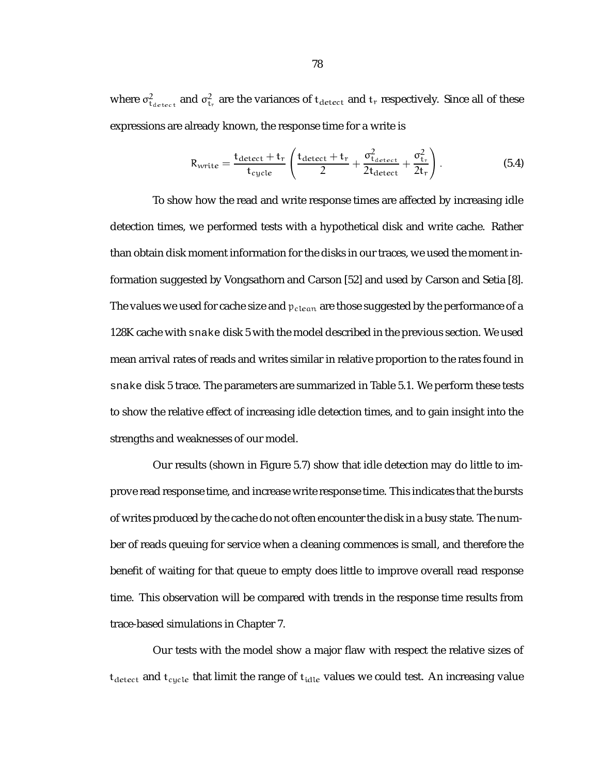where  $\sigma^2_{\text{t}_\text{detect}}$  and  $\sigma^2_{\text{t}_\text{r}}$  are the variances of  $\text{t}_\text{detect}$  and  $\text{t}_\text{r}$  respectively. Since all of these expressions are already known, the response time for a write is

$$
R_{\text{write}} = \frac{t_{\text{detect}} + t_r}{t_{\text{cycle}}} \left( \frac{t_{\text{detect}} + t_r}{2} + \frac{\sigma_{t_{\text{detect}}}}{2t_{\text{detect}}} + \frac{\sigma_{t_r}^2}{2t_r} \right). \tag{5.4}
$$

To show how the read and write response times are affected by increasing idle detection times, we performed tests with a hypothetical disk and write cache. Rather than obtain disk moment information for the disks in our traces, we used the moment information suggested by Vongsathorn and Carson [52] and used by Carson and Setia [8]. The values we used for cache size and  $p_{clean}$  are those suggested by the performance of a 128K cache with snake disk 5 with the model described in the previous section. We used mean arrival rates of reads and writes similar in relative proportion to the rates found in snake disk 5 trace. The parameters are summarized in Table 5.1. We perform these tests to show the relative effect of increasing idle detection times, and to gain insight into the strengths and weaknesses of our model.

Our results (shown in Figure 5.7) show that idle detection may do little to improve read response time, and increase write response time. This indicates that the bursts of writes produced by the cache do not often encounter the disk in a busy state. The number of reads queuing for service when a cleaning commences is small, and therefore the benefit of waiting for that queue to empty does little to improve overall read response time. This observation will be compared with trends in the response time results from trace-based simulations in Chapter 7.

Our tests with the model show a major flaw with respect the relative sizes of  ${\rm t_{detect}}$  and  ${\rm t_{cycle}}$  that limit the range of  ${\rm t_{idle}}$  values we could test. An increasing value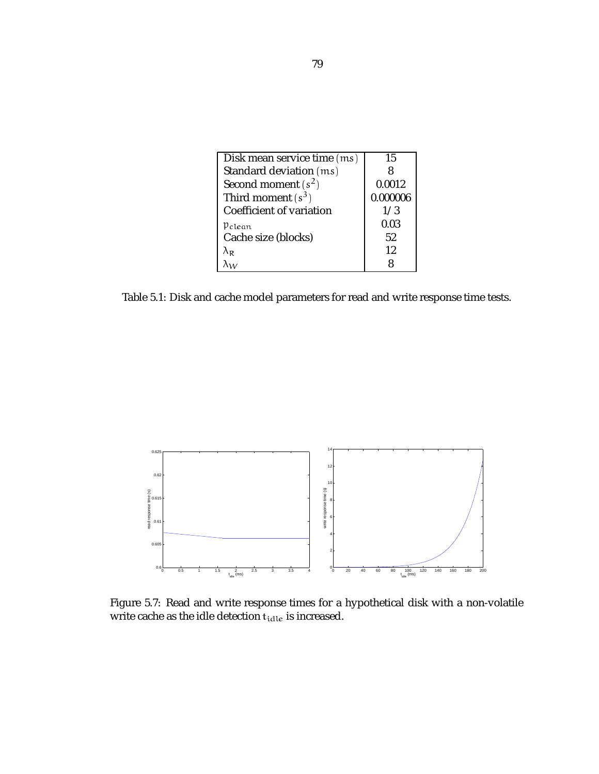| Disk mean service time (ms) | 15       |
|-----------------------------|----------|
| Standard deviation (ms)     |          |
| Second moment $(s^2)$       | 0.0012   |
| Third moment $(s^3)$        | 0.000006 |
| Coefficient of variation    | 1/3      |
| Pelean                      | 0.03     |
| Cache size (blocks)         | 52       |
| $\lambda_{\rm R}$           | 12       |
|                             |          |

Table 5.1: Disk and cache model parameters for read and write response time tests.



Figure 5.7: Read and write response times for a hypothetical disk with a non-volatile write cache as the idle detection  $\mathbf{t}_{\text{idle}}$  is increased.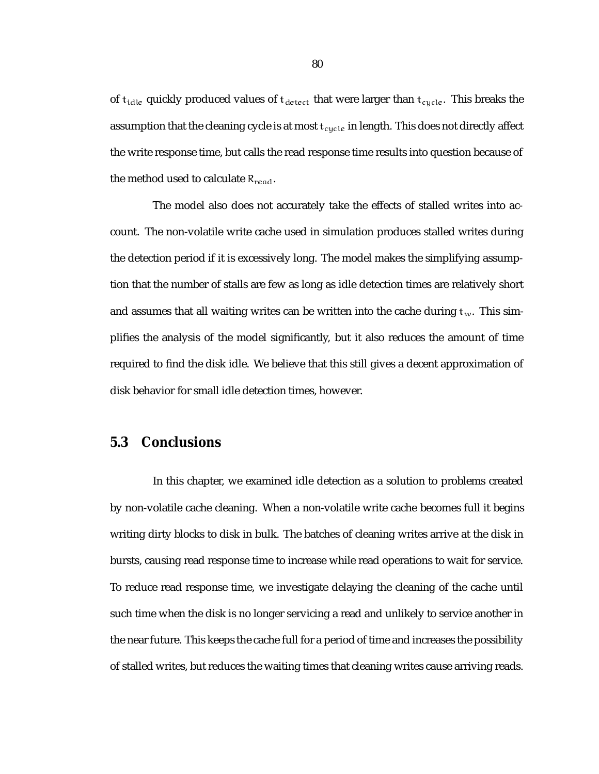of  $t_{idle}$  quickly produced values of  $t_{detect}$  that were larger than  $t_{cycle}$ . This breaks the assumption that the cleaning cycle is at most  $t_{cycle}$  in length. This does not directly affect the write response time, but calls the read response time results into question because of the method used to calculate  $R_{read}$ .

The model also does not accurately take the effects of stalled writes into account. The non-volatile write cache used in simulation produces stalled writes during the detection period if it is excessively long. The model makes the simplifying assumption that the number of stalls are few as long as idle detection times are relatively short and assumes that all waiting writes can be written into the cache during  $t_w$ . This simplifies the analysis of the model significantly, but it also reduces the amount of time required to find the disk idle. We believe that this still gives a decent approximation of disk behavior for small idle detection times, however.

### **5.3 Conclusions**

In this chapter, we examined idle detection as a solution to problems created by non-volatile cache cleaning. When a non-volatile write cache becomes full it begins writing dirty blocks to disk in bulk. The batches of cleaning writes arrive at the disk in bursts, causing read response time to increase while read operations to wait for service. To reduce read response time, we investigate delaying the cleaning of the cache until such time when the disk is no longer servicing a read and unlikely to service another in the near future. This keeps the cache full for a period of time and increases the possibility of stalled writes, but reduces the waiting times that cleaning writes cause arriving reads.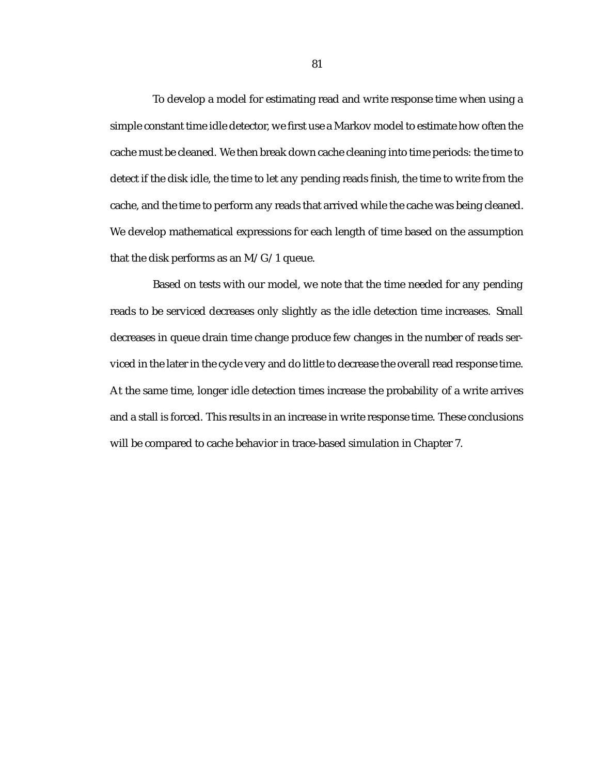To develop a model for estimating read and write response time when using a simple constant time idle detector, we first use a Markov model to estimate how often the cache must be cleaned. We then break down cache cleaning into time periods: the time to detect if the disk idle, the time to let any pending reads finish, the time to write from the cache, and the time to perform any reads that arrived while the cache was being cleaned. We develop mathematical expressions for each length of time based on the assumption that the disk performs as an M/G/1 queue.

Based on tests with our model, we note that the time needed for any pending reads to be serviced decreases only slightly as the idle detection time increases. Small decreases in queue drain time change produce few changes in the number of reads serviced in the later in the cycle very and do little to decrease the overall read response time. At the same time, longer idle detection times increase the probability of a write arrives and a stall is forced. This results in an increase in write response time. These conclusions will be compared to cache behavior in trace-based simulation in Chapter 7.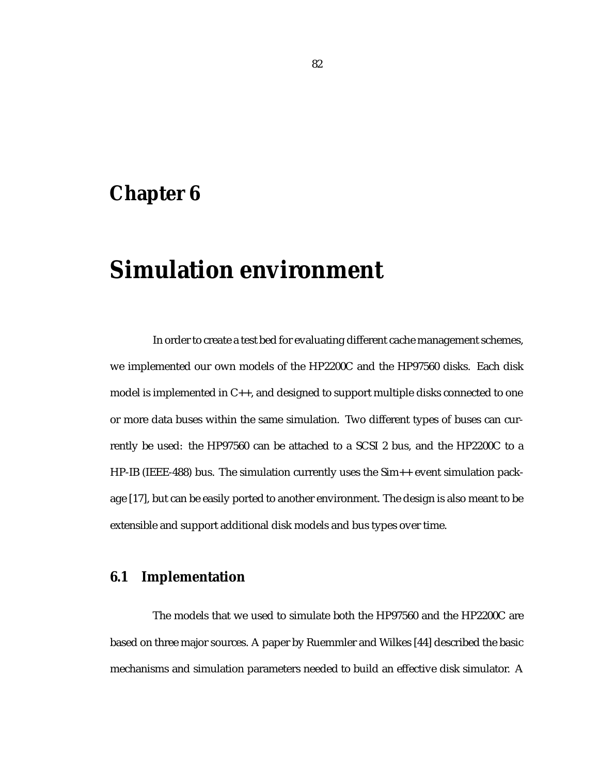## **Chapter 6**

# **Simulation environment**

In order to create a test bed for evaluating different cache management schemes, we implemented our own models of the HP2200C and the HP97560 disks. Each disk model is implemented in C++, and designed to support multiple disks connected to one or more data buses within the same simulation. Two different types of buses can currently be used: the HP97560 can be attached to a SCSI 2 bus, and the HP2200C to a HP-IB (IEEE-488) bus. The simulation currently uses the Sim++ event simulation package [17], but can be easily ported to another environment. The design is also meant to be extensible and support additional disk models and bus types over time.

### **6.1 Implementation**

The models that we used to simulate both the HP97560 and the HP2200C are based on three major sources. A paper by Ruemmler and Wilkes [44] described the basic mechanisms and simulation parameters needed to build an effective disk simulator. A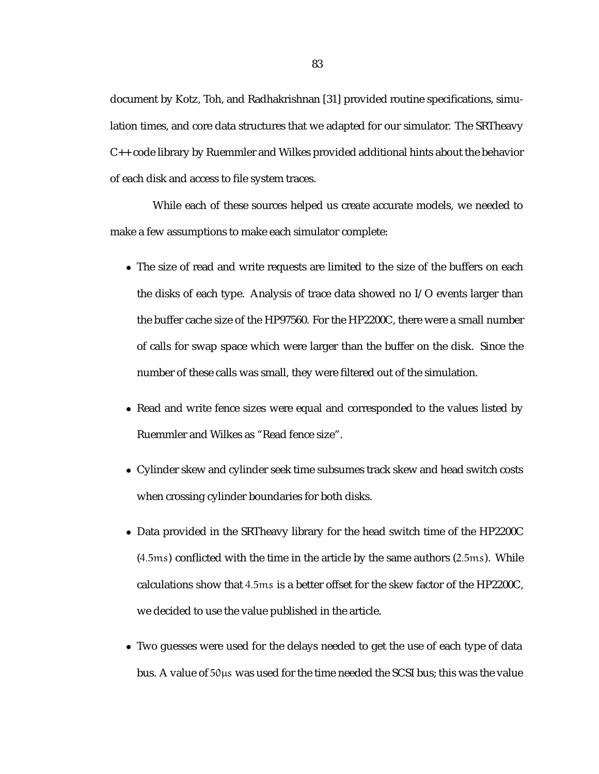document by Kotz, Toh, and Radhakrishnan [31] provided routine specifications, simulation times, and core data structures that we adapted for our simulator. The SRTheavy C++ code library by Ruemmler and Wilkes provided additional hints about the behavior of each disk and access to file system traces.

While each of these sources helped us create accurate models, we needed to make a few assumptions to make each simulator complete:

- The size of read and write requests are limited to the size of the buffers on each the disks of each type. Analysis of trace data showed no I/O events larger than the buffer cache size of the HP97560. For the HP2200C, there were a small number of calls for swap space which were larger than the buffer on the disk. Since the number of these calls was small, they were filtered out of the simulation.
- Read and write fence sizes were equal and corresponded to the values listed by Ruemmler and Wilkes as "Read fence size".
- Cylinder skew and cylinder seek time subsumes track skew and head switch costs when crossing cylinder boundaries for both disks.
- Data provided in the SRTheavy library for the head switch time of the HP2200C (4:5ms) conflicted with the time in the article by the same authors (2:5ms). While calculations show that 4:5ms is a better offset for the skew factor of the HP2200C, we decided to use the value published in the article.
- Two guesses were used for the delays needed to get the use of each type of data bus. A value of  $50\mu s$  was used for the time needed the SCSI bus; this was the value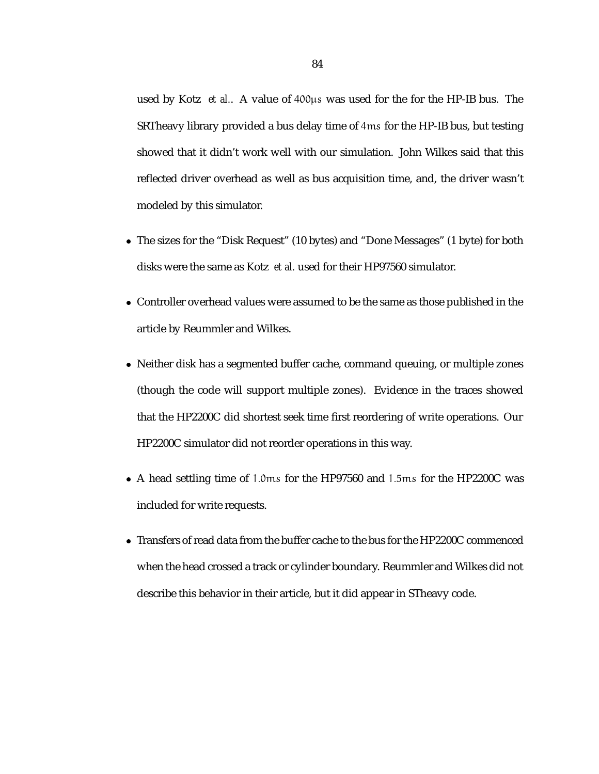used by Kotz *et al..* A value of  $400\mu s$  was used for the for the HP-IB bus. The SRTheavy library provided a bus delay time of 4ms for the HP-IB bus, but testing showed that it didn't work well with our simulation. John Wilkes said that this reflected driver overhead as well as bus acquisition time, and, the driver wasn't modeled by this simulator.

- The sizes for the "Disk Request" (10 bytes) and "Done Messages" (1 byte) for both disks were the same as Kotz *et al.* used for their HP97560 simulator.
- Controller overhead values were assumed to be the same as those published in the article by Reummler and Wilkes.
- Neither disk has a segmented buffer cache, command queuing, or multiple zones (though the code will support multiple zones). Evidence in the traces showed that the HP2200C did shortest seek time first reordering of write operations. Our HP2200C simulator did not reorder operations in this way.
- A head settling time of 1:0ms for the HP97560 and 1:5ms for the HP2200C was included for write requests.
- Transfers of read data from the buffer cache to the bus for the HP2200C commenced when the head crossed a track or cylinder boundary. Reummler and Wilkes did not describe this behavior in their article, but it did appear in STheavy code.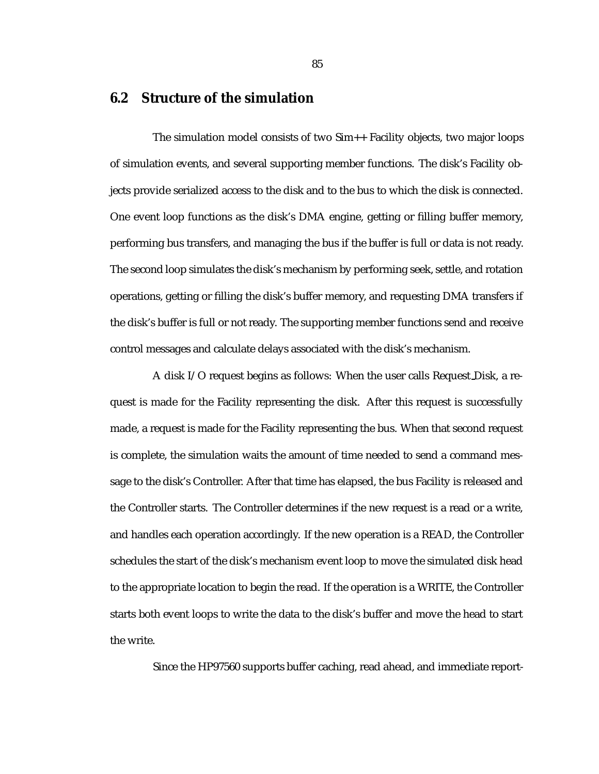### **6.2 Structure of the simulation**

The simulation model consists of two Sim++ Facility objects, two major loops of simulation events, and several supporting member functions. The disk's Facility objects provide serialized access to the disk and to the bus to which the disk is connected. One event loop functions as the disk's DMA engine, getting or filling buffer memory, performing bus transfers, and managing the bus if the buffer is full or data is not ready. The second loop simulates the disk's mechanism by performing seek, settle, and rotation operations, getting or filling the disk's buffer memory, and requesting DMA transfers if the disk's buffer is full or not ready. The supporting member functions send and receive control messages and calculate delays associated with the disk's mechanism.

A disk I/O request begins as follows: When the user calls Request Disk, a request is made for the Facility representing the disk. After this request is successfully made, a request is made for the Facility representing the bus. When that second request is complete, the simulation waits the amount of time needed to send a command message to the disk's Controller. After that time has elapsed, the bus Facility is released and the Controller starts. The Controller determines if the new request is a read or a write, and handles each operation accordingly. If the new operation is a READ, the Controller schedules the start of the disk's mechanism event loop to move the simulated disk head to the appropriate location to begin the read. If the operation is a WRITE, the Controller starts both event loops to write the data to the disk's buffer and move the head to start the write.

Since the HP97560 supports buffer caching, read ahead, and immediate report-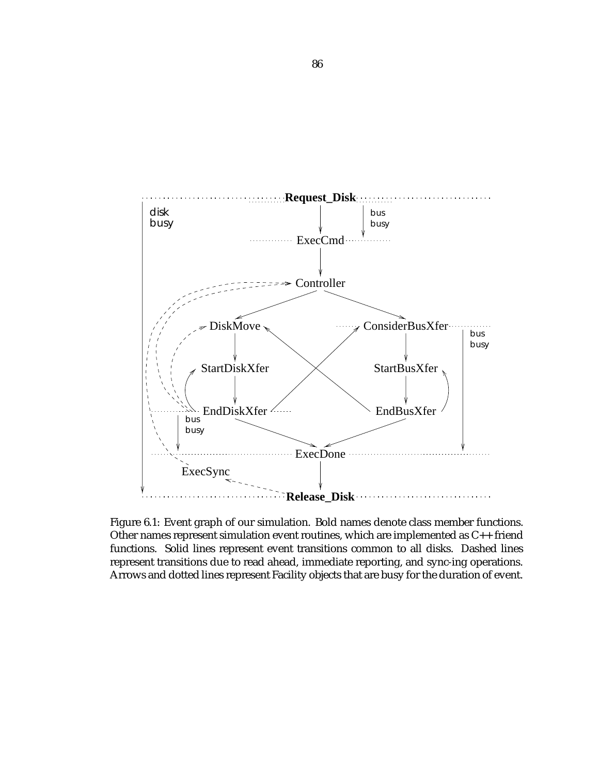

Figure 6.1: Event graph of our simulation. Bold names denote class member functions. Other names represent simulation event routines, which are implemented as C++ friend functions. Solid lines represent event transitions common to all disks. Dashed lines represent transitions due to read ahead, immediate reporting, and sync-ing operations. Arrows and dotted lines represent Facility objects that are busy for the duration of event.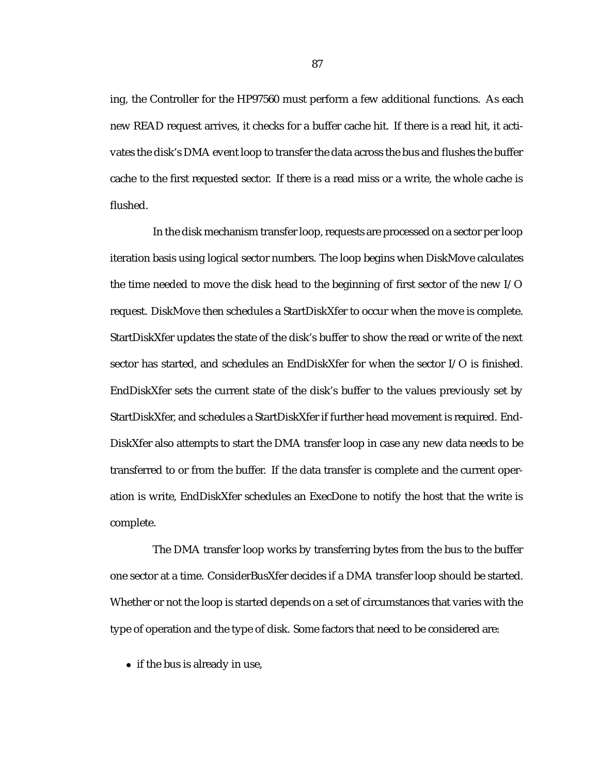ing, the Controller for the HP97560 must perform a few additional functions. As each new READ request arrives, it checks for a buffer cache hit. If there is a read hit, it activates the disk's DMA event loop to transfer the data across the bus and flushes the buffer cache to the first requested sector. If there is a read miss or a write, the whole cache is flushed.

In the disk mechanism transfer loop, requests are processed on a sector per loop iteration basis using logical sector numbers. The loop begins when DiskMove calculates the time needed to move the disk head to the beginning of first sector of the new I/O request. DiskMove then schedules a StartDiskXfer to occur when the move is complete. StartDiskXfer updates the state of the disk's buffer to show the read or write of the next sector has started, and schedules an EndDiskXfer for when the sector I/O is finished. EndDiskXfer sets the current state of the disk's buffer to the values previously set by StartDiskXfer, and schedules a StartDiskXfer if further head movement is required. End-DiskXfer also attempts to start the DMA transfer loop in case any new data needs to be transferred to or from the buffer. If the data transfer is complete and the current operation is write, EndDiskXfer schedules an ExecDone to notify the host that the write is complete.

The DMA transfer loop works by transferring bytes from the bus to the buffer one sector at a time. ConsiderBusXfer decides if a DMA transfer loop should be started. Whether or not the loop is started depends on a set of circumstances that varies with the type of operation and the type of disk. Some factors that need to be considered are:

• if the bus is already in use,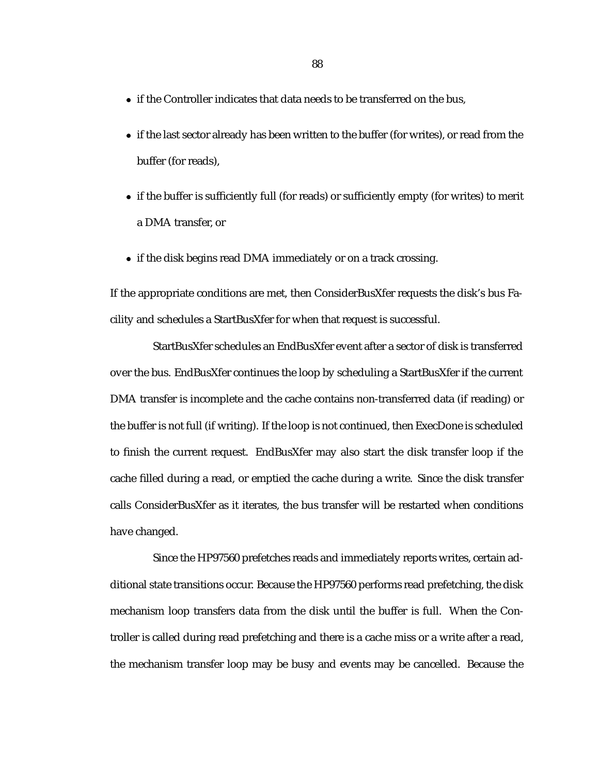- if the Controller indicates that data needs to be transferred on the bus,
- if the last sector already has been written to the buffer (for writes), or read from the buffer (for reads),
- if the buffer is sufficiently full (for reads) or sufficiently empty (for writes) to merit a DMA transfer, or
- if the disk begins read DMA immediately or on a track crossing.

If the appropriate conditions are met, then ConsiderBusXfer requests the disk's bus Facility and schedules a StartBusXfer for when that request is successful.

StartBusXfer schedules an EndBusXfer event after a sector of disk is transferred over the bus. EndBusXfer continues the loop by scheduling a StartBusXfer if the current DMA transfer is incomplete and the cache contains non-transferred data (if reading) or the buffer is not full (if writing). If the loop is not continued, then ExecDone is scheduled to finish the current request. EndBusXfer may also start the disk transfer loop if the cache filled during a read, or emptied the cache during a write. Since the disk transfer calls ConsiderBusXfer as it iterates, the bus transfer will be restarted when conditions have changed.

Since the HP97560 prefetches reads and immediately reports writes, certain additional state transitions occur. Because the HP97560 performs read prefetching, the disk mechanism loop transfers data from the disk until the buffer is full. When the Controller is called during read prefetching and there is a cache miss or a write after a read, the mechanism transfer loop may be busy and events may be cancelled. Because the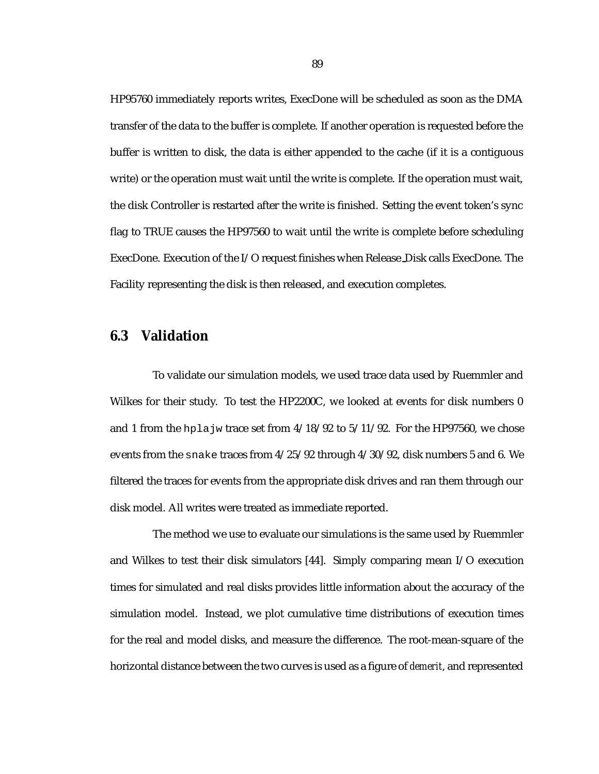HP95760 immediately reports writes, ExecDone will be scheduled as soon as the DMA transfer of the data to the buffer is complete. If another operation is requested before the buffer is written to disk, the data is either appended to the cache (if it is a contiguous write) or the operation must wait until the write is complete. If the operation must wait, the disk Controller is restarted after the write is finished. Setting the event token's sync flag to TRUE causes the HP97560 to wait until the write is complete before scheduling ExecDone. Execution of the I/O request finishes when Release Disk calls ExecDone. The Facility representing the disk is then released, and execution completes.

### **6.3 Validation**

To validate our simulation models, we used trace data used by Ruemmler and Wilkes for their study. To test the HP2200C, we looked at events for disk numbers 0 and 1 from the hplajw trace set from  $4/18/92$  to  $5/11/92$ . For the HP97560, we chose events from the snake traces from 4/25/92 through 4/30/92, disk numbers 5 and 6. We filtered the traces for events from the appropriate disk drives and ran them through our disk model. All writes were treated as immediate reported.

The method we use to evaluate our simulations is the same used by Ruemmler and Wilkes to test their disk simulators [44]. Simply comparing mean I/O execution times for simulated and real disks provides little information about the accuracy of the simulation model. Instead, we plot cumulative time distributions of execution times for the real and model disks, and measure the difference. The root-mean-square of the horizontal distance between the two curves is used as a figure of *demerit*, and represented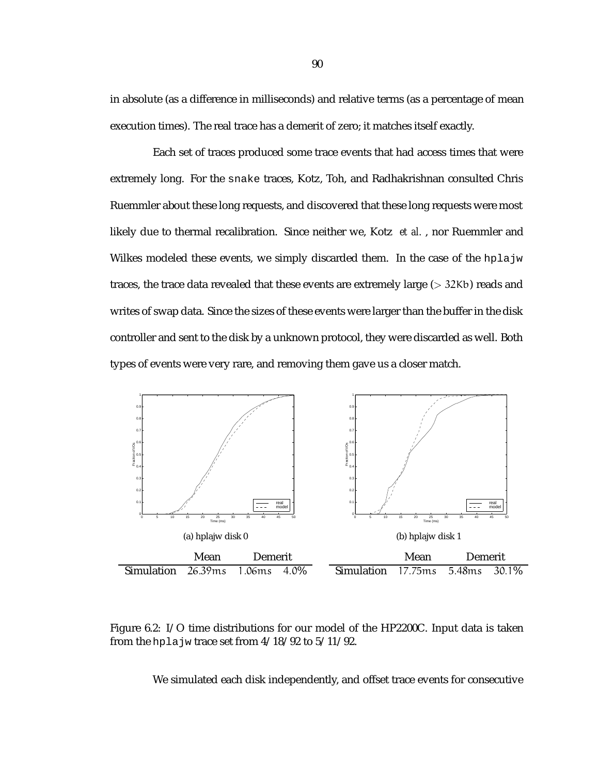in absolute (as a difference in milliseconds) and relative terms (as a percentage of mean execution times). The real trace has a demerit of zero; it matches itself exactly.

Each set of traces produced some trace events that had access times that were extremely long. For the snake traces, Kotz, Toh, and Radhakrishnan consulted Chris Ruemmler about these long requests, and discovered that these long requests were most likely due to thermal recalibration. Since neither we, Kotz *et al.* , nor Ruemmler and Wilkes modeled these events, we simply discarded them. In the case of the hplajw traces, the trace data revealed that these events are extremely large  $(>32Kb)$  reads and writes of swap data. Since the sizes of these events were larger than the buffer in the disk controller and sent to the disk by a unknown protocol, they were discarded as well. Both types of events were very rare, and removing them gave us a closer match.



Figure 6.2: I/O time distributions for our model of the HP2200C. Input data is taken from the hpla jw trace set from  $4/18/92$  to  $5/11/92$ .

We simulated each disk independently, and offset trace events for consecutive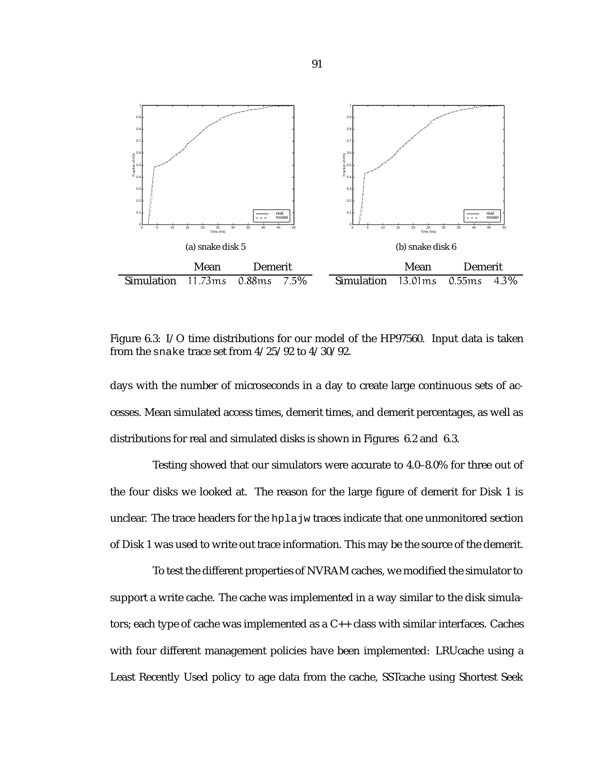

Figure 6.3: I/O time distributions for our model of the HP97560. Input data is taken from the snake trace set from 4/25/92 to 4/30/92.

days with the number of microseconds in a day to create large continuous sets of accesses. Mean simulated access times, demerit times, and demerit percentages, as well as distributions for real and simulated disks is shown in Figures 6.2 and 6.3.

Testing showed that our simulators were accurate to 4.0–8.0% for three out of the four disks we looked at. The reason for the large figure of demerit for Disk 1 is unclear. The trace headers for the hplajw traces indicate that one unmonitored section of Disk 1 was used to write out trace information. This may be the source of the demerit.

To test the different properties of NVRAM caches, we modified the simulator to support a write cache. The cache was implemented in a way similar to the disk simulators; each type of cache was implemented as a C++ class with similar interfaces. Caches with four different management policies have been implemented: LRUcache using a Least Recently Used policy to age data from the cache, SSTcache using Shortest Seek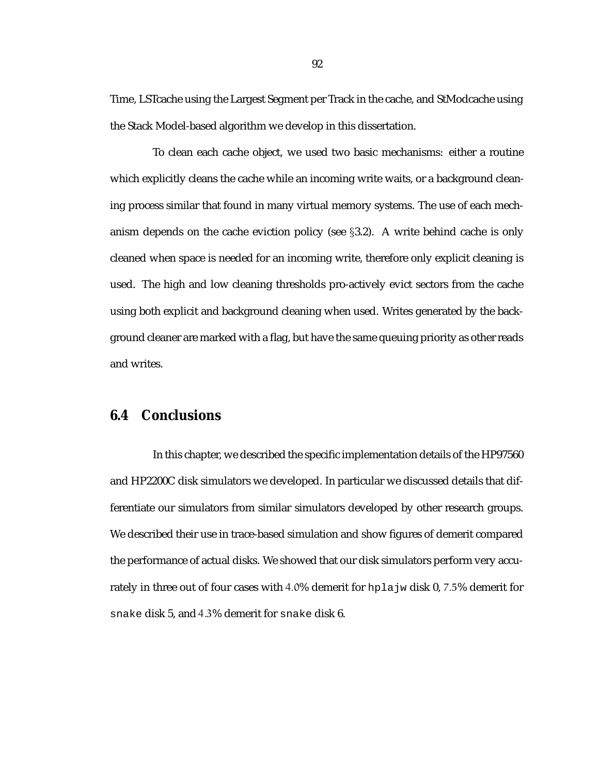Time, LSTcache using the Largest Segment per Track in the cache, and StModcache using the Stack Model-based algorithm we develop in this dissertation.

To clean each cache object, we used two basic mechanisms: either a routine which explicitly cleans the cache while an incoming write waits, or a background cleaning process similar that found in many virtual memory systems. The use of each mechanism depends on the cache eviction policy (see  $\S 3.2$ ). A write behind cache is only cleaned when space is needed for an incoming write, therefore only explicit cleaning is used. The high and low cleaning thresholds pro-actively evict sectors from the cache using both explicit and background cleaning when used. Writes generated by the background cleaner are marked with a flag, but have the same queuing priority as other reads and writes.

### **6.4 Conclusions**

In this chapter, we described the specific implementation details of the HP97560 and HP2200C disk simulators we developed. In particular we discussed details that differentiate our simulators from similar simulators developed by other research groups. We described their use in trace-based simulation and show figures of demerit compared the performance of actual disks. We showed that our disk simulators perform very accurately in three out of four cases with 4.0% demerit for hplajw disk 0, 7.5% demerit for snake disk 5, and 4:3% demerit for snake disk 6.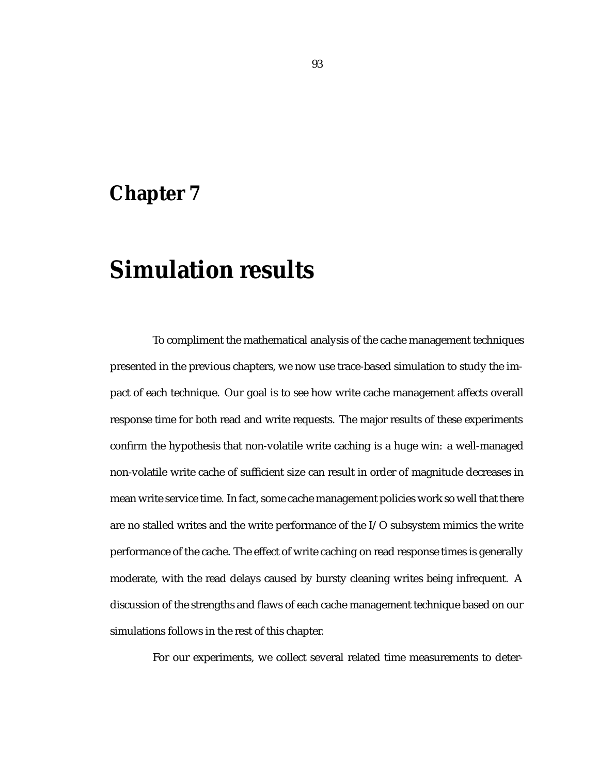## **Chapter 7**

# **Simulation results**

To compliment the mathematical analysis of the cache management techniques presented in the previous chapters, we now use trace-based simulation to study the impact of each technique. Our goal is to see how write cache management affects overall response time for both read and write requests. The major results of these experiments confirm the hypothesis that non-volatile write caching is a huge win: a well-managed non-volatile write cache of sufficient size can result in order of magnitude decreases in mean write service time. In fact, some cache management policies work so well that there are no stalled writes and the write performance of the I/O subsystem mimics the write performance of the cache. The effect of write caching on read response times is generally moderate, with the read delays caused by bursty cleaning writes being infrequent. A discussion of the strengths and flaws of each cache management technique based on our simulations follows in the rest of this chapter.

For our experiments, we collect several related time measurements to deter-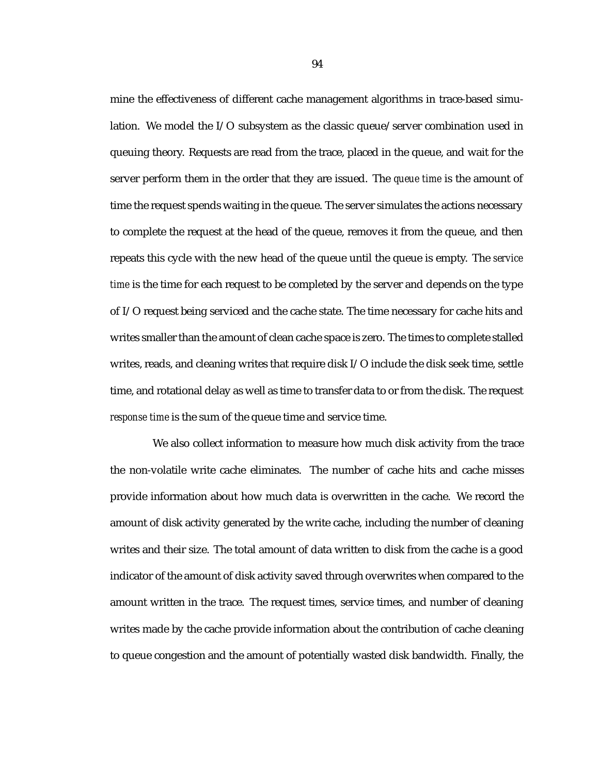mine the effectiveness of different cache management algorithms in trace-based simulation. We model the I/O subsystem as the classic queue/server combination used in queuing theory. Requests are read from the trace, placed in the queue, and wait for the server perform them in the order that they are issued. The *queue time* is the amount of time the request spends waiting in the queue. The server simulates the actions necessary to complete the request at the head of the queue, removes it from the queue, and then repeats this cycle with the new head of the queue until the queue is empty. The *service time* is the time for each request to be completed by the server and depends on the type of I/O request being serviced and the cache state. The time necessary for cache hits and writes smaller than the amount of clean cache space is zero. The times to complete stalled writes, reads, and cleaning writes that require disk I/O include the disk seek time, settle time, and rotational delay as well as time to transfer data to or from the disk. The request *response time* is the sum of the queue time and service time.

We also collect information to measure how much disk activity from the trace the non-volatile write cache eliminates. The number of cache hits and cache misses provide information about how much data is overwritten in the cache. We record the amount of disk activity generated by the write cache, including the number of cleaning writes and their size. The total amount of data written to disk from the cache is a good indicator of the amount of disk activity saved through overwrites when compared to the amount written in the trace. The request times, service times, and number of cleaning writes made by the cache provide information about the contribution of cache cleaning to queue congestion and the amount of potentially wasted disk bandwidth. Finally, the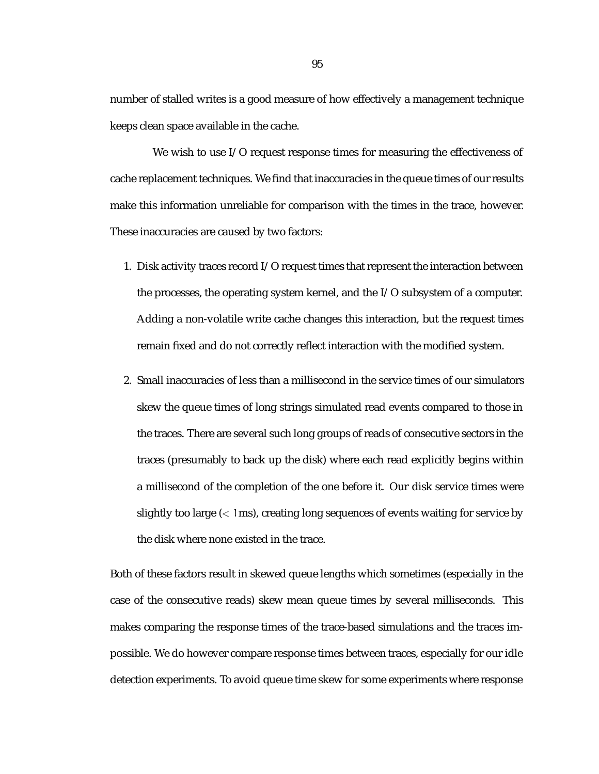number of stalled writes is a good measure of how effectively a management technique keeps clean space available in the cache.

We wish to use I/O request response times for measuring the effectiveness of cache replacement techniques. We find that inaccuracies in the queue times of our results make this information unreliable for comparison with the times in the trace, however. These inaccuracies are caused by two factors:

- 1. Disk activity traces record I/O request times that represent the interaction between the processes, the operating system kernel, and the I/O subsystem of a computer. Adding a non-volatile write cache changes this interaction, but the request times remain fixed and do not correctly reflect interaction with the modified system.
- 2. Small inaccuracies of less than a millisecond in the service times of our simulators skew the queue times of long strings simulated read events compared to those in the traces. There are several such long groups of reads of consecutive sectors in the traces (presumably to back up the disk) where each read explicitly begins within a millisecond of the completion of the one before it. Our disk service times were slightly too large  $\left\langle \langle 1 \rangle \right\rangle$  reating long sequences of events waiting for service by the disk where none existed in the trace.

Both of these factors result in skewed queue lengths which sometimes (especially in the case of the consecutive reads) skew mean queue times by several milliseconds. This makes comparing the response times of the trace-based simulations and the traces impossible. We do however compare response times between traces, especially for our idle detection experiments. To avoid queue time skew for some experiments where response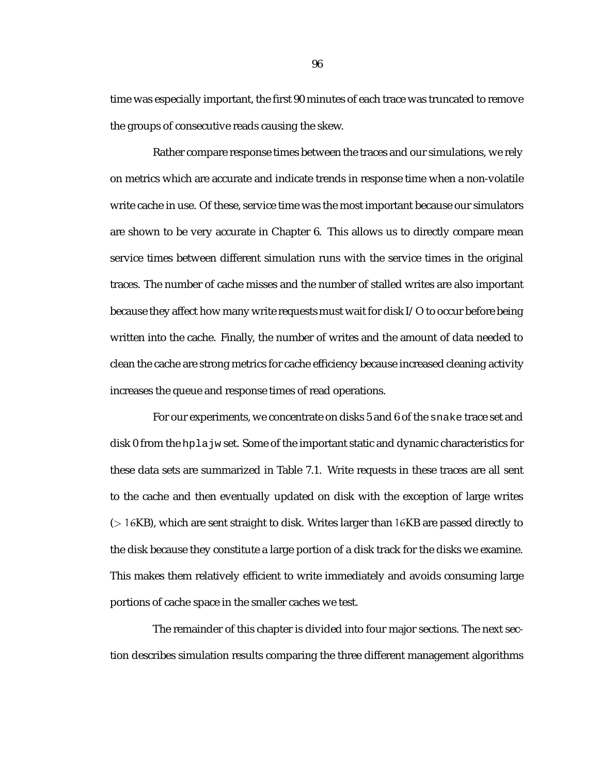time was especially important, the first 90 minutes of each trace was truncated to remove the groups of consecutive reads causing the skew.

Rather compare response times between the traces and our simulations, we rely on metrics which are accurate and indicate trends in response time when a non-volatile write cache in use. Of these, service time was the most important because our simulators are shown to be very accurate in Chapter 6. This allows us to directly compare mean service times between different simulation runs with the service times in the original traces. The number of cache misses and the number of stalled writes are also important because they affect how many write requests must wait for disk I/O to occur before being written into the cache. Finally, the number of writes and the amount of data needed to clean the cache are strong metrics for cache efficiency because increased cleaning activity increases the queue and response times of read operations.

For our experiments, we concentrate on disks 5 and 6 of the snake trace set and disk 0 from the hplajw set. Some of the important static and dynamic characteristics for these data sets are summarized in Table 7.1. Write requests in these traces are all sent to the cache and then eventually updated on disk with the exception of large writes (> 16KB), which are sent straight to disk. Writes larger than 16KB are passed directly to the disk because they constitute a large portion of a disk track for the disks we examine. This makes them relatively efficient to write immediately and avoids consuming large portions of cache space in the smaller caches we test.

The remainder of this chapter is divided into four major sections. The next section describes simulation results comparing the three different management algorithms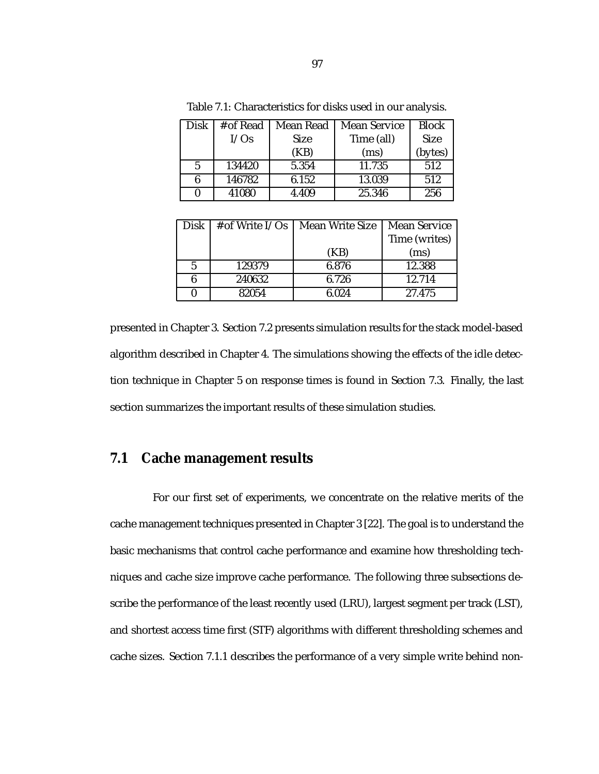| Disk | # of Read | Mean Read   | <b>Mean Service</b> | Block       |
|------|-----------|-------------|---------------------|-------------|
|      | I/Os      | <b>Size</b> | Time (all)          | <b>Size</b> |
|      |           | (KB)        | (ms)                | (bytes)     |
| 5    | 134420    | 5.354       | 11.735              | 512         |
| 6    | 146782    | 6.152       | 13.039              | 512         |
|      | 41080     | 4.409       | 25.346              | 256         |

Table 7.1: Characteristics for disks used in our analysis.

| Disk | $#$ of Write I/Os | <b>Mean Write Size</b> | <b>Mean Service</b> |  |
|------|-------------------|------------------------|---------------------|--|
|      |                   |                        | Time (writes)       |  |
|      |                   | (KB)                   | (ms)                |  |
| 5    | 129379            | 6.876                  | 12.388              |  |
| 6    | 240632            | 6.726                  | 12.714              |  |
|      | 82054             | 6.024                  | 27.475              |  |

presented in Chapter 3. Section 7.2 presents simulation results for the stack model-based algorithm described in Chapter 4. The simulations showing the effects of the idle detection technique in Chapter 5 on response times is found in Section 7.3. Finally, the last section summarizes the important results of these simulation studies.

# **7.1 Cache management results**

For our first set of experiments, we concentrate on the relative merits of the cache management techniques presented in Chapter 3 [22]. The goal is to understand the basic mechanisms that control cache performance and examine how thresholding techniques and cache size improve cache performance. The following three subsections describe the performance of the least recently used (LRU), largest segment per track (LST), and shortest access time first (STF) algorithms with different thresholding schemes and cache sizes. Section 7.1.1 describes the performance of a very simple write behind non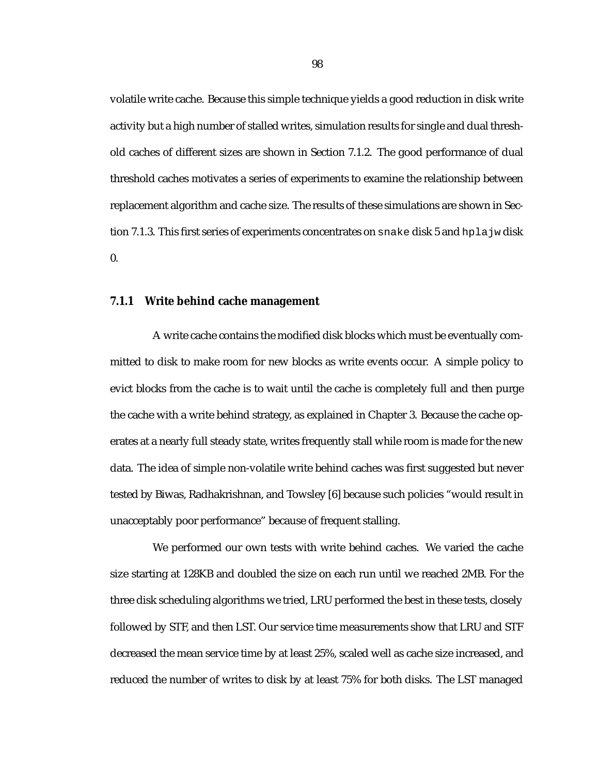volatile write cache. Because this simple technique yields a good reduction in disk write activity but a high number of stalled writes, simulation results for single and dual threshold caches of different sizes are shown in Section 7.1.2. The good performance of dual threshold caches motivates a series of experiments to examine the relationship between replacement algorithm and cache size. The results of these simulations are shown in Section 7.1.3. This first series of experiments concentrates on snake disk 5 and hplajw disk  $\mathbf{0}$ .

#### **7.1.1 Write behind cache management**

A write cache contains the modified disk blocks which must be eventually committed to disk to make room for new blocks as write events occur. A simple policy to evict blocks from the cache is to wait until the cache is completely full and then purge the cache with a write behind strategy, as explained in Chapter 3. Because the cache operates at a nearly full steady state, writes frequently stall while room is made for the new data. The idea of simple non-volatile write behind caches was first suggested but never tested by Biwas, Radhakrishnan, and Towsley [6] because such policies "would result in unacceptably poor performance" because of frequent stalling.

We performed our own tests with write behind caches. We varied the cache size starting at 128KB and doubled the size on each run until we reached 2MB. For the three disk scheduling algorithms we tried, LRU performed the best in these tests, closely followed by STF, and then LST. Our service time measurements show that LRU and STF decreased the mean service time by at least 25%, scaled well as cache size increased, and reduced the number of writes to disk by at least 75% for both disks. The LST managed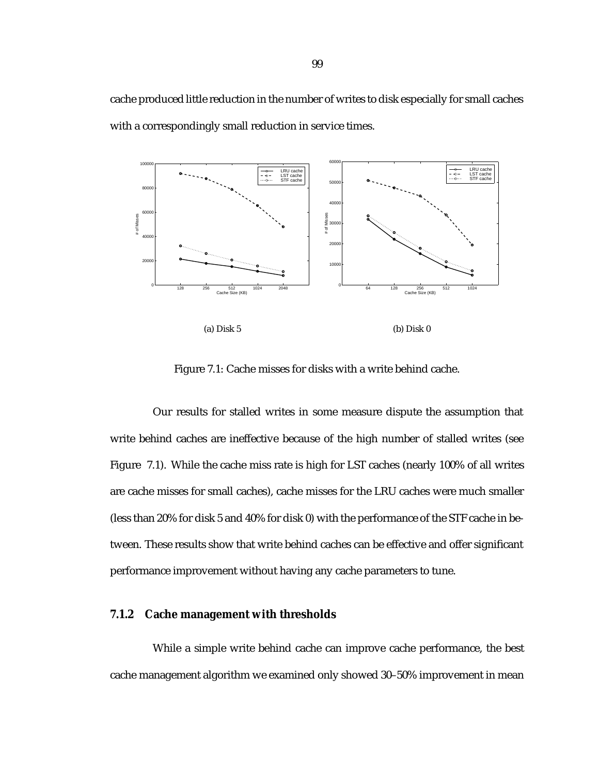cache produced little reduction in the number of writes to disk especially for small caches with a correspondingly small reduction in service times.



Figure 7.1: Cache misses for disks with a write behind cache.

Our results for stalled writes in some measure dispute the assumption that write behind caches are ineffective because of the high number of stalled writes (see Figure 7.1). While the cache miss rate is high for LST caches (nearly 100% of all writes are cache misses for small caches), cache misses for the LRU caches were much smaller (less than 20% for disk 5 and 40% for disk 0) with the performance of the STF cache in between. These results show that write behind caches can be effective and offer significant performance improvement without having any cache parameters to tune.

#### **7.1.2 Cache management with thresholds**

While a simple write behind cache can improve cache performance, the best cache management algorithm we examined only showed 30–50% improvement in mean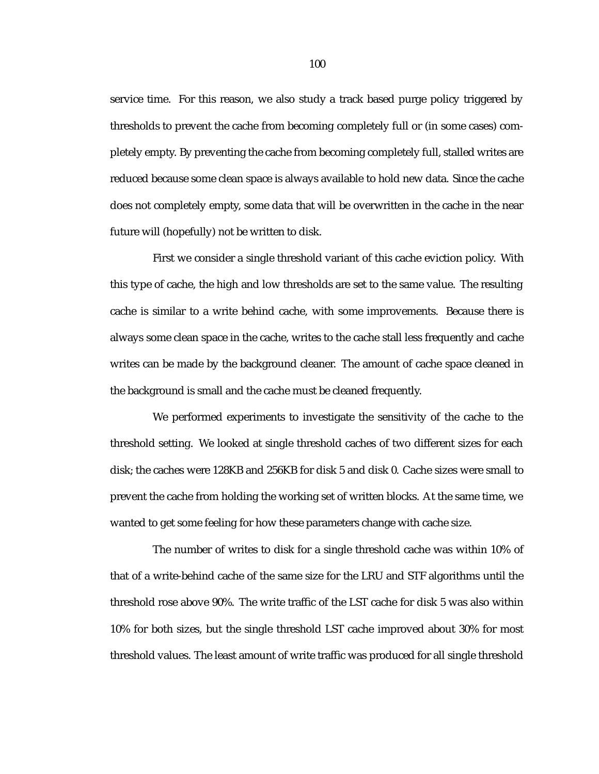service time. For this reason, we also study a track based purge policy triggered by thresholds to prevent the cache from becoming completely full or (in some cases) completely empty. By preventing the cache from becoming completely full, stalled writes are reduced because some clean space is always available to hold new data. Since the cache does not completely empty, some data that will be overwritten in the cache in the near future will (hopefully) not be written to disk.

First we consider a single threshold variant of this cache eviction policy. With this type of cache, the high and low thresholds are set to the same value. The resulting cache is similar to a write behind cache, with some improvements. Because there is always some clean space in the cache, writes to the cache stall less frequently and cache writes can be made by the background cleaner. The amount of cache space cleaned in the background is small and the cache must be cleaned frequently.

We performed experiments to investigate the sensitivity of the cache to the threshold setting. We looked at single threshold caches of two different sizes for each disk; the caches were 128KB and 256KB for disk 5 and disk 0. Cache sizes were small to prevent the cache from holding the working set of written blocks. At the same time, we wanted to get some feeling for how these parameters change with cache size.

The number of writes to disk for a single threshold cache was within 10% of that of a write-behind cache of the same size for the LRU and STF algorithms until the threshold rose above 90%. The write traffic of the LST cache for disk 5 was also within 10% for both sizes, but the single threshold LST cache improved about 30% for most threshold values. The least amount of write traffic was produced for all single threshold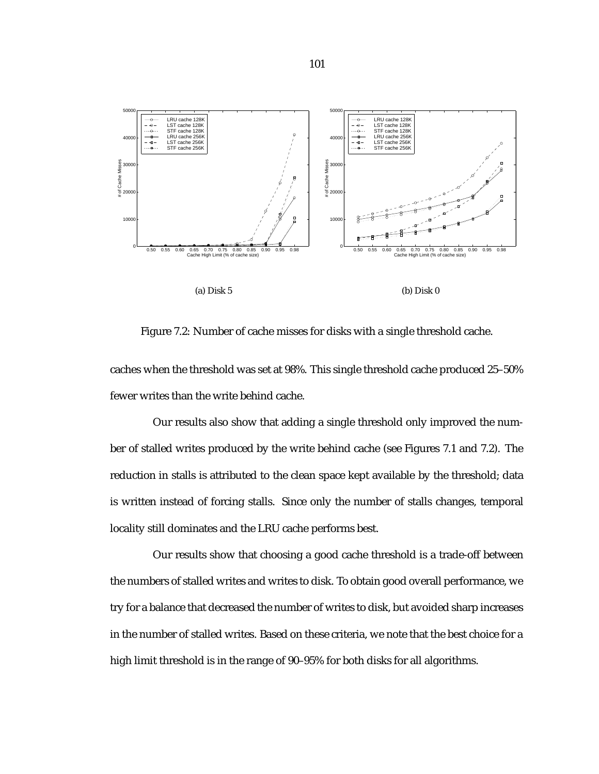





Figure 7.2: Number of cache misses for disks with a single threshold cache.

caches when the threshold was set at 98%. This single threshold cache produced 25–50% fewer writes than the write behind cache.

Our results also show that adding a single threshold only improved the number of stalled writes produced by the write behind cache (see Figures 7.1 and 7.2). The reduction in stalls is attributed to the clean space kept available by the threshold; data is written instead of forcing stalls. Since only the number of stalls changes, temporal locality still dominates and the LRU cache performs best.

Our results show that choosing a good cache threshold is a trade-off between the numbers of stalled writes and writes to disk. To obtain good overall performance, we try for a balance that decreased the number of writes to disk, but avoided sharp increases in the number of stalled writes. Based on these criteria, we note that the best choice for a high limit threshold is in the range of 90–95% for both disks for all algorithms.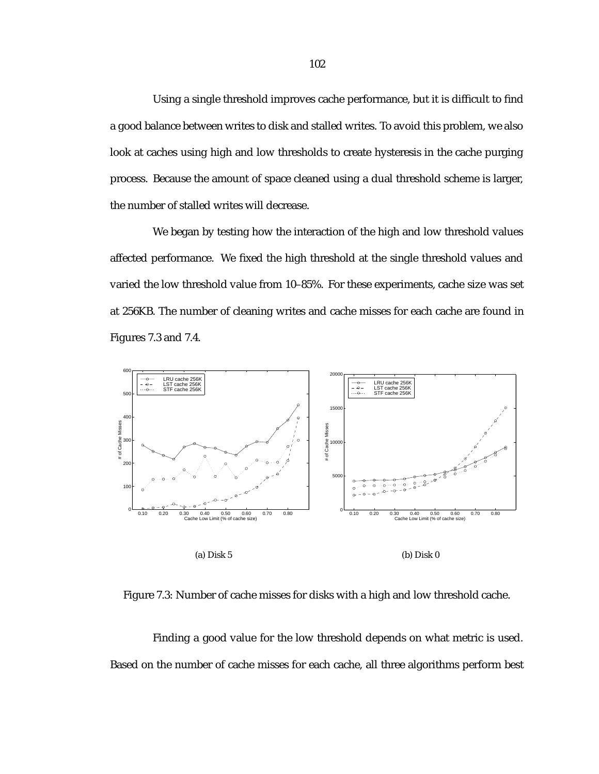Using a single threshold improves cache performance, but it is difficult to find a good balance between writes to disk and stalled writes. To avoid this problem, we also look at caches using high and low thresholds to create hysteresis in the cache purging process. Because the amount of space cleaned using a dual threshold scheme is larger, the number of stalled writes will decrease.

We began by testing how the interaction of the high and low threshold values affected performance. We fixed the high threshold at the single threshold values and varied the low threshold value from 10–85%. For these experiments, cache size was set at 256KB. The number of cleaning writes and cache misses for each cache are found in Figures 7.3 and 7.4.



Figure 7.3: Number of cache misses for disks with a high and low threshold cache.

Finding a good value for the low threshold depends on what metric is used. Based on the number of cache misses for each cache, all three algorithms perform best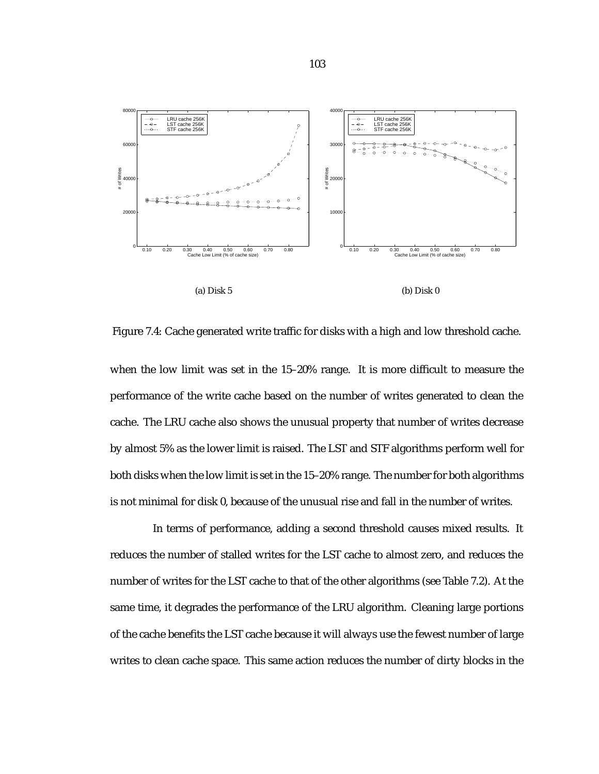

(a) Disk 5

(b) Disk 0

Figure 7.4: Cache generated write traffic for disks with a high and low threshold cache.

when the low limit was set in the 15–20% range. It is more difficult to measure the performance of the write cache based on the number of writes generated to clean the cache. The LRU cache also shows the unusual property that number of writes decrease by almost 5% as the lower limit is raised. The LST and STF algorithms perform well for both disks when the low limit is set in the 15–20% range. The number for both algorithms is not minimal for disk 0, because of the unusual rise and fall in the number of writes.

In terms of performance, adding a second threshold causes mixed results. It reduces the number of stalled writes for the LST cache to almost zero, and reduces the number of writes for the LST cache to that of the other algorithms (see Table 7.2). At the same time, it degrades the performance of the LRU algorithm. Cleaning large portions of the cache benefits the LST cache because it will always use the fewest number of large writes to clean cache space. This same action reduces the number of dirty blocks in the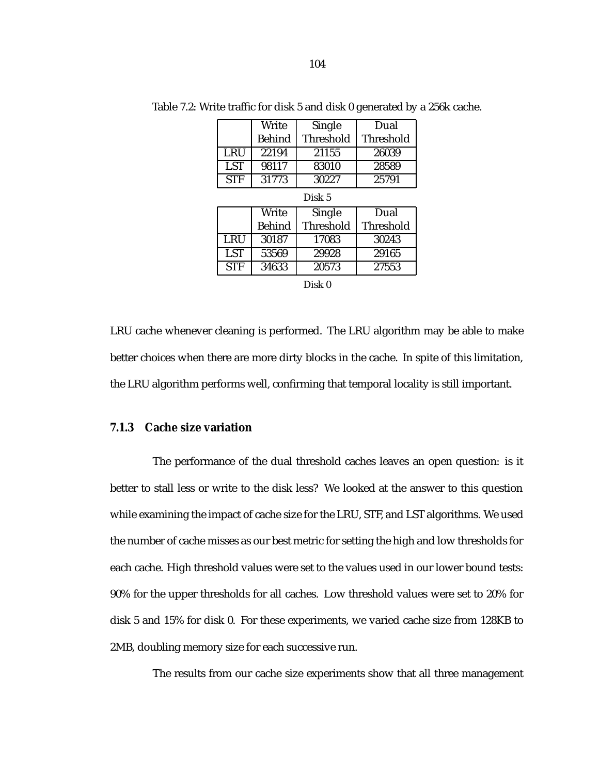|                     | Write  | Single           | Dual             |  |  |
|---------------------|--------|------------------|------------------|--|--|
|                     | Behind | Threshold        | <b>Threshold</b> |  |  |
| LRU                 | 22194  | 21155            | 26039            |  |  |
| <b>LST</b>          | 98117  | 83010            | 28589            |  |  |
| <b>STF</b><br>31773 |        | 30227            | 25791            |  |  |
| Disk 5              |        |                  |                  |  |  |
|                     | Write  | Single           | Dual             |  |  |
|                     | Behind | <b>Threshold</b> | Threshold        |  |  |
| LRU                 | 30187  | 17083            | 30243            |  |  |
| <b>LST</b>          | 53569  | 29928            | 29165            |  |  |
| <b>STF</b><br>34633 |        | 20573            | 27553            |  |  |
| Disk 0              |        |                  |                  |  |  |

Table 7.2: Write traffic for disk 5 and disk 0 generated by a 256k cache.

LRU cache whenever cleaning is performed. The LRU algorithm may be able to make better choices when there are more dirty blocks in the cache. In spite of this limitation, the LRU algorithm performs well, confirming that temporal locality is still important.

#### **7.1.3 Cache size variation**

The performance of the dual threshold caches leaves an open question: is it better to stall less or write to the disk less? We looked at the answer to this question while examining the impact of cache size for the LRU, STF, and LST algorithms. We used the number of cache misses as our best metric for setting the high and low thresholds for each cache. High threshold values were set to the values used in our lower bound tests: 90% for the upper thresholds for all caches. Low threshold values were set to 20% for disk 5 and 15% for disk 0. For these experiments, we varied cache size from 128KB to 2MB, doubling memory size for each successive run.

The results from our cache size experiments show that all three management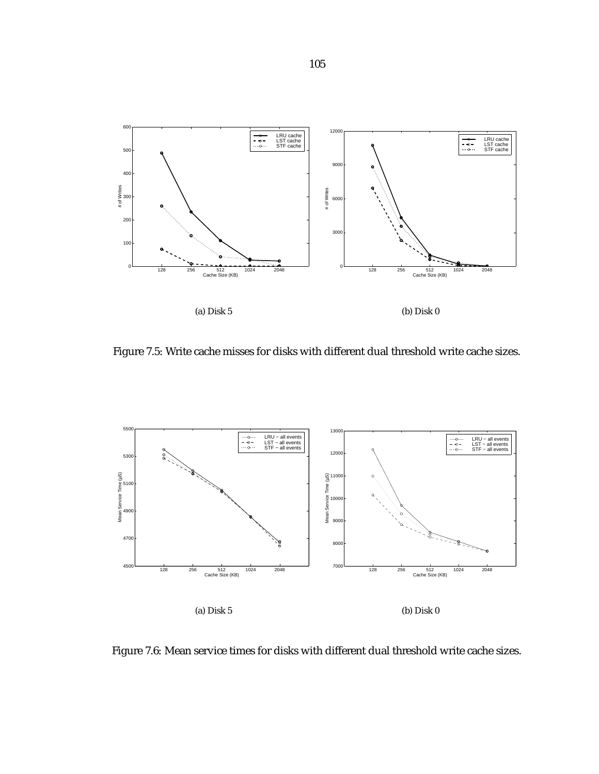

Figure 7.5: Write cache misses for disks with different dual threshold write cache sizes.



Figure 7.6: Mean service times for disks with different dual threshold write cache sizes.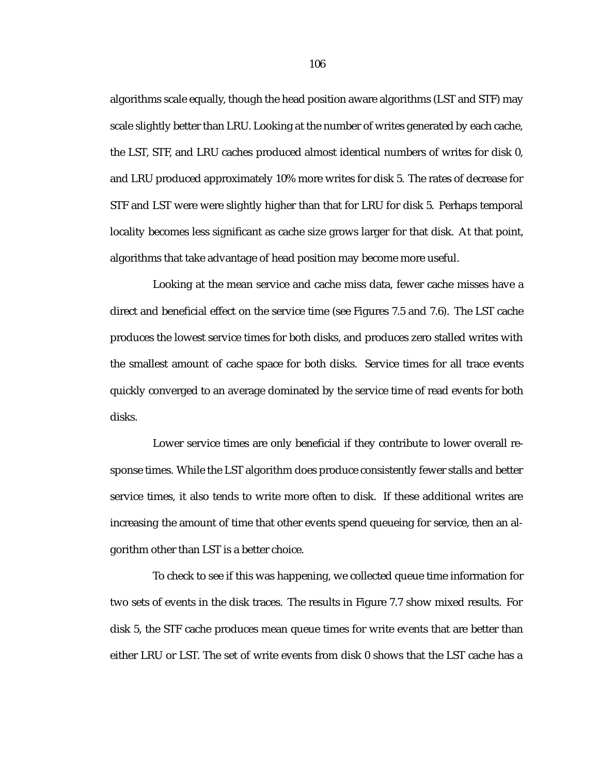algorithms scale equally, though the head position aware algorithms (LST and STF) may scale slightly better than LRU. Looking at the number of writes generated by each cache, the LST, STF, and LRU caches produced almost identical numbers of writes for disk 0, and LRU produced approximately 10% more writes for disk 5. The rates of decrease for STF and LST were were slightly higher than that for LRU for disk 5. Perhaps temporal locality becomes less significant as cache size grows larger for that disk. At that point, algorithms that take advantage of head position may become more useful.

Looking at the mean service and cache miss data, fewer cache misses have a direct and beneficial effect on the service time (see Figures 7.5 and 7.6). The LST cache produces the lowest service times for both disks, and produces zero stalled writes with the smallest amount of cache space for both disks. Service times for all trace events quickly converged to an average dominated by the service time of read events for both disks.

Lower service times are only beneficial if they contribute to lower overall response times. While the LST algorithm does produce consistently fewer stalls and better service times, it also tends to write more often to disk. If these additional writes are increasing the amount of time that other events spend queueing for service, then an algorithm other than LST is a better choice.

To check to see if this was happening, we collected queue time information for two sets of events in the disk traces. The results in Figure 7.7 show mixed results. For disk 5, the STF cache produces mean queue times for write events that are better than either LRU or LST. The set of write events from disk 0 shows that the LST cache has a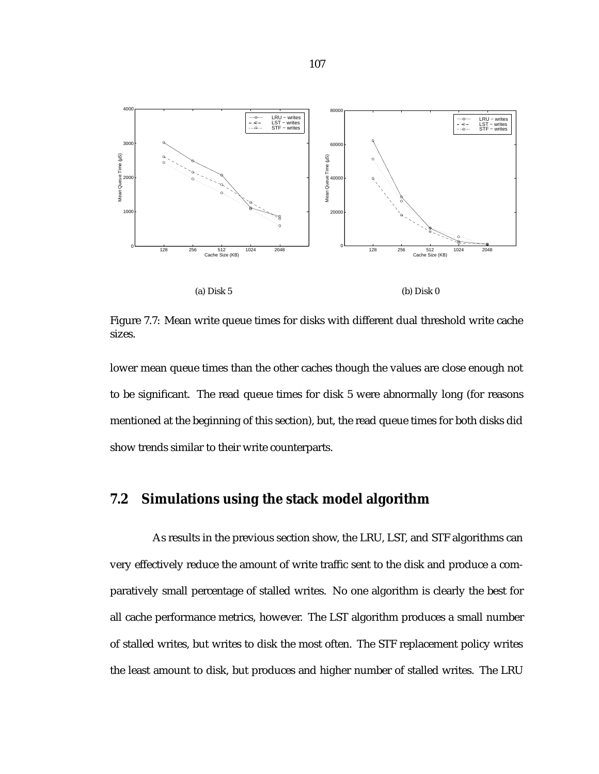

(a) Disk 5

(b) Disk 0

Figure 7.7: Mean write queue times for disks with different dual threshold write cache sizes.

lower mean queue times than the other caches though the values are close enough not to be significant. The read queue times for disk 5 were abnormally long (for reasons mentioned at the beginning of this section), but, the read queue times for both disks did show trends similar to their write counterparts.

## **7.2 Simulations using the stack model algorithm**

As results in the previous section show, the LRU, LST, and STF algorithms can very effectively reduce the amount of write traffic sent to the disk and produce a comparatively small percentage of stalled writes. No one algorithm is clearly the best for all cache performance metrics, however. The LST algorithm produces a small number of stalled writes, but writes to disk the most often. The STF replacement policy writes the least amount to disk, but produces and higher number of stalled writes. The LRU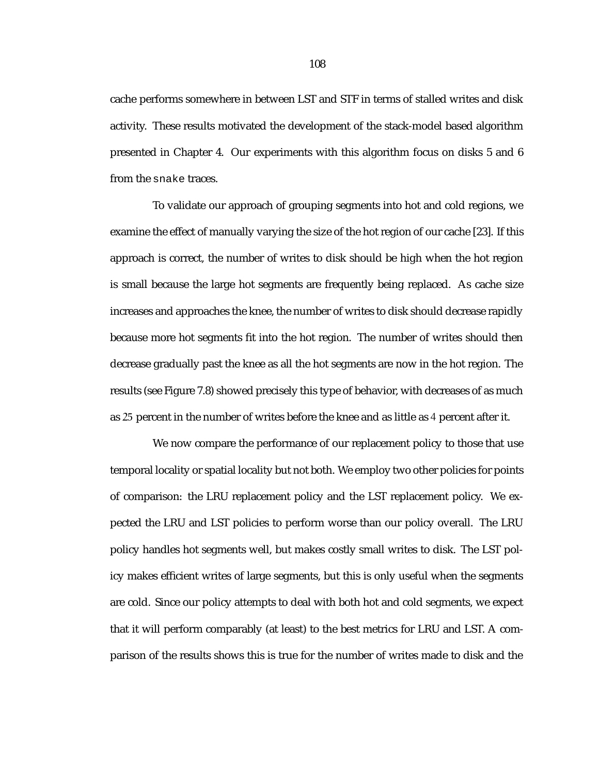cache performs somewhere in between LST and STF in terms of stalled writes and disk activity. These results motivated the development of the stack-model based algorithm presented in Chapter 4. Our experiments with this algorithm focus on disks 5 and 6 from the snake traces.

To validate our approach of grouping segments into hot and cold regions, we examine the effect of manually varying the size of the hot region of our cache [23]. If this approach is correct, the number of writes to disk should be high when the hot region is small because the large hot segments are frequently being replaced. As cache size increases and approaches the knee, the number of writes to disk should decrease rapidly because more hot segments fit into the hot region. The number of writes should then decrease gradually past the knee as all the hot segments are now in the hot region. The results (see Figure 7.8) showed precisely this type of behavior, with decreases of as much as 25 percent in the number of writes before the knee and as little as 4 percent after it.

We now compare the performance of our replacement policy to those that use temporal locality or spatial locality but not both. We employ two other policies for points of comparison: the LRU replacement policy and the LST replacement policy. We expected the LRU and LST policies to perform worse than our policy overall. The LRU policy handles hot segments well, but makes costly small writes to disk. The LST policy makes efficient writes of large segments, but this is only useful when the segments are cold. Since our policy attempts to deal with both hot and cold segments, we expect that it will perform comparably (at least) to the best metrics for LRU and LST. A comparison of the results shows this is true for the number of writes made to disk and the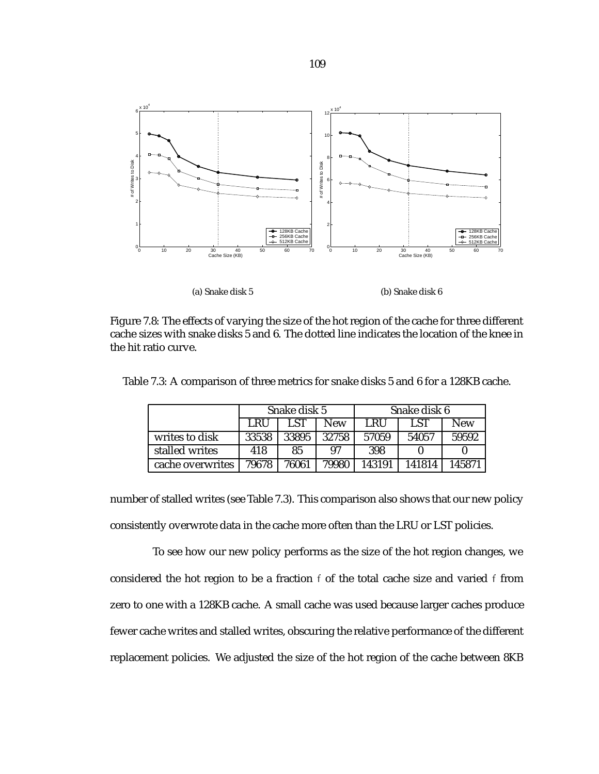

(a) Snake disk 5



Figure 7.8: The effects of varying the size of the hot region of the cache for three different cache sizes with snake disks 5 and 6. The dotted line indicates the location of the knee in the hit ratio curve.

|                  | Snake disk 5 |       |       | Snake disk 6 |        |            |
|------------------|--------------|-------|-------|--------------|--------|------------|
|                  | LRU          | LST   | New   | LRU          | LST    | <b>New</b> |
| writes to disk   | 33538        | 33895 | 32758 | 57059        | 54057  | 59592      |
| stalled writes   | 418          | 85    | 97    | 398          |        |            |
| cache overwrites | 79678        | 76061 | 79980 | 143191       | 141814 | 145871     |

Table 7.3: A comparison of three metrics for snake disks 5 and 6 for a 128KB cache.

number of stalled writes (see Table 7.3). This comparison also shows that our new policy consistently overwrote data in the cache more often than the LRU or LST policies.

To see how our new policy performs as the size of the hot region changes, we considered the hot region to be a fraction f of the total cache size and varied f from zero to one with a 128KB cache. A small cache was used because larger caches produce fewer cache writes and stalled writes, obscuring the relative performance of the different replacement policies. We adjusted the size of the hot region of the cache between 8KB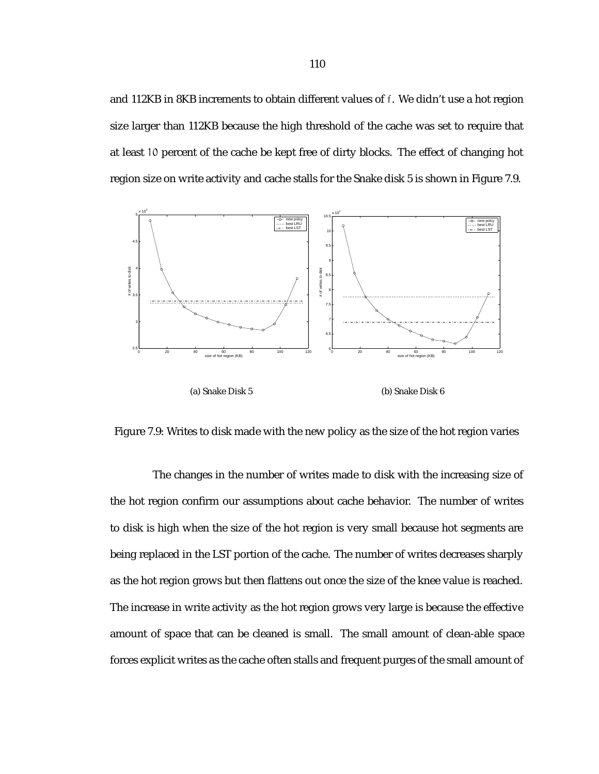and 112KB in 8KB increments to obtain different values of f. We didn't use a hot region size larger than 112KB because the high threshold of the cache was set to require that at least 10 percent of the cache be kept free of dirty blocks. The effect of changing hot region size on write activity and cache stalls for the Snake disk 5 is shown in Figure 7.9.



Figure 7.9: Writes to disk made with the new policy as the size of the hot region varies

The changes in the number of writes made to disk with the increasing size of the hot region confirm our assumptions about cache behavior. The number of writes to disk is high when the size of the hot region is very small because hot segments are being replaced in the LST portion of the cache. The number of writes decreases sharply as the hot region grows but then flattens out once the size of the knee value is reached. The increase in write activity as the hot region grows very large is because the effective amount of space that can be cleaned is small. The small amount of clean-able space forces explicit writes as the cache often stalls and frequent purges of the small amount of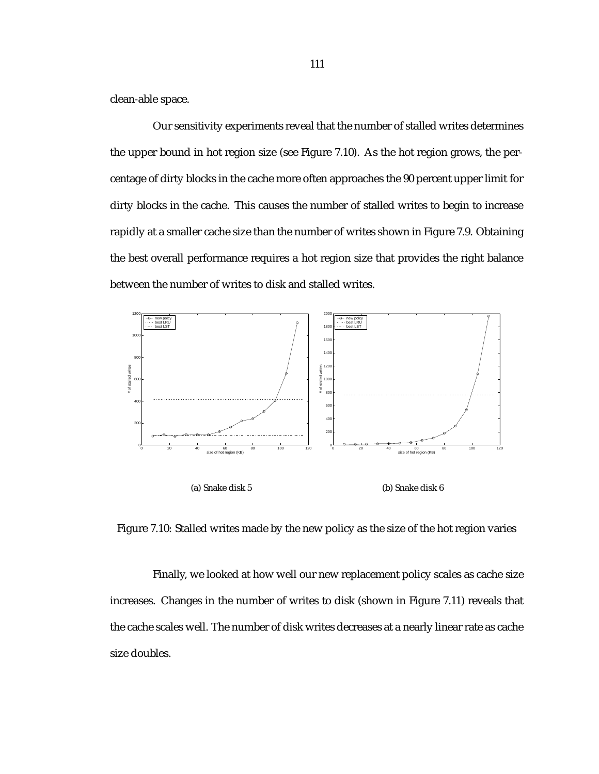clean-able space.

Our sensitivity experiments reveal that the number of stalled writes determines the upper bound in hot region size (see Figure 7.10). As the hot region grows, the percentage of dirty blocks in the cache more often approaches the 90 percent upper limit for dirty blocks in the cache. This causes the number of stalled writes to begin to increase rapidly at a smaller cache size than the number of writes shown in Figure 7.9. Obtaining the best overall performance requires a hot region size that provides the right balance between the number of writes to disk and stalled writes.



(a) Snake disk 5

(b) Snake disk 6

Figure 7.10: Stalled writes made by the new policy as the size of the hot region varies

Finally, we looked at how well our new replacement policy scales as cache size increases. Changes in the number of writes to disk (shown in Figure 7.11) reveals that the cache scales well. The number of disk writes decreases at a nearly linear rate as cache size doubles.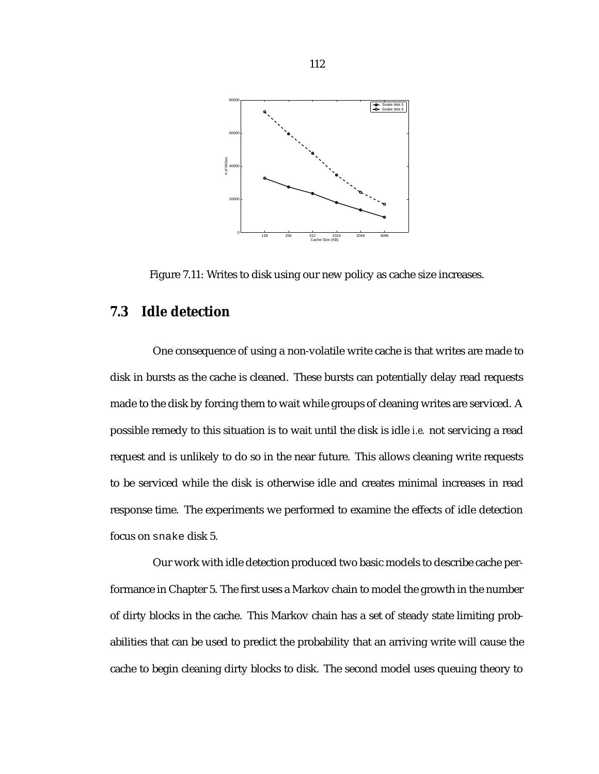

Figure 7.11: Writes to disk using our new policy as cache size increases.

### **7.3 Idle detection**

One consequence of using a non-volatile write cache is that writes are made to disk in bursts as the cache is cleaned. These bursts can potentially delay read requests made to the disk by forcing them to wait while groups of cleaning writes are serviced. A possible remedy to this situation is to wait until the disk is idle *i.e.* not servicing a read request and is unlikely to do so in the near future. This allows cleaning write requests to be serviced while the disk is otherwise idle and creates minimal increases in read response time. The experiments we performed to examine the effects of idle detection focus on snake disk 5.

Our work with idle detection produced two basic models to describe cache performance in Chapter 5. The first uses a Markov chain to model the growth in the number of dirty blocks in the cache. This Markov chain has a set of steady state limiting probabilities that can be used to predict the probability that an arriving write will cause the cache to begin cleaning dirty blocks to disk. The second model uses queuing theory to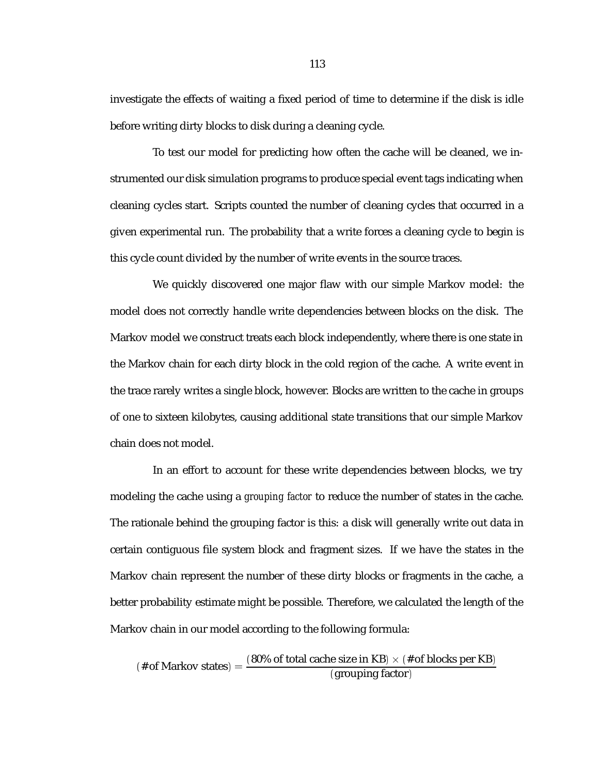investigate the effects of waiting a fixed period of time to determine if the disk is idle before writing dirty blocks to disk during a cleaning cycle.

To test our model for predicting how often the cache will be cleaned, we instrumented our disk simulation programs to produce special event tags indicating when cleaning cycles start. Scripts counted the number of cleaning cycles that occurred in a given experimental run. The probability that a write forces a cleaning cycle to begin is this cycle count divided by the number of write events in the source traces.

We quickly discovered one major flaw with our simple Markov model: the model does not correctly handle write dependencies between blocks on the disk. The Markov model we construct treats each block independently, where there is one state in the Markov chain for each dirty block in the cold region of the cache. A write event in the trace rarely writes a single block, however. Blocks are written to the cache in groups of one to sixteen kilobytes, causing additional state transitions that our simple Markov chain does not model.

In an effort to account for these write dependencies between blocks, we try modeling the cache using a *grouping factor* to reduce the number of states in the cache. The rationale behind the grouping factor is this: a disk will generally write out data in certain contiguous file system block and fragment sizes. If we have the states in the Markov chain represent the number of these dirty blocks or fragments in the cache, a better probability estimate might be possible. Therefore, we calculated the length of the Markov chain in our model according to the following formula:

(# of Markov states)  $=$   $\frac{(80\% \text{ of total cache size in KB}) \times (\# \text{ of blocks per KB})}{(\text{expuning factor})}$ (grouping factor)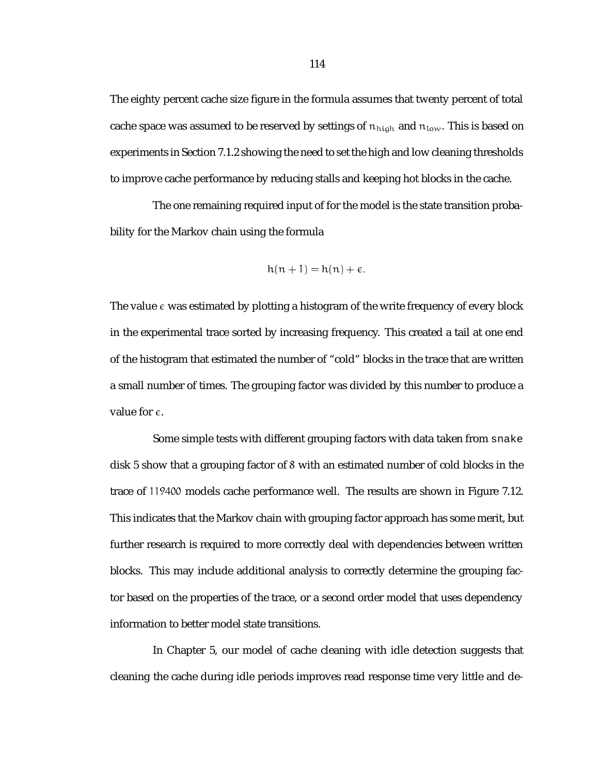The eighty percent cache size figure in the formula assumes that twenty percent of total cache space was assumed to be reserved by settings of  $n_{high}$  and  $n_{low}$ . This is based on experiments in Section 7.1.2 showing the need to set the high and low cleaning thresholds to improve cache performance by reducing stalls and keeping hot blocks in the cache.

The one remaining required input of for the model is the state transition probability for the Markov chain using the formula

$$
h(n+1) = h(n) + \varepsilon.
$$

The value  $\epsilon$  was estimated by plotting a histogram of the write frequency of every block in the experimental trace sorted by increasing frequency. This created a tail at one end of the histogram that estimated the number of "cold" blocks in the trace that are written a small number of times. The grouping factor was divided by this number to produce a value for  $\epsilon$ .

Some simple tests with different grouping factors with data taken from snake disk 5 show that a grouping factor of 8 with an estimated number of cold blocks in the trace of 119400 models cache performance well. The results are shown in Figure 7.12. This indicates that the Markov chain with grouping factor approach has some merit, but further research is required to more correctly deal with dependencies between written blocks. This may include additional analysis to correctly determine the grouping factor based on the properties of the trace, or a second order model that uses dependency information to better model state transitions.

In Chapter 5, our model of cache cleaning with idle detection suggests that cleaning the cache during idle periods improves read response time very little and de-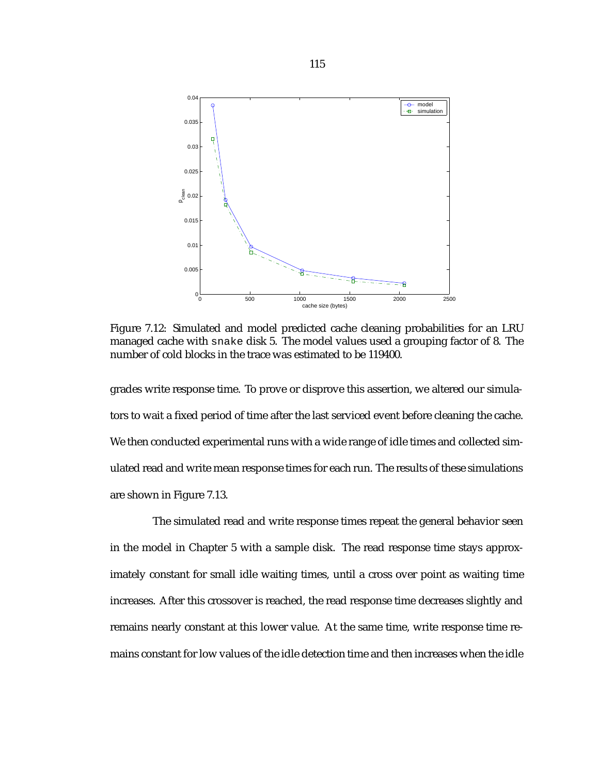

Figure 7.12: Simulated and model predicted cache cleaning probabilities for an LRU managed cache with snake disk 5. The model values used a grouping factor of 8. The number of cold blocks in the trace was estimated to be 119400.

grades write response time. To prove or disprove this assertion, we altered our simulators to wait a fixed period of time after the last serviced event before cleaning the cache. We then conducted experimental runs with a wide range of idle times and collected simulated read and write mean response times for each run. The results of these simulations are shown in Figure 7.13.

The simulated read and write response times repeat the general behavior seen in the model in Chapter 5 with a sample disk. The read response time stays approximately constant for small idle waiting times, until a cross over point as waiting time increases. After this crossover is reached, the read response time decreases slightly and remains nearly constant at this lower value. At the same time, write response time remains constant for low values of the idle detection time and then increases when the idle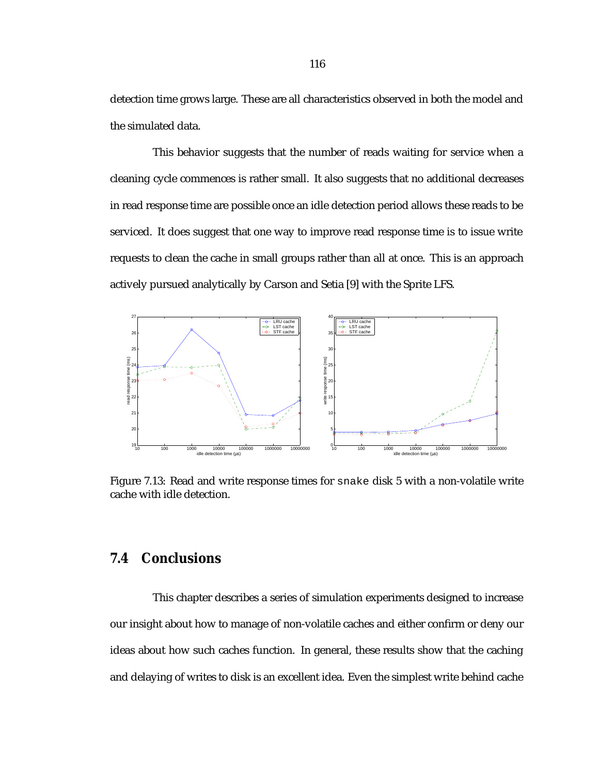detection time grows large. These are all characteristics observed in both the model and the simulated data.

This behavior suggests that the number of reads waiting for service when a cleaning cycle commences is rather small. It also suggests that no additional decreases in read response time are possible once an idle detection period allows these reads to be serviced. It does suggest that one way to improve read response time is to issue write requests to clean the cache in small groups rather than all at once. This is an approach actively pursued analytically by Carson and Setia [9] with the Sprite LFS.



Figure 7.13: Read and write response times for snake disk 5 with a non-volatile write cache with idle detection.

# **7.4 Conclusions**

This chapter describes a series of simulation experiments designed to increase our insight about how to manage of non-volatile caches and either confirm or deny our ideas about how such caches function. In general, these results show that the caching and delaying of writes to disk is an excellent idea. Even the simplest write behind cache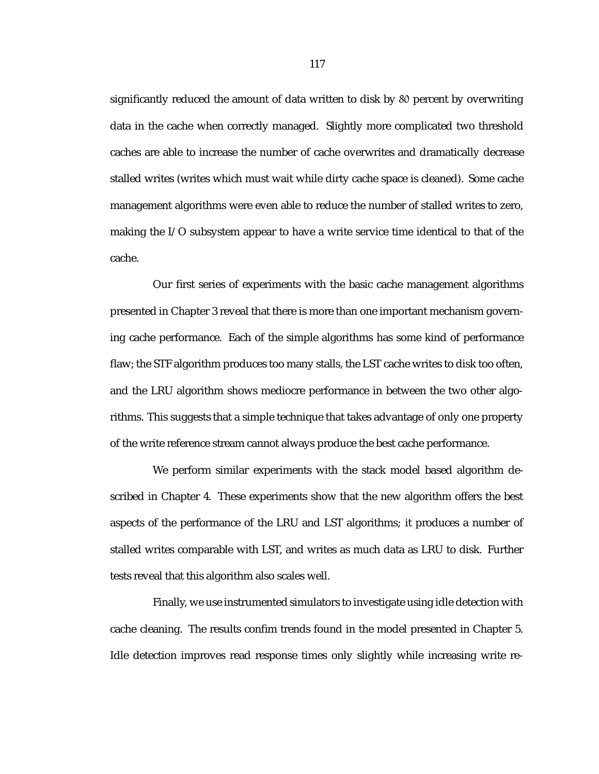significantly reduced the amount of data written to disk by 80 percent by overwriting data in the cache when correctly managed. Slightly more complicated two threshold caches are able to increase the number of cache overwrites and dramatically decrease stalled writes (writes which must wait while dirty cache space is cleaned). Some cache management algorithms were even able to reduce the number of stalled writes to zero, making the I/O subsystem appear to have a write service time identical to that of the cache.

Our first series of experiments with the basic cache management algorithms presented in Chapter 3 reveal that there is more than one important mechanism governing cache performance. Each of the simple algorithms has some kind of performance flaw; the STF algorithm produces too many stalls, the LST cache writes to disk too often, and the LRU algorithm shows mediocre performance in between the two other algorithms. This suggests that a simple technique that takes advantage of only one property of the write reference stream cannot always produce the best cache performance.

We perform similar experiments with the stack model based algorithm described in Chapter 4. These experiments show that the new algorithm offers the best aspects of the performance of the LRU and LST algorithms; it produces a number of stalled writes comparable with LST, and writes as much data as LRU to disk. Further tests reveal that this algorithm also scales well.

Finally, we use instrumented simulators to investigate using idle detection with cache cleaning. The results confim trends found in the model presented in Chapter 5. Idle detection improves read response times only slightly while increasing write re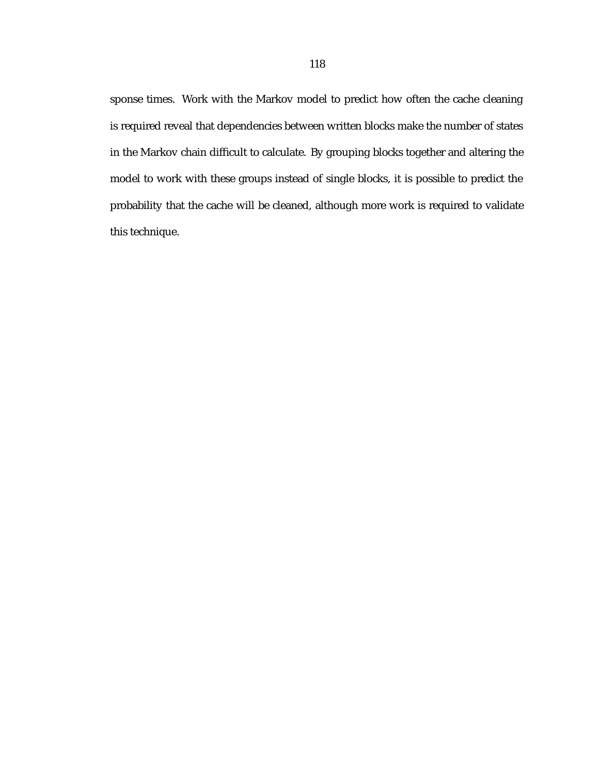sponse times. Work with the Markov model to predict how often the cache cleaning is required reveal that dependencies between written blocks make the number of states in the Markov chain difficult to calculate. By grouping blocks together and altering the model to work with these groups instead of single blocks, it is possible to predict the probability that the cache will be cleaned, although more work is required to validate this technique.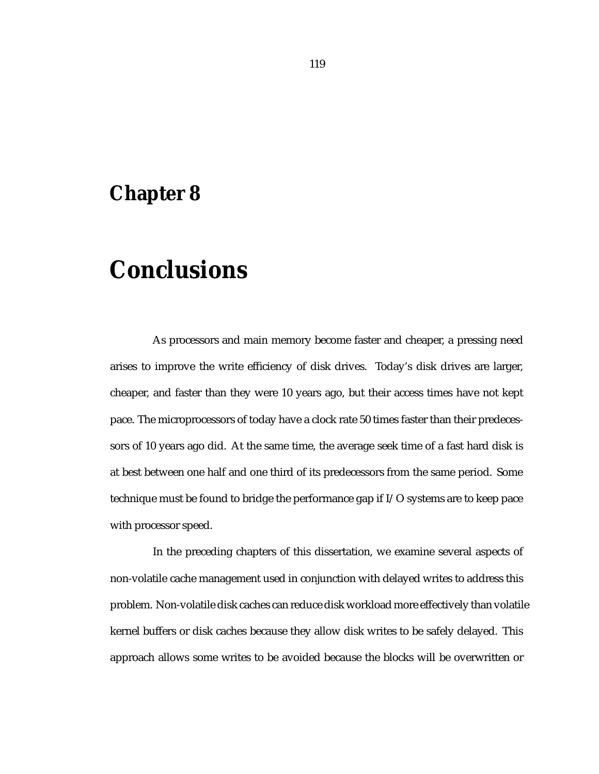# **Chapter 8**

# **Conclusions**

As processors and main memory become faster and cheaper, a pressing need arises to improve the write efficiency of disk drives. Today's disk drives are larger, cheaper, and faster than they were 10 years ago, but their access times have not kept pace. The microprocessors of today have a clock rate 50 times faster than their predecessors of 10 years ago did. At the same time, the average seek time of a fast hard disk is at best between one half and one third of its predecessors from the same period. Some technique must be found to bridge the performance gap if I/O systems are to keep pace with processor speed.

In the preceding chapters of this dissertation, we examine several aspects of non-volatile cache management used in conjunction with delayed writes to address this problem. Non-volatile disk caches can reduce disk workload more effectively than volatile kernel buffers or disk caches because they allow disk writes to be safely delayed. This approach allows some writes to be avoided because the blocks will be overwritten or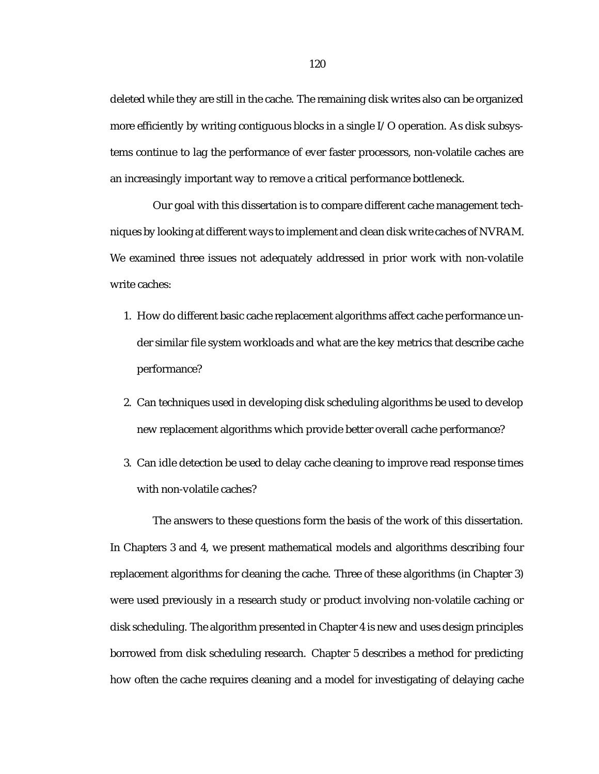deleted while they are still in the cache. The remaining disk writes also can be organized more efficiently by writing contiguous blocks in a single I/O operation. As disk subsystems continue to lag the performance of ever faster processors, non-volatile caches are an increasingly important way to remove a critical performance bottleneck.

Our goal with this dissertation is to compare different cache management techniques by looking at different ways to implement and clean disk write caches of NVRAM. We examined three issues not adequately addressed in prior work with non-volatile write caches:

- 1. How do different basic cache replacement algorithms affect cache performance under similar file system workloads and what are the key metrics that describe cache performance?
- 2. Can techniques used in developing disk scheduling algorithms be used to develop new replacement algorithms which provide better overall cache performance?
- 3. Can idle detection be used to delay cache cleaning to improve read response times with non-volatile caches?

The answers to these questions form the basis of the work of this dissertation. In Chapters 3 and 4, we present mathematical models and algorithms describing four replacement algorithms for cleaning the cache. Three of these algorithms (in Chapter 3) were used previously in a research study or product involving non-volatile caching or disk scheduling. The algorithm presented in Chapter 4 is new and uses design principles borrowed from disk scheduling research. Chapter 5 describes a method for predicting how often the cache requires cleaning and a model for investigating of delaying cache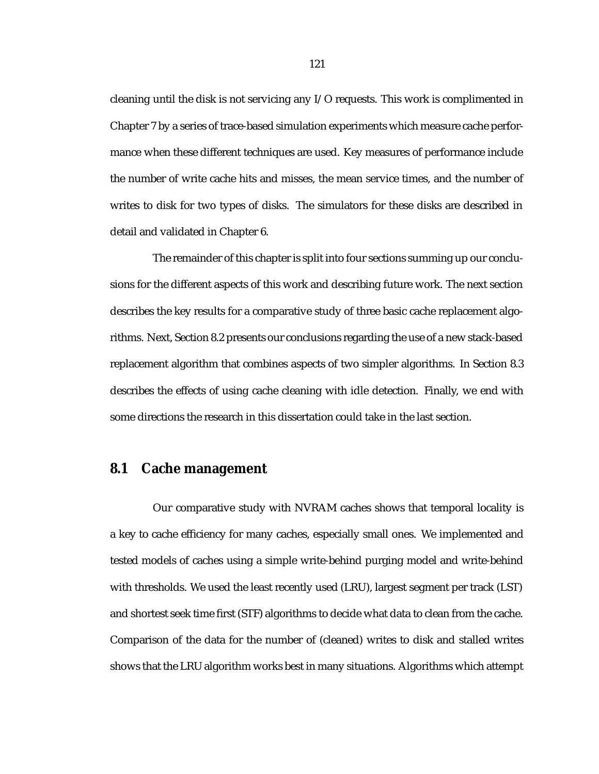cleaning until the disk is not servicing any I/O requests. This work is complimented in Chapter 7 by a series of trace-based simulation experiments which measure cache performance when these different techniques are used. Key measures of performance include the number of write cache hits and misses, the mean service times, and the number of writes to disk for two types of disks. The simulators for these disks are described in detail and validated in Chapter 6.

The remainder of this chapter is split into four sections summing up our conclusions for the different aspects of this work and describing future work. The next section describes the key results for a comparative study of three basic cache replacement algorithms. Next, Section 8.2 presents our conclusions regarding the use of a new stack-based replacement algorithm that combines aspects of two simpler algorithms. In Section 8.3 describes the effects of using cache cleaning with idle detection. Finally, we end with some directions the research in this dissertation could take in the last section.

### **8.1 Cache management**

Our comparative study with NVRAM caches shows that temporal locality is a key to cache efficiency for many caches, especially small ones. We implemented and tested models of caches using a simple write-behind purging model and write-behind with thresholds. We used the least recently used (LRU), largest segment per track (LST) and shortest seek time first (STF) algorithms to decide what data to clean from the cache. Comparison of the data for the number of (cleaned) writes to disk and stalled writes shows that the LRU algorithm works best in many situations. Algorithms which attempt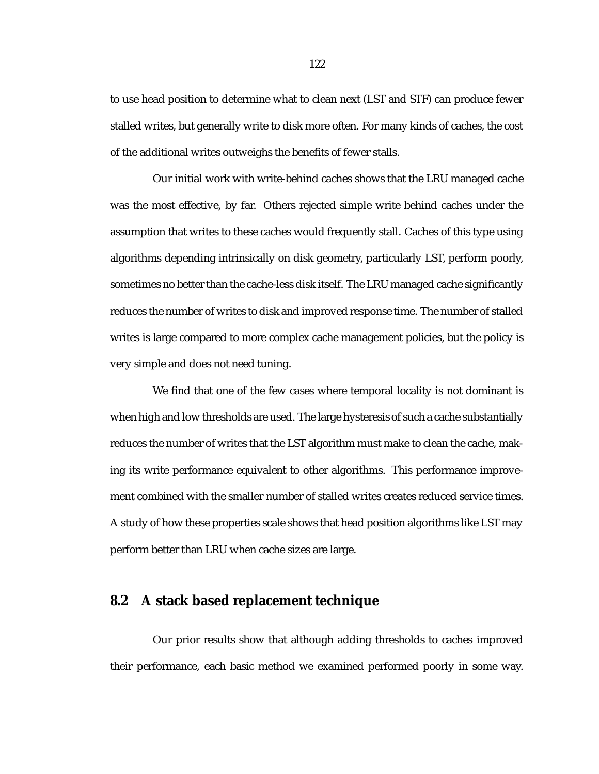to use head position to determine what to clean next (LST and STF) can produce fewer stalled writes, but generally write to disk more often. For many kinds of caches, the cost of the additional writes outweighs the benefits of fewer stalls.

Our initial work with write-behind caches shows that the LRU managed cache was the most effective, by far. Others rejected simple write behind caches under the assumption that writes to these caches would frequently stall. Caches of this type using algorithms depending intrinsically on disk geometry, particularly LST, perform poorly, sometimes no better than the cache-less disk itself. The LRU managed cache significantly reduces the number of writes to disk and improved response time. The number of stalled writes is large compared to more complex cache management policies, but the policy is very simple and does not need tuning.

We find that one of the few cases where temporal locality is not dominant is when high and low thresholds are used. The large hysteresis of such a cache substantially reduces the number of writes that the LST algorithm must make to clean the cache, making its write performance equivalent to other algorithms. This performance improvement combined with the smaller number of stalled writes creates reduced service times. A study of how these properties scale shows that head position algorithms like LST may perform better than LRU when cache sizes are large.

### **8.2 A stack based replacement technique**

Our prior results show that although adding thresholds to caches improved their performance, each basic method we examined performed poorly in some way.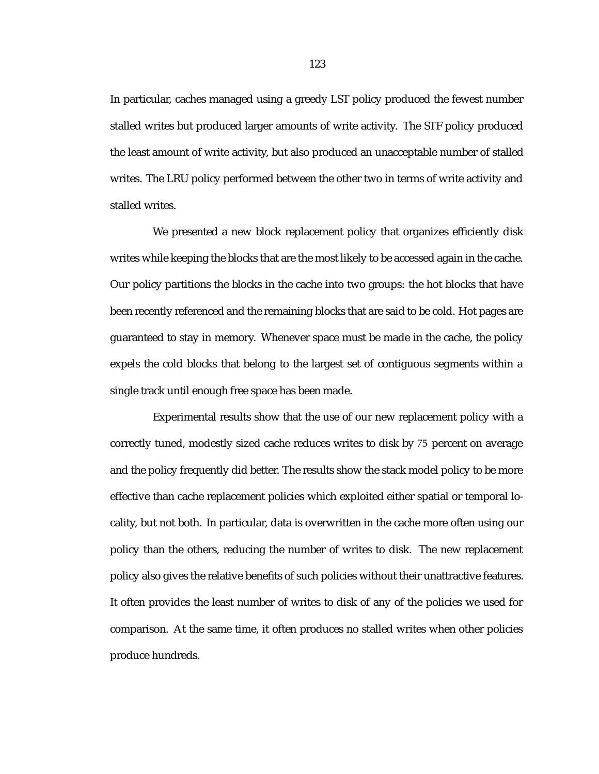In particular, caches managed using a greedy LST policy produced the fewest number stalled writes but produced larger amounts of write activity. The STF policy produced the least amount of write activity, but also produced an unacceptable number of stalled writes. The LRU policy performed between the other two in terms of write activity and stalled writes.

We presented a new block replacement policy that organizes efficiently disk writes while keeping the blocks that are the most likely to be accessed again in the cache. Our policy partitions the blocks in the cache into two groups: the hot blocks that have been recently referenced and the remaining blocks that are said to be cold. Hot pages are guaranteed to stay in memory. Whenever space must be made in the cache, the policy expels the cold blocks that belong to the largest set of contiguous segments within a single track until enough free space has been made.

Experimental results show that the use of our new replacement policy with a correctly tuned, modestly sized cache reduces writes to disk by 75 percent on average and the policy frequently did better. The results show the stack model policy to be more effective than cache replacement policies which exploited either spatial or temporal locality, but not both. In particular, data is overwritten in the cache more often using our policy than the others, reducing the number of writes to disk. The new replacement policy also gives the relative benefits of such policies without their unattractive features. It often provides the least number of writes to disk of any of the policies we used for comparison. At the same time, it often produces no stalled writes when other policies produce hundreds.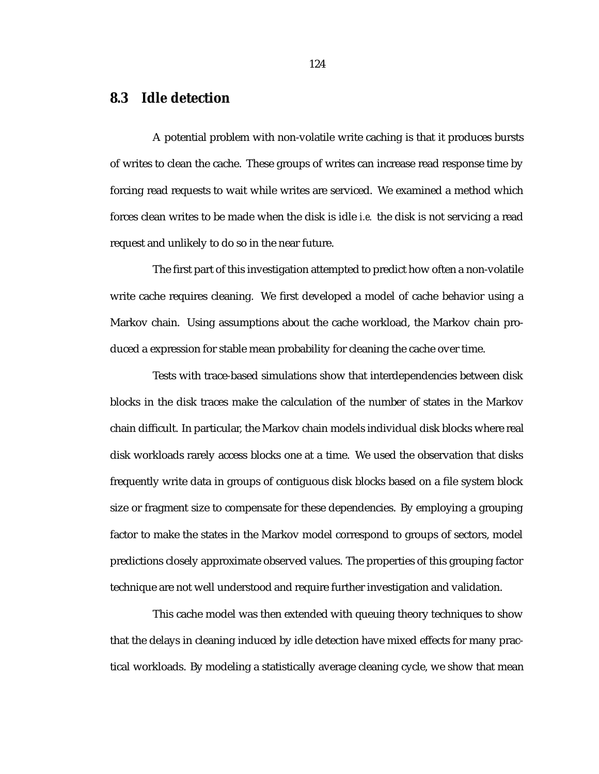# **8.3 Idle detection**

A potential problem with non-volatile write caching is that it produces bursts of writes to clean the cache. These groups of writes can increase read response time by forcing read requests to wait while writes are serviced. We examined a method which forces clean writes to be made when the disk is idle *i.e.* the disk is not servicing a read request and unlikely to do so in the near future.

The first part of this investigation attempted to predict how often a non-volatile write cache requires cleaning. We first developed a model of cache behavior using a Markov chain. Using assumptions about the cache workload, the Markov chain produced a expression for stable mean probability for cleaning the cache over time.

Tests with trace-based simulations show that interdependencies between disk blocks in the disk traces make the calculation of the number of states in the Markov chain difficult. In particular, the Markov chain models individual disk blocks where real disk workloads rarely access blocks one at a time. We used the observation that disks frequently write data in groups of contiguous disk blocks based on a file system block size or fragment size to compensate for these dependencies. By employing a grouping factor to make the states in the Markov model correspond to groups of sectors, model predictions closely approximate observed values. The properties of this grouping factor technique are not well understood and require further investigation and validation.

This cache model was then extended with queuing theory techniques to show that the delays in cleaning induced by idle detection have mixed effects for many practical workloads. By modeling a statistically average cleaning cycle, we show that mean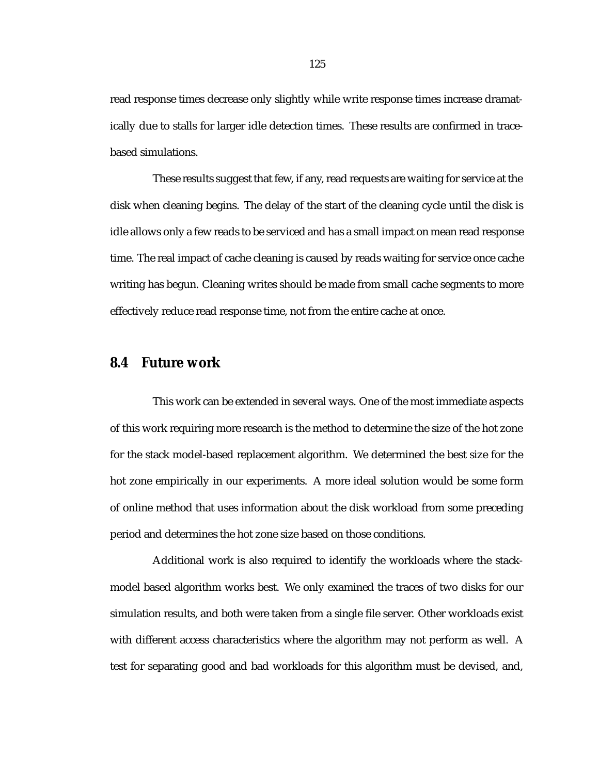read response times decrease only slightly while write response times increase dramatically due to stalls for larger idle detection times. These results are confirmed in tracebased simulations.

These results suggest that few, if any, read requests are waiting for service at the disk when cleaning begins. The delay of the start of the cleaning cycle until the disk is idle allows only a few reads to be serviced and has a small impact on mean read response time. The real impact of cache cleaning is caused by reads waiting for service once cache writing has begun. Cleaning writes should be made from small cache segments to more effectively reduce read response time, not from the entire cache at once.

#### **8.4 Future work**

This work can be extended in several ways. One of the most immediate aspects of this work requiring more research is the method to determine the size of the hot zone for the stack model-based replacement algorithm. We determined the best size for the hot zone empirically in our experiments. A more ideal solution would be some form of online method that uses information about the disk workload from some preceding period and determines the hot zone size based on those conditions.

Additional work is also required to identify the workloads where the stackmodel based algorithm works best. We only examined the traces of two disks for our simulation results, and both were taken from a single file server. Other workloads exist with different access characteristics where the algorithm may not perform as well. A test for separating good and bad workloads for this algorithm must be devised, and,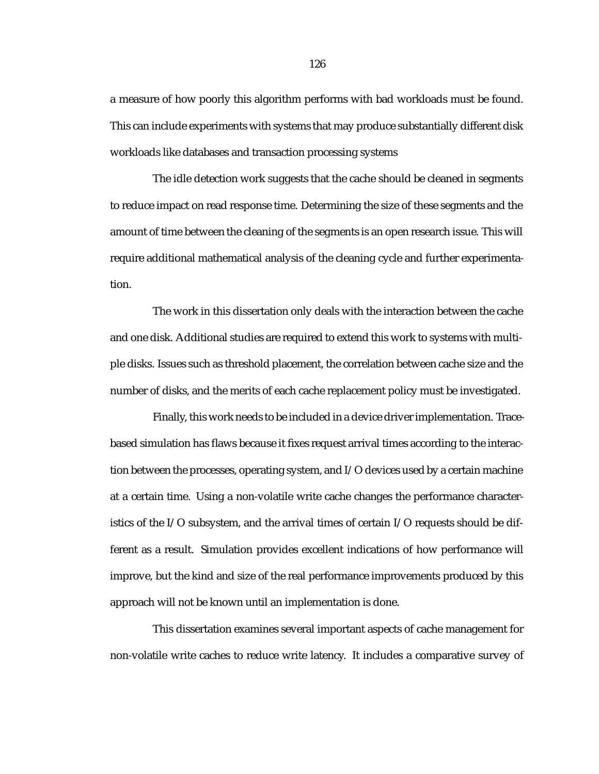a measure of how poorly this algorithm performs with bad workloads must be found. This can include experiments with systems that may produce substantially different disk workloads like databases and transaction processing systems

The idle detection work suggests that the cache should be cleaned in segments to reduce impact on read response time. Determining the size of these segments and the amount of time between the cleaning of the segments is an open research issue. This will require additional mathematical analysis of the cleaning cycle and further experimentation.

The work in this dissertation only deals with the interaction between the cache and one disk. Additional studies are required to extend this work to systems with multiple disks. Issues such as threshold placement, the correlation between cache size and the number of disks, and the merits of each cache replacement policy must be investigated.

Finally, this work needs to be included in a device driver implementation. Tracebased simulation has flaws because it fixes request arrival times according to the interaction between the processes, operating system, and I/O devices used by a certain machine at a certain time. Using a non-volatile write cache changes the performance characteristics of the I/O subsystem, and the arrival times of certain I/O requests should be different as a result. Simulation provides excellent indications of how performance will improve, but the kind and size of the real performance improvements produced by this approach will not be known until an implementation is done.

This dissertation examines several important aspects of cache management for non-volatile write caches to reduce write latency. It includes a comparative survey of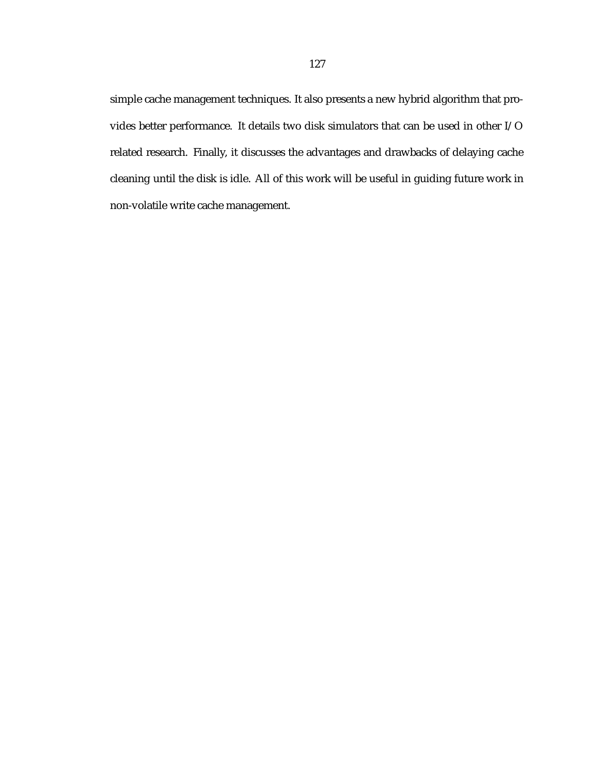simple cache management techniques. It also presents a new hybrid algorithm that provides better performance. It details two disk simulators that can be used in other I/O related research. Finally, it discusses the advantages and drawbacks of delaying cache cleaning until the disk is idle. All of this work will be useful in guiding future work in non-volatile write cache management.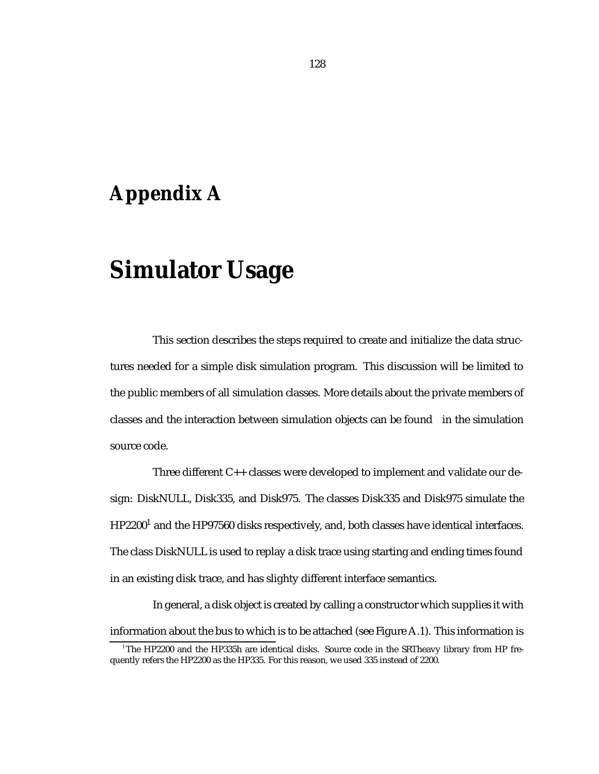# **Appendix A**

# **Simulator Usage**

This section describes the steps required to create and initialize the data structures needed for a simple disk simulation program. This discussion will be limited to the public members of all simulation classes. More details about the private members of classes and the interaction between simulation objects can be found in the simulation source code.

Three different C++ classes were developed to implement and validate our design: DiskNULL, Disk335, and Disk975. The classes Disk335 and Disk975 simulate the  $HP2200<sup>1</sup>$  and the HP97560 disks respectively, and, both classes have identical interfaces. The class DiskNULL is used to replay a disk trace using starting and ending times found in an existing disk trace, and has slighty different interface semantics.

In general, a disk object is created by calling a constructor which supplies it with information about the bus to which is to be attached (see Figure A.1). This information is

<sup>1</sup> The HP2200 and the HP335h are identical disks. Source code in the SRTheavy library from HP frequently refers the HP2200 as the HP335. For this reason, we used 335 instead of 2200.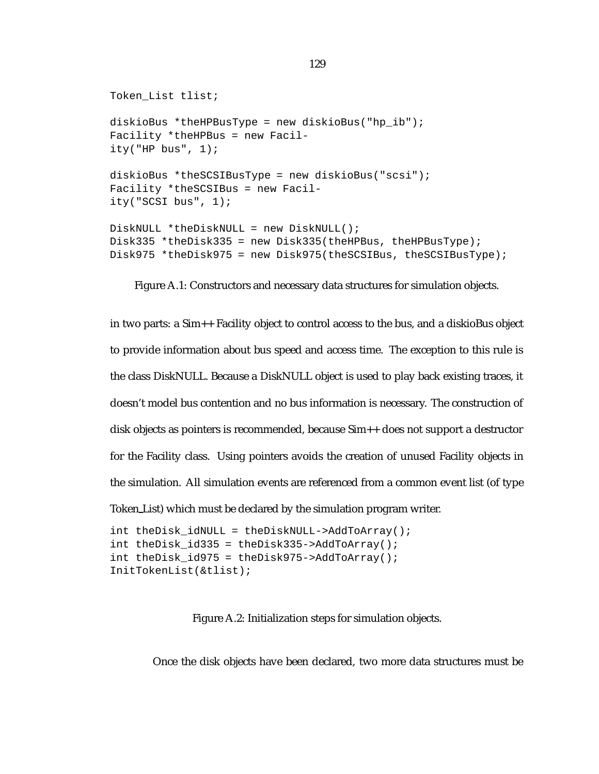```
Token_List tlist;
diskioBus *theHPBusType = new diskioBus("hp_ib");
Facility *theHPBus = new Facil-
ity("HP bus", 1);
diskioBus *theSCSIBusType = new diskioBus("scsi");
Facility *theSCSIBus = new Facil-
ity("SCSI bus", 1);
DiskNULL *theDiskNULL = new DiskNULL();
Disk335 *theDisk335 = new Disk335(theHPBus, theHPBusType);
Disk975 *theDisk975 = new Disk975(theSCSIBus, theSCSIBusType);
```
Figure A.1: Constructors and necessary data structures for simulation objects.

in two parts: a Sim++ Facility object to control access to the bus, and a diskioBus object to provide information about bus speed and access time. The exception to this rule is the class DiskNULL. Because a DiskNULL object is used to play back existing traces, it doesn't model bus contention and no bus information is necessary. The construction of disk objects as pointers is recommended, because Sim++ does not support a destructor for the Facility class. Using pointers avoids the creation of unused Facility objects in the simulation. All simulation events are referenced from a common event list (of type Token List) which must be declared by the simulation program writer.

```
int theDisk_idNULL = theDiskNULL->AddToArray();
int theDisk id335 = theDisk335 - > AddToArray();
int theDisk_id975 = theDisk975->AddToArray();
InitTokenList(&tlist);
```
Figure A.2: Initialization steps for simulation objects.

Once the disk objects have been declared, two more data structures must be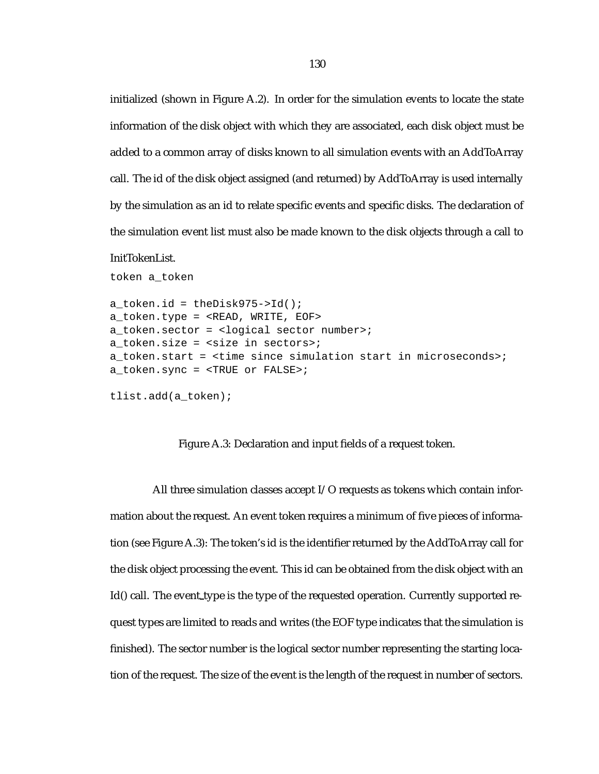initialized (shown in Figure A.2). In order for the simulation events to locate the state information of the disk object with which they are associated, each disk object must be added to a common array of disks known to all simulation events with an AddToArray call. The id of the disk object assigned (and returned) by AddToArray is used internally by the simulation as an id to relate specific events and specific disks. The declaration of the simulation event list must also be made known to the disk objects through a call to

#### InitTokenList.

token a\_token

```
a token.id = theDisk975->Id();
a_token.type = <READ, WRITE, EOF>
a token.sector = <logical sector number>;
a_token.size = <size in sectors>;
a token.start = <time since simulation start in microseconds>;
a_token.sync = <TRUE or FALSE>;
tlist.add(a_token);
```
#### Figure A.3: Declaration and input fields of a request token.

All three simulation classes accept I/O requests as tokens which contain information about the request. An event token requires a minimum of five pieces of information (see Figure A.3): The token's id is the identifier returned by the AddToArray call for the disk object processing the event. This id can be obtained from the disk object with an Id() call. The event type is the type of the requested operation. Currently supported request types are limited to reads and writes (the EOF type indicates that the simulation is finished). The sector number is the logical sector number representing the starting location of the request. The size of the event is the length of the request in number of sectors.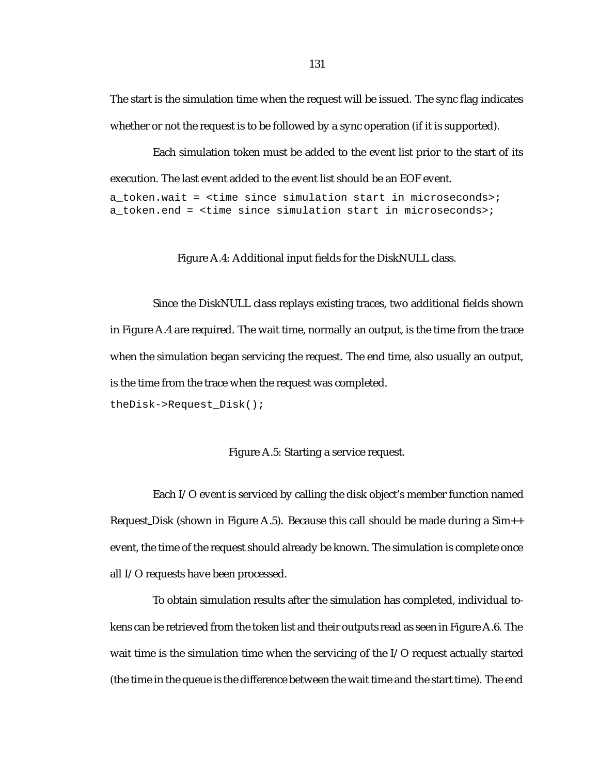The start is the simulation time when the request will be issued. The sync flag indicates whether or not the request is to be followed by a sync operation (if it is supported).

Each simulation token must be added to the event list prior to the start of its execution. The last event added to the event list should be an EOF event.

a token.wait = <time since simulation start in microseconds>; a token.end = <time since simulation start in microseconds>;

Figure A.4: Additional input fields for the DiskNULL class.

Since the DiskNULL class replays existing traces, two additional fields shown in Figure A.4 are required. The wait time, normally an output, is the time from the trace when the simulation began servicing the request. The end time, also usually an output, is the time from the trace when the request was completed. theDisk->Request\_Disk();

Figure A.5: Starting a service request.

Each I/O event is serviced by calling the disk object's member function named Request Disk (shown in Figure A.5). Because this call should be made during a Sim++ event, the time of the request should already be known. The simulation is complete once all I/O requests have been processed.

To obtain simulation results after the simulation has completed, individual tokens can be retrieved from the token list and their outputs read as seen in Figure A.6. The wait time is the simulation time when the servicing of the I/O request actually started (the time in the queue is the difference between the wait time and the start time). The end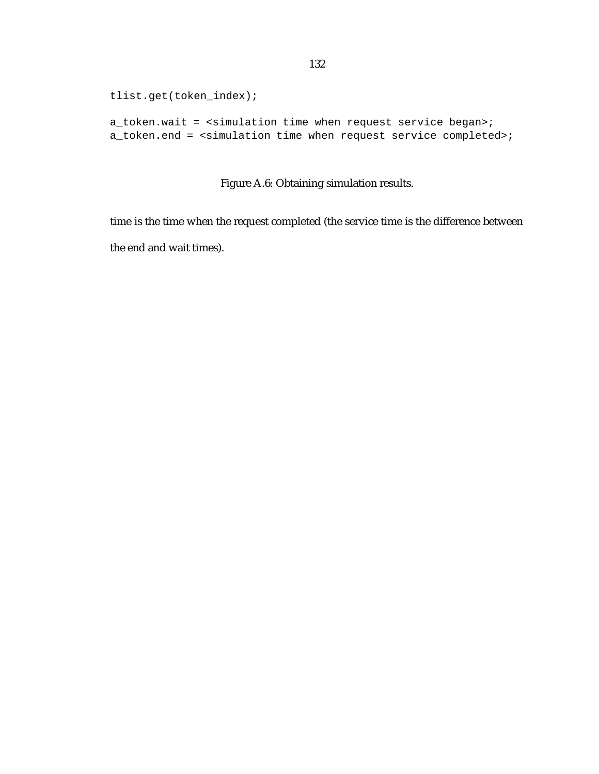```
tlist.get(token_index);
```
a\_token.wait = <simulation time when request service began>; a\_token.end = <simulation time when request service completed>;

Figure A.6: Obtaining simulation results.

time is the time when the request completed (the service time is the difference between the end and wait times).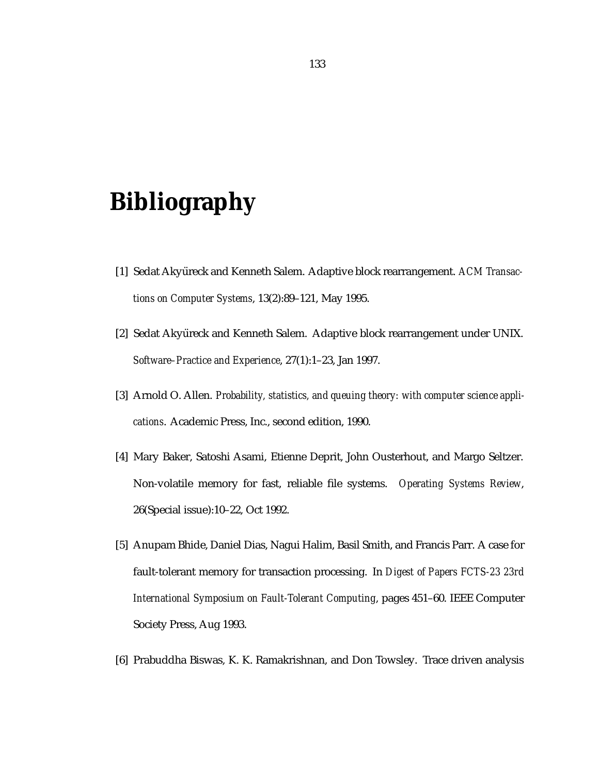## **Bibliography**

- [1] Sedat Akyüreck and Kenneth Salem. Adaptive block rearrangement. *ACM Transactions on Computer Systems*, 13(2):89–121, May 1995.
- [2] Sedat Akyüreck and Kenneth Salem. Adaptive block rearrangement under UNIX. *Software–Practice and Experience*, 27(1):1–23, Jan 1997.
- [3] Arnold O. Allen. *Probability, statistics, and queuing theory: with computer science applications*. Academic Press, Inc., second edition, 1990.
- [4] Mary Baker, Satoshi Asami, Etienne Deprit, John Ousterhout, and Margo Seltzer. Non-volatile memory for fast, reliable file systems. *Operating Systems Review*, 26(Special issue):10–22, Oct 1992.
- [5] Anupam Bhide, Daniel Dias, Nagui Halim, Basil Smith, and Francis Parr. A case for fault-tolerant memory for transaction processing. In *Digest of Papers FCTS-23 23rd International Symposium on Fault-Tolerant Computing*, pages 451–60. IEEE Computer Society Press, Aug 1993.
- [6] Prabuddha Biswas, K. K. Ramakrishnan, and Don Towsley. Trace driven analysis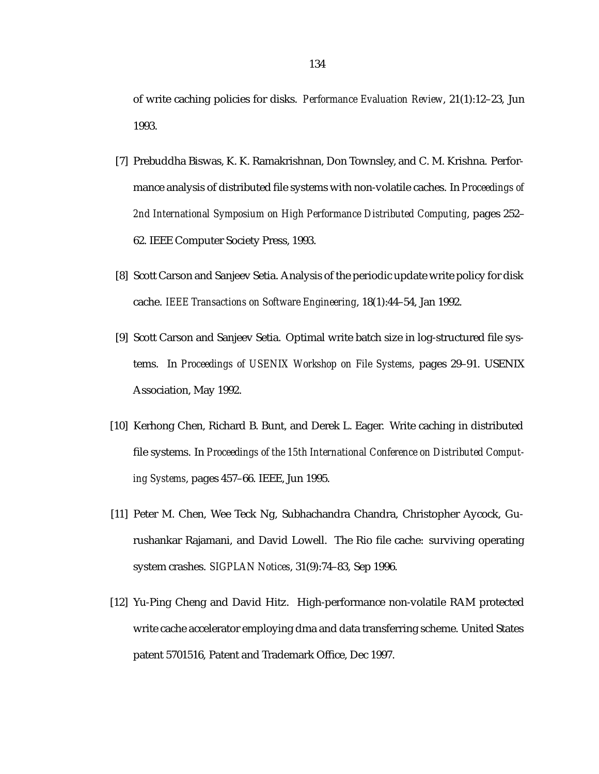of write caching policies for disks. *Performance Evaluation Review*, 21(1):12–23, Jun 1993.

- [7] Prebuddha Biswas, K. K. Ramakrishnan, Don Townsley, and C. M. Krishna. Performance analysis of distributed file systems with non-volatile caches. In *Proceedings of 2nd International Symposium on High Performance Distributed Computing*, pages 252– 62. IEEE Computer Society Press, 1993.
- [8] Scott Carson and Sanjeev Setia. Analysis of the periodic update write policy for disk cache. *IEEE Transactions on Software Engineering*, 18(1):44–54, Jan 1992.
- [9] Scott Carson and Sanjeev Setia. Optimal write batch size in log-structured file systems. In *Proceedings of USENIX Workshop on File Systems*, pages 29–91. USENIX Association, May 1992.
- [10] Kerhong Chen, Richard B. Bunt, and Derek L. Eager. Write caching in distributed file systems. In *Proceedings of the 15th International Conference on Distributed Computing Systems*, pages 457–66. IEEE, Jun 1995.
- [11] Peter M. Chen, Wee Teck Ng, Subhachandra Chandra, Christopher Aycock, Gurushankar Rajamani, and David Lowell. The Rio file cache: surviving operating system crashes. *SIGPLAN Notices*, 31(9):74–83, Sep 1996.
- [12] Yu-Ping Cheng and David Hitz. High-performance non-volatile RAM protected write cache accelerator employing dma and data transferring scheme. United States patent 5701516, Patent and Trademark Office, Dec 1997.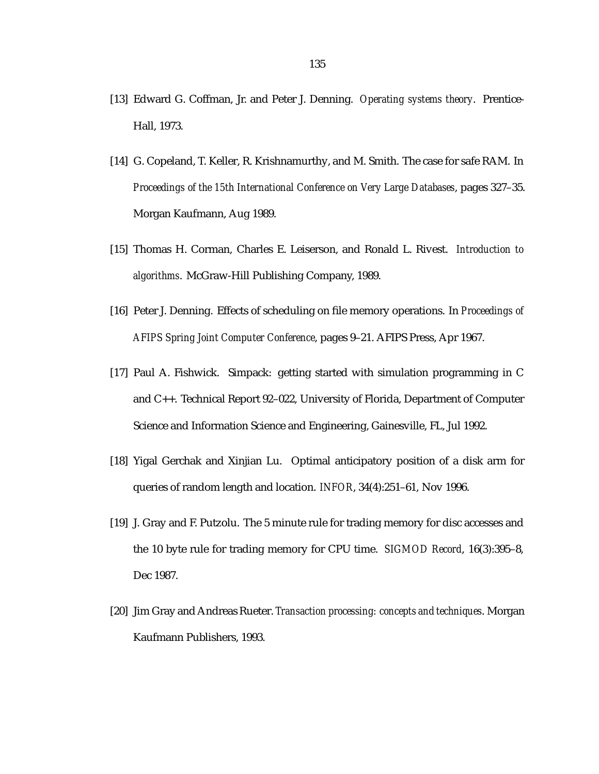- [13] Edward G. Coffman, Jr. and Peter J. Denning. *Operating systems theory*. Prentice-Hall, 1973.
- [14] G. Copeland, T. Keller, R. Krishnamurthy, and M. Smith. The case for safe RAM. In *Proceedings of the 15th International Conference on Very Large Databases*, pages 327–35. Morgan Kaufmann, Aug 1989.
- [15] Thomas H. Corman, Charles E. Leiserson, and Ronald L. Rivest. *Introduction to algorithms*. McGraw-Hill Publishing Company, 1989.
- [16] Peter J. Denning. Effects of scheduling on file memory operations. In *Proceedings of AFIPS Spring Joint Computer Conference*, pages 9–21. AFIPS Press, Apr 1967.
- [17] Paul A. Fishwick. Simpack: getting started with simulation programming in C and C++. Technical Report 92–022, University of Florida, Department of Computer Science and Information Science and Engineering, Gainesville, FL, Jul 1992.
- [18] Yigal Gerchak and Xinjian Lu. Optimal anticipatory position of a disk arm for queries of random length and location. *INFOR*, 34(4):251–61, Nov 1996.
- [19] J. Gray and F. Putzolu. The 5 minute rule for trading memory for disc accesses and the 10 byte rule for trading memory for CPU time. *SIGMOD Record*, 16(3):395–8, Dec 1987.
- [20] Jim Gray and Andreas Rueter. *Transaction processing: concepts and techniques*. Morgan Kaufmann Publishers, 1993.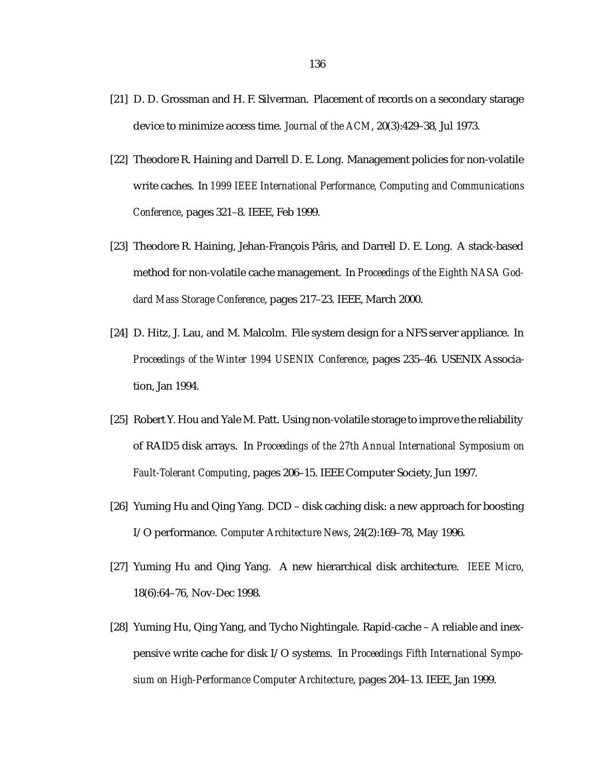- [21] D. D. Grossman and H. F. Silverman. Placement of records on a secondary starage device to minimize access time. *Journal of the ACM*, 20(3):429–38, Jul 1973.
- [22] Theodore R. Haining and Darrell D. E. Long. Management policies for non-volatile write caches. In *1999 IEEE International Performance, Computing and Communications Conference*, pages 321–8. IEEE, Feb 1999.
- [23] Theodore R. Haining, Jehan-François Pâris, and Darrell D. E. Long. A stack-based method for non-volatile cache management. In *Proceedings of the Eighth NASA Goddard Mass Storage Conference*, pages 217–23. IEEE, March 2000.
- [24] D. Hitz, J. Lau, and M. Malcolm. File system design for a NFS server appliance. In *Proceedings of the Winter 1994 USENIX Conference*, pages 235–46. USENIX Association, Jan 1994.
- [25] Robert Y. Hou and Yale M. Patt. Using non-volatile storage to improve the reliability of RAID5 disk arrays. In *Proceedings of the 27th Annual International Symposium on Fault-Tolerant Computing*, pages 206–15. IEEE Computer Society, Jun 1997.
- [26] Yuming Hu and Qing Yang. DCD disk caching disk: a new approach for boosting I/O performance. *Computer Architecture News*, 24(2):169–78, May 1996.
- [27] Yuming Hu and Qing Yang. A new hierarchical disk architecture. *IEEE Micro*, 18(6):64–76, Nov-Dec 1998.
- [28] Yuming Hu, Qing Yang, and Tycho Nightingale. Rapid-cache A reliable and inexpensive write cache for disk I/O systems. In *Proceedings Fifth International Symposium on High-Performance Computer Architecture*, pages 204–13. IEEE, Jan 1999.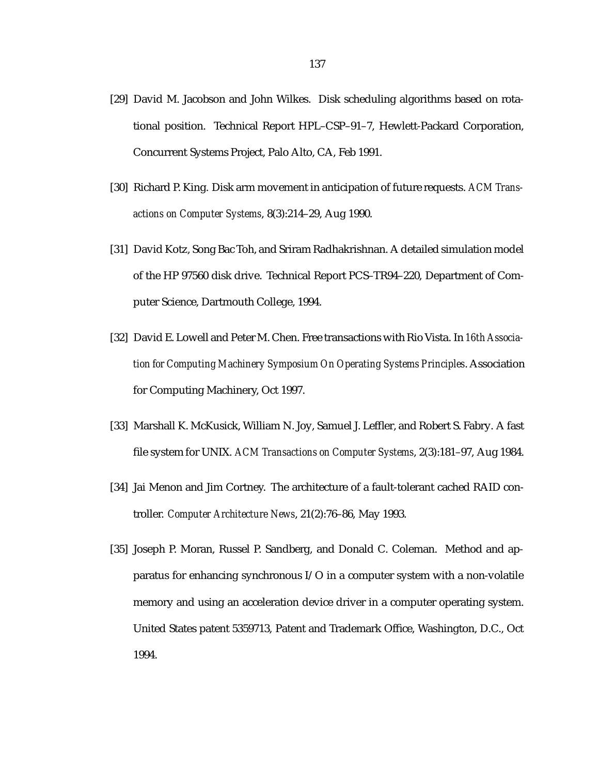- [29] David M. Jacobson and John Wilkes. Disk scheduling algorithms based on rotational position. Technical Report HPL–CSP–91–7, Hewlett-Packard Corporation, Concurrent Systems Project, Palo Alto, CA, Feb 1991.
- [30] Richard P. King. Disk arm movement in anticipation of future requests. *ACM Transactions on Computer Systems*, 8(3):214–29, Aug 1990.
- [31] David Kotz, Song Bac Toh, and Sriram Radhakrishnan. A detailed simulation model of the HP 97560 disk drive. Technical Report PCS–TR94–220, Department of Computer Science, Dartmouth College, 1994.
- [32] David E. Lowell and Peter M. Chen. Free transactions with Rio Vista. In *16th Association for Computing Machinery Symposium On Operating Systems Principles*. Association for Computing Machinery, Oct 1997.
- [33] Marshall K. McKusick, William N. Joy, Samuel J. Leffler, and Robert S. Fabry. A fast file system for UNIX. *ACM Transactions on Computer Systems*, 2(3):181–97, Aug 1984.
- [34] Jai Menon and Jim Cortney. The architecture of a fault-tolerant cached RAID controller. *Computer Architecture News*, 21(2):76–86, May 1993.
- [35] Joseph P. Moran, Russel P. Sandberg, and Donald C. Coleman. Method and apparatus for enhancing synchronous I/O in a computer system with a non-volatile memory and using an acceleration device driver in a computer operating system. United States patent 5359713, Patent and Trademark Office, Washington, D.C., Oct 1994.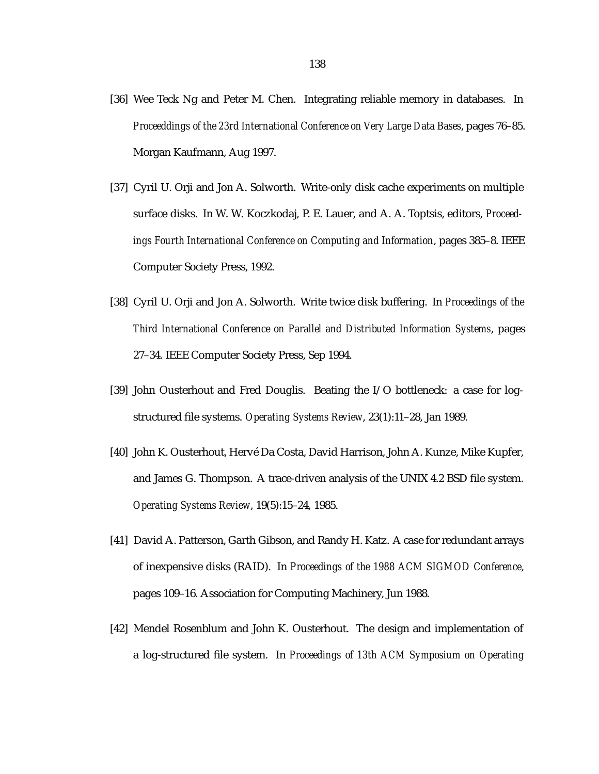- [36] Wee Teck Ng and Peter M. Chen. Integrating reliable memory in databases. In *Proceeddings of the 23rd International Conference on Very Large Data Bases*, pages 76–85. Morgan Kaufmann, Aug 1997.
- [37] Cyril U. Orji and Jon A. Solworth. Write-only disk cache experiments on multiple surface disks. In W. W. Koczkodaj, P. E. Lauer, and A. A. Toptsis, editors, *Proceedings Fourth International Conference on Computing and Information*, pages 385–8. IEEE Computer Society Press, 1992.
- [38] Cyril U. Orji and Jon A. Solworth. Write twice disk buffering. In *Proceedings of the Third International Conference on Parallel and Distributed Information Systems*, pages 27–34. IEEE Computer Society Press, Sep 1994.
- [39] John Ousterhout and Fred Douglis. Beating the I/O bottleneck: a case for logstructured file systems. *Operating Systems Review*, 23(1):11–28, Jan 1989.
- [40] John K. Ousterhout, Hervé Da Costa, David Harrison, John A. Kunze, Mike Kupfer, and James G. Thompson. A trace-driven analysis of the UNIX 4.2 BSD file system. *Operating Systems Review*, 19(5):15–24, 1985.
- [41] David A. Patterson, Garth Gibson, and Randy H. Katz. A case for redundant arrays of inexpensive disks (RAID). In *Proceedings of the 1988 ACM SIGMOD Conference*, pages 109–16. Association for Computing Machinery, Jun 1988.
- [42] Mendel Rosenblum and John K. Ousterhout. The design and implementation of a log-structured file system. In *Proceedings of 13th ACM Symposium on Operating*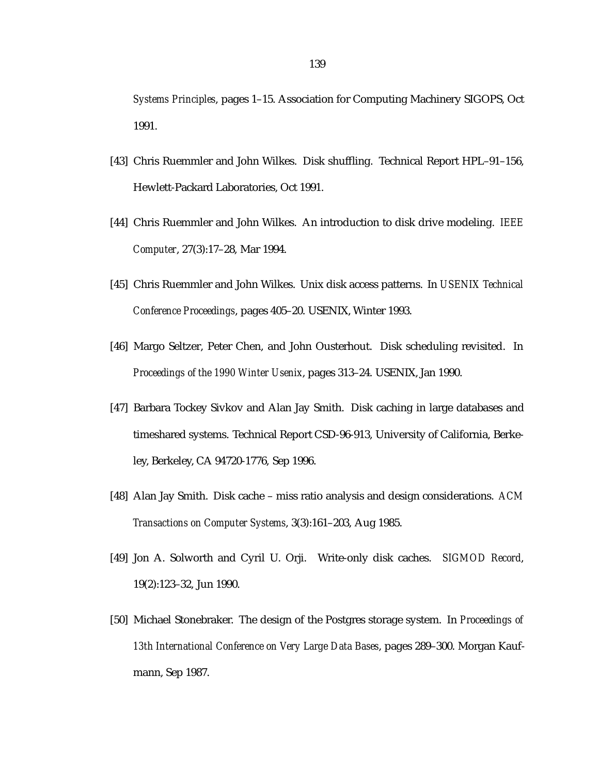*Systems Principles*, pages 1–15. Association for Computing Machinery SIGOPS, Oct 1991.

- [43] Chris Ruemmler and John Wilkes. Disk shuffling. Technical Report HPL–91–156, Hewlett-Packard Laboratories, Oct 1991.
- [44] Chris Ruemmler and John Wilkes. An introduction to disk drive modeling. *IEEE Computer*, 27(3):17–28, Mar 1994.
- [45] Chris Ruemmler and John Wilkes. Unix disk access patterns. In *USENIX Technical Conference Proceedings*, pages 405–20. USENIX, Winter 1993.
- [46] Margo Seltzer, Peter Chen, and John Ousterhout. Disk scheduling revisited. In *Proceedings of the 1990 Winter Usenix*, pages 313–24. USENIX, Jan 1990.
- [47] Barbara Tockey Sivkov and Alan Jay Smith. Disk caching in large databases and timeshared systems. Technical Report CSD-96-913, University of California, Berkeley, Berkeley, CA 94720-1776, Sep 1996.
- [48] Alan Jay Smith. Disk cache miss ratio analysis and design considerations. *ACM Transactions on Computer Systems*, 3(3):161–203, Aug 1985.
- [49] Jon A. Solworth and Cyril U. Orji. Write-only disk caches. *SIGMOD Record*, 19(2):123–32, Jun 1990.
- [50] Michael Stonebraker. The design of the Postgres storage system. In *Proceedings of 13th International Conference on Very Large Data Bases*, pages 289–300. Morgan Kaufmann, Sep 1987.